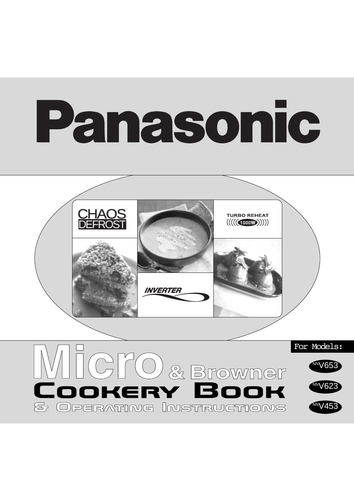# Panasonic



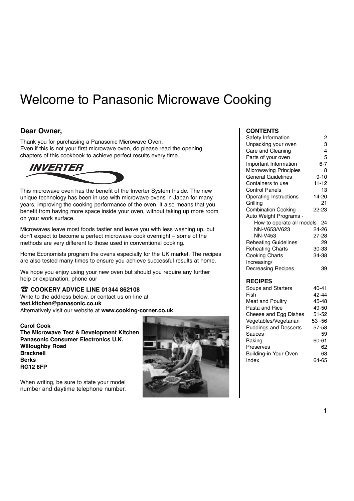# Welcome to Panasonic Microwave Cooking

### **Dear Owner,**

Thank you for purchasing a Panasonic Microwave Oven. Even if this is not your first microwave oven, do please read the opening chapters of this cookbook to achieve perfect results every time.



This microwave oven has the benefit of the Inverter System Inside. The new unique technology has been in use with microwave ovens in Japan for many years, improving the cooking performance of the oven. It also means that you benefit from having more space inside your oven, without taking up more room on your work surface.

Microwaves leave most foods tastier and leave you with less washing up, but don't expect to become a perfect microwave cook overnight – some of the methods are very different to those used in conventional cooking.

Home Economists program the ovens especially for the UK market. The recipes are also tested many times to ensure you achieve successful results at home.

We hope you enjoy using your new oven but should you require any further help or explanation, phone our

### ☎ **COOKERY ADVICE LINE 01344 862108**

Write to the address below, or contact us on-line at **test.kitchen@panasonic.co.uk** Alternatively visit our website at **www.cooking-corner.co.uk**

**Carol Cook The Microwave Test & Development Kitchen Panasonic Consumer Electronics U.K. Willoughby Road Bracknell Berks RG12 8FP**

When writing, be sure to state your model number and daytime telephone number.



### **CONTENTS**

| Safety Information            | 2         |
|-------------------------------|-----------|
| Unpacking your oven           | 3         |
| Care and Cleaning             | 4         |
| Parts of your oven            | 5         |
| Important Information         | $6 - 7$   |
| <b>Microwaving Principles</b> | 8         |
| <b>General Guidelines</b>     | $9 - 10$  |
| Containers to use             | $11 - 12$ |
| <b>Control Panels</b>         | 13        |
| <b>Operating Instructions</b> | 14-20     |
| Grilling                      | 21        |
| <b>Combination Cooking</b>    | 22-23     |
| Auto Weight Programs -        |           |
| How to operate all models     | 24        |
| NN-V653/V623                  | 24-26     |
| <b>NN-V453</b>                | 27-28     |
| <b>Reheating Guidelines</b>   | 29        |
| <b>Reheating Charts</b>       | 30-33     |
| <b>Cooking Charts</b>         | 34-38     |
| Increasing/                   |           |
| Decreasing Recipes            | 39        |
|                               |           |
| <b>RECIPES</b>                |           |
| Soups and Starters            | 40-41     |
| Fish                          | 42-44     |
| Meat and Poultry              | 45-48     |
|                               |           |

| <b>Meat and Poultry</b>      | 45-48     |
|------------------------------|-----------|
| Pasta and Rice               | 49-50     |
| Cheese and Egg Dishes        | $51 - 52$ |
| Vegetables/Vegetarian        | 53 - 56   |
| <b>Puddings and Desserts</b> | 57-58     |
| Sauces                       | 59        |
| <b>Baking</b>                | 60-61     |
| Preserves                    | 62        |
| Building-in Your Oven        | 63        |
| Index                        | 64-65     |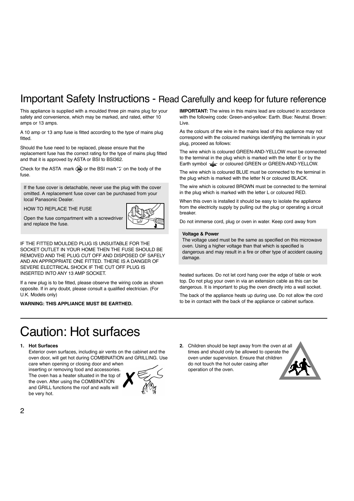### Important Safety Instructions - Read Carefully and keep for future reference

This appliance is supplied with a moulded three pin mains plug for your safety and convenience, which may be marked, and rated, either 10 amps or 13 amps.

A 10 amp or 13 amp fuse is fitted according to the type of mains plug fitted.

Should the fuse need to be replaced, please ensure that the replacement fuse has the correct rating for the type of mains plug fitted and that it is approved by ASTA or BSI to BSI362.

Check for the ASTA mark  $\overline{ab}$  or the BSI mark  $\ddot{\ddot{}}$  on the body of the fuse.

If the fuse cover is detachable, never use the plug with the cover omitted. A replacement fuse cover can be purchased from your local Panasonic Dealer.

HOW TO REPLACE THE FUSE

Open the fuse compartment with a screwdriver and replace the fuse.



IF THE FITTED MOULDED PLUG IS UNSUITABLE FOR THE SOCKET OUTLET IN YOUR HOME THEN THE FUSE SHOULD BE REMOVED AND THE PLUG CUT OFF AND DISPOSED OF SAFELY AND AN APPROPRIATE ONE FITTED. THERE IS A DANGER OF SEVERE ELECTRICAL SHOCK IF THE CUT OFF PLUG IS INSERTED INTO ANY 13 AMP SOCKET.

If a new plug is to be fitted, please observe the wiring code as shown opposite. If in any doubt, please consult a qualified electrician. (For U.K. Models only)

**WARNING: THIS APPLIANCE MUST BE EARTHED.**

**IMPORTANT:** The wires in this mains lead are coloured in accordance with the following code: Green-and-yellow: Earth. Blue: Neutral. Brown: Live.

As the colours of the wire in the mains lead of this appliance may not correspond with the coloured markings identifying the terminals in your plug, proceed as follows:

The wire which is coloured GREEN-AND-YELLOW must be connected to the terminal in the plug which is marked with the letter E or by the Earth symbol  $\equiv$  or coloured GREEN or GREEN-AND-YELLOW.

The wire which is coloured BLUE must be connected to the terminal in the plug which is marked with the letter N or coloured BLACK.

The wire which is coloured BROWN must be connected to the terminal in the plug which is marked with the letter L or coloured RED.

When this oven is installed it should be easy to isolate the appliance from the electricity supply by pulling out the plug or operating a circuit breaker.

Do not immerse cord, plug or oven in water. Keep cord away from

#### **Voltage & Power**

The voltage used must be the same as specified on this microwave oven. Using a higher voltage than that which is specified is dangerous and may result in a fire or other type of accident causing damage.

heated surfaces. Do not let cord hang over the edge of table or work top. Do not plug your oven in via an extension cable as this can be dangerous. It is important to plug the oven directly into a wall socket.

The back of the appliance heats up during use. Do not allow the cord to be in contact with the back of the appliance or cabinet surface.

# Caution: Hot surfaces

#### **1. Hot Surfaces**

Exterior oven surfaces, including air vents on the cabinet and the oven door, will get hot during COMBINATION and GRILLING. Use care when opening or closing door and when

inserting or removing food and accessories. The oven has a heater situated in the top of the oven. After using the COMBINATION and GRILL functions the roof and walls will be very hot.



**2.** Children should be kept away from the oven at all times and should only be allowed to operate the oven under supervision. Ensure that children do not touch the hot outer casing after operation of the oven.

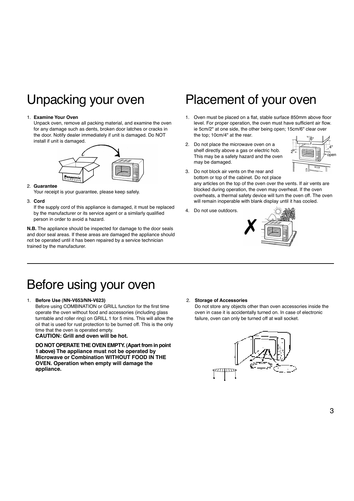# Unpacking your oven

### 1. **Examine Your Oven**

Unpack oven, remove all packing material, and examine the oven for any damage such as dents, broken door latches or cracks in the door. Notify dealer immediately if unit is damaged. Do NOT install if unit is damaged.



### 2. **Guarantee**

Your receipt is your guarantee, please keep safely.

#### 3. **Cord**

If the supply cord of this appliance is damaged, it must be replaced by the manufacturer or its service agent or a similarly qualified person in order to avoid a hazard.

**N.B.** The appliance should be inspected for damage to the door seals and door seal areas. If these areas are damaged the appliance should not be operated until it has been repaired by a service technician trained by the manufacturer.

## Placement of your oven

- 1. Oven must be placed on a flat, stable surface 850mm above floor level. For proper operation, the oven must have sufficient air flow. ie 5cm/2" at one side, the other being open; 15cm/6" clear over the top; 10cm/4" at the rear.
- 2. Do not place the microwave oven on a shelf directly above a gas or electric hob. This may be a safety hazard and the oven may be damaged.



3. Do not block air vents on the rear and bottom or top of the cabinet. Do not place

any articles on the top of the oven over the vents. If air vents are blocked during operation, the oven may overheat. If the oven overheats, a thermal safety device will turn the oven off. The oven will remain inoperable with blank display until it has cooled.

4. Do not use outdoors.



# Before using your oven

#### 1. **Before Use (NN-V653/NN-V623)**

Before using COMBINATION or GRILL function for the first time operate the oven without food and accessories (including glass turntable and roller ring) on GRILL 1 for 5 mins. This will allow the oil that is used for rust protection to be burned off. This is the only time that the oven is operated empty.

### **CAUTION: Grill and oven will be hot.**

**DO NOT OPERATE THE OVEN EMPTY. (Apart from in point 1 above) The appliance must not be operated by Microwave or Combination WITHOUT FOOD IN THE OVEN. Operation when empty will damage the appliance.**

#### 2. **Storage of Accessories**

Do not store any objects other than oven accessories inside the oven in case it is accidentally turned on. In case of electronic failure, oven can only be turned off at wall socket.

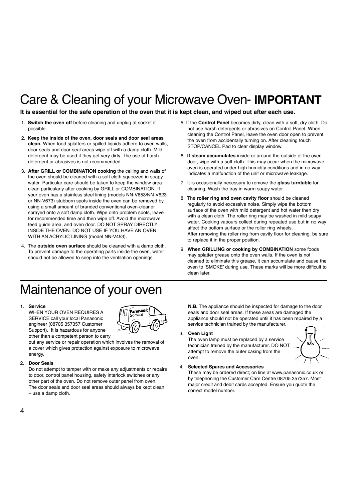# Care & Cleaning of your Microwave Oven- **IMPORTANT**

**It is essential for the safe operation of the oven that it is kept clean, and wiped out after each use.**

- 1. **Switch the oven off** before cleaning and unplug at socket if possible.
- 2. **Keep the inside of the oven, door seals and door seal areas clean.** When food splatters or spilled liquids adhere to oven walls, door seals and door seal areas wipe off with a damp cloth. Mild detergent may be used if they get very dirty. The use of harsh detergent or abrasives is not recommended.
- 3. **After GRILL or COMBINATION cooking** the ceiling and walls of the oven should be cleaned with a soft cloth squeezed in soapy water. Particular care should be taken to keep the window area clean particularly after cooking by GRILL or COMBINATION. If your oven has a stainless steel lining (models NN-V653/NN-V623 or NN-V673) stubborn spots inside the oven can be removed by using a small amount of branded conventional oven-cleaner sprayed onto a soft damp cloth. Wipe onto problem spots, leave for recommended time and then wipe off. Avoid the microwave feed guide area, and oven door. DO NOT SPRAY DIRECTLY INSIDE THE OVEN. DO NOT USE IF YOU HAVE AN OVEN WITH AN ACRYLIC LINING (model NN-V453).
- 4. The **outside oven surface** should be cleaned with a damp cloth. To prevent damage to the operating parts inside the oven, water should not be allowed to seep into the ventilation openings.
- 5. If the **Control Panel** becomes dirty, clean with a soft, dry cloth. Do not use harsh detergents or abrasives on Control Panel. When cleaning the Control Panel, leave the oven door open to prevent the oven from accidentally turning on. After cleaning touch STOP/CANCEL Pad to clear display window.
- 6. **If steam accumulates** inside or around the outside of the oven door, wipe with a soft cloth. This may occur when the microwave oven is operated under high humidity conditions and in no way indicates a malfunction of the unit or microwave leakage.
- 7. It is occasionally necessary to remove the **glass turntable** for cleaning. Wash the tray in warm soapy water.
- 8. The **roller ring and oven cavity floor** should be cleaned regularly to avoid excessive noise. Simply wipe the bottom surface of the oven with mild detergent and hot water then dry with a clean cloth. The roller ring may be washed in mild soapy water. Cooking vapours collect during repeated use but in no way affect the bottom surface or the roller ring wheels. After removing the roller ring from cavity floor for cleaning, be sure to replace it in the proper position.
- 9. **When GRILLING or cooking by COMBINATION** some foods may splatter grease onto the oven walls. If the oven is not cleaned to eliminate this grease, it can accumulate and cause the oven to 'SMOKE' during use. These marks will be more difficult to clean later.

# Maintenance of your oven

### 1. **Service**

WHEN YOUR OVEN REQUIRES A SERVICE call your local Panasonic engineer (08705 357357 Customer Support). It is hazardous for anyone other than a competent person to carry



out any service or repair operation which involves the removal of a cover which gives protection against exposure to microwave energy.

#### 2. **Door Seals**

Do not attempt to tamper with or make any adjustments or repairs to door, control panel housing, safety interlock switches or any other part of the oven. Do not remove outer panel from oven. The door seals and door seal areas should always be kept clean – use a damp cloth.

**N.B.** The appliance should be inspected for damage to the door seals and door seal areas. If these areas are damaged the appliance should not be operated until it has been repaired by a service technician trained by the manufacturer.

3. **Oven Light**

The oven lamp must be replaced by a service technician trained by the manufacturer. DO NOT attempt to remove the outer casing from the oven.



#### 4. **Selected Spares and Accessories**

These may be ordered direct; on line at www.panasonic.co.uk or by telephoning the Customer Care Centre 08705 357357. Most major credit and debit cards accepted. Ensure you quote the correct model number.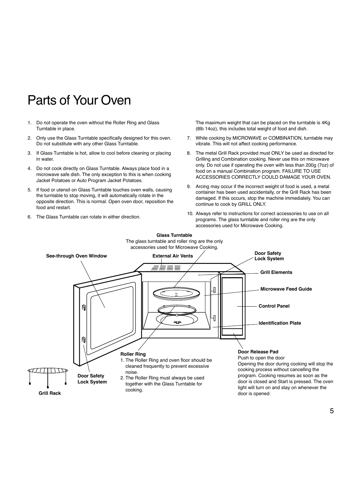# Parts of Your Oven

- 1. Do not operate the oven without the Roller Ring and Glass Turntable in place.
- 2. Only use the Glass Turntable specifically designed for this oven. Do not substitute with any other Glass Turntable.
- 3. If Glass Turntable is hot, allow to cool before cleaning or placing in water.
- 4. Do not cook directly on Glass Turntable. Always place food in a microwave safe dish. The only exception to this is when cooking Jacket Potatoes or Auto Program Jacket Potatoes.
- 5. If food or utensil on Glass Turntable touches oven walls, causing the turntable to stop moving, it will automatically rotate in the opposite direction. This is normal. Open oven door, reposition the food and restart.
- 6. The Glass Turntable can rotate in either direction.

The maximum weight that can be placed on the turntable is 4Kg (8lb 14oz), this includes total weight of food and dish.

- 7. While cooking by MICROWAVE or COMBINATION, turntable may vibrate. This will not affect cooking performance.
- 8. The metal Grill Rack provided must ONLY be used as directed for Grilling and Combination cooking. Never use this on microwave only. Do not use if operating the oven with less than 200g (7oz) of food on a manual Combination program. FAILURE TO USE ACCESSORIES CORRECTLY COULD DAMAGE YOUR OVEN.
- 9. Arcing may occur if the incorrect weight of food is used, a metal container has been used accidentally, or the Grill Rack has been damaged. If this occurs, stop the machine immediately. You can continue to cook by GRILL ONLY.
- 10. Always refer to instructions for correct accessories to use on all programs. The glass turntable and roller ring are the only accessories used for Microwave Cooking.

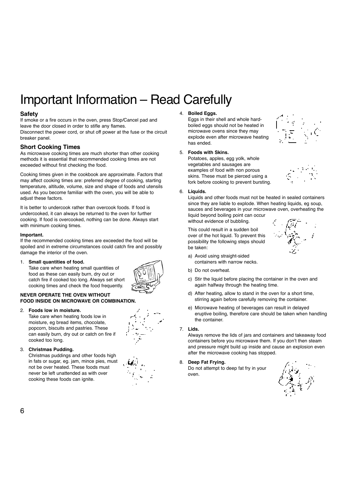# Important Information – Read Carefully

### **Safety**

If smoke or a fire occurs in the oven, press Stop/Cancel pad and leave the door closed in order to stifle any flames. Disconnect the power cord, or shut off power at the fuse or the circuit breaker panel.

### **Short Cooking Times**

As microwave cooking times are much shorter than other cooking methods it is essential that recommended cooking times are not exceeded without first checking the food.

Cooking times given in the cookbook are approximate. Factors that may affect cooking times are: preferred degree of cooking, starting temperature, altitude, volume, size and shape of foods and utensils used. As you become familiar with the oven, you will be able to adjust these factors.

It is better to undercook rather than overcook foods. If food is undercooked, it can always be returned to the oven for further cooking. If food is overcooked, nothing can be done. Always start with minimum cooking times.

### **Important.**

If the recommended cooking times are exceeded the food will be spoiled and in extreme circumstances could catch fire and possibly damage the interior of the oven.

1. **Small quantities of food.** Take care when heating small quantities of

(azim

### **NEVER OPERATE THE OVEN WITHOUT FOOD INSIDE ON MICROWAVE OR COMBINATION.**

### 2. **Foods low in moisture.**

Take care when heating foods low in moisture, eg bread items, chocolate, popcorn, biscuits and pastries. These can easily burn, dry out or catch on fire if cooked too long.

food as these can easily burn, dry out or catch fire if cooked too long. Always set short cooking times and check the food frequently.

### 3. **Christmas Pudding.**

Christmas puddings and other foods high in fats or sugar, eg. jam, mince pies, must not be over heated. These foods must never be left unattended as with over cooking these foods can ignite.

| Palis.<br>Pipi            |  |
|---------------------------|--|
| $\mathbf{f}_{\mathbf{z}}$ |  |

### 4. **Boiled Eggs.**

Eggs in their shell and whole hardboiled eggs should not be heated in microwave ovens since they may explode even after microwave heating has ended.

### 5. **Foods with Skins.**

Potatoes, apples, egg yolk, whole vegetables and sausages are examples of food with non porous skins. These must be pierced using a fork before cooking to prevent bursting.



Liquids and other foods must not be heated in sealed containers since they are liable to explode. When heating liquids, eg soup, sauces and beverages in your microwave oven, overheating the liquid beyond boiling point can occur without evidence of bubbling.

This could result in a sudden boil over of the hot liquid. To prevent this possibility the following steps should be taken:

- a) Avoid using straight-sided containers with narrow necks.
- b) Do not overheat.
- c) Stir the liquid before placing the container in the oven and again halfway through the heating time.
- d) After heating, allow to stand in the oven for a short time, stirring again before carefully removing the container.
- e) Microwave heating of beverages can result in delayed eruptive boiling, therefore care should be taken when handling the container.

### 7. **Lids.**

Always remove the lids of jars and containers and takeaway food containers before you microwave them. If you don't then steam and pressure might build up inside and cause an explosion even after the microwave cooking has stopped.

### 8. **Deep Fat Frying.**

Do not attempt to deep fat fry in your oven.







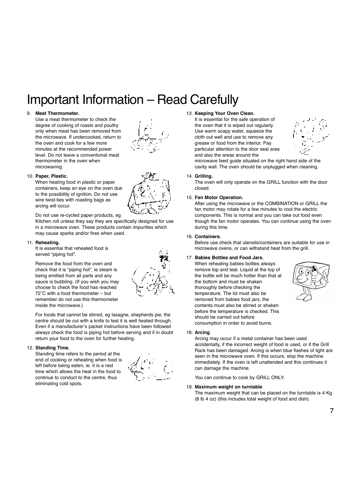# Important Information – Read Carefully

### 9. **Meat Thermometer.**

Use a meat thermometer to check the degree of cooking of roasts and poultry only when meat has been removed from the microwave. If undercooked, return to the oven and cook for a few more minutes at the recommended power level. Do not leave a conventional meat thermometer in the oven when microwaving.



### 10. **Paper, Plastic.**

When heating food in plastic or paper containers, keep an eye on the oven due to the possibility of ignition. Do not use wire twist-ties with roasting bags as arcing will occur.

Do not use re-cycled paper products, eg

Kitchen roll unless they say they are specifically designed for use in a microwave oven. These products contain impurities which may cause sparks and/or fires when used.

#### 11. **Reheating.**

It is essential that reheated food is served "piping hot".

Remove the food from the oven and check that it is "piping hot", ie steam is being emitted from all parts and any sauce is bubbling. (If you wish you may choose to check the food has reached 72˚C with a food thermometer – but remember do not use this thermometer inside the microwave.)

For foods that cannot be stirred, eg lasagne, shepherds pie, the centre should be cut with a knife to test it is well heated through. Even if a manufacturer's packet instructions have been followed always check the food is piping hot before serving and if in doubt return your food to the oven for further heating.

### 12. **Standing Time.**

Standing time refers to the period at the end of cooking or reheating when food is left before being eaten, ie. it is a rest time which allows the heat in the food to continue to conduct to the centre, thus eliminating cold spots.



### 13. **Keeping Your Oven Clean.**

It is essential for the safe operation of the oven that it is wiped out regularly. Use warm soapy water, squeeze the cloth out well and use to remove any grease or food from the interior. Pay particular attention to the door seal area and also the areas around the



microwave feed guide situated on the right hand side of the cavity wall. The oven should be unplugged when cleaning.

14. **Grilling.**

The oven will only operate on the GRILL function with the door closed.

### 15. **Fan Motor Operation.**

After using the microwave or the COMBINATION or GRILL the fan motor may rotate for a few minutes to cool the electric components. This is normal and you can take out food even though the fan motor operates. You can continue using the oven during this time.

#### 16. **Containers.**

Before use check that utensils/containers are suitable for use in microwave ovens, or can withstand heat from the grill.

### 17. **Babies Bottles and Food Jars.**

When reheating babies bottles always remove top and teat. Liquid at the top of the bottle will be much hotter than that at the bottom and must be shaken thoroughly before checking the temperature. The lid must also be removed from babies food jars, the contents must also be stirred or shaken before the temperature is checked. This should be carried out before consumption in order to avoid burns.



#### 18. **Arcing**

Arcing may occur if a metal container has been used accidentally, if the incorrect weight of food is used, or if the Grill Rack has been damaged. Arcing is when blue flashes of light are seen in the microwave oven. If this occurs, stop the machine immediately. If the oven is left unattended and this continues it can damage the machine.

You can continue to cook by GRILL ONLY.

#### 19. **Maximum weight on turntable**

The maximum weight that can be placed on the turntable is 4 Kg (8 lb 4 oz) (this includes total weight of food and dish).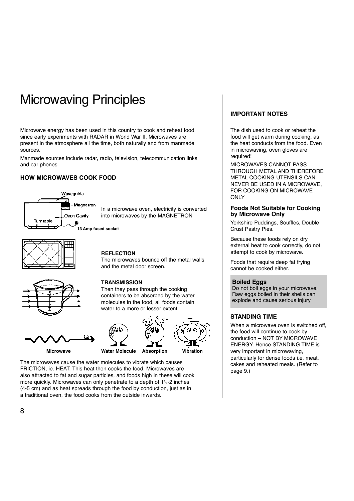# Microwaving Principles

Microwave energy has been used in this country to cook and reheat food since early experiments with RADAR in World War II. Microwaves are present in the atmosphere all the time, both naturally and from manmade sources.

Manmade sources include radar, radio, television, telecommunication links and car phones.

### **HOW MICROWAVES COOK FOOD**



In a microwave oven, electricity is converted into microwaves by the MAGNETRON

**13 Amp fused socket**



### **REFLECTION**

**TRANSMISSION**

The microwaves bounce off the metal walls and the metal door screen.

Then they pass through the cooking containers to be absorbed by the water molecules in the food, all foods contain water to a more or lesser extent.









The microwaves cause the water molecules to vibrate which causes FRICTION, ie. HEAT. This heat then cooks the food. Microwaves are also attracted to fat and sugar particles, and foods high in these will cook more quickly. Microwaves can only penetrate to a depth of 11⁄ 2-2 inches (4-5 cm) and as heat spreads through the food by conduction, just as in a traditional oven, the food cooks from the outside inwards.

### **IMPORTANT NOTES**

The dish used to cook or reheat the food will get warm during cooking, as the heat conducts from the food. Even in microwaving, oven gloves are required!

MICROWAVES CANNOT PASS THROUGH METAL AND THEREFORE METAL COOKING UTENSILS CAN NEVER BE USED IN A MICROWAVE, FOR COOKING ON MICROWAVE **ONLY** 

### **Foods Not Suitable for Cooking by Microwave Only**

Yorkshire Puddings, Souffles, Double Crust Pastry Pies.

Because these foods rely on dry external heat to cook correctly, do not attempt to cook by microwave.

Foods that require deep fat frying cannot be cooked either.

### **Boiled Eggs**

Do not boil eggs in your microwave. Raw eggs boiled in their shells can explode and cause serious injury

### **STANDING TIME**

When a microwave oven is switched off, the food will continue to cook by conduction – NOT BY MICROWAVE ENERGY. Hence STANDING TIME is very important in microwaving, particularly for dense foods i.e. meat, cakes and reheated meals. (Refer to page 9.)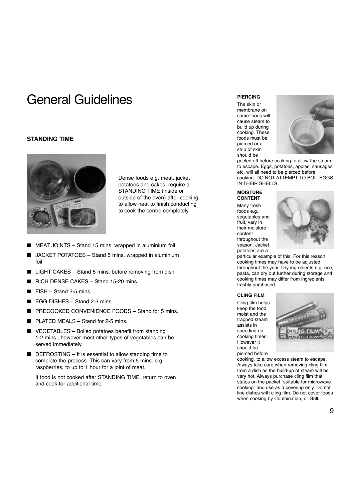# General Guidelines

### **STANDING TIME**



Dense foods e.g. meat, jacket potatoes and cakes, require a STANDING TIME (inside or outside of the oven) after cooking, to allow heat to finish conducting to cook the centre completely.

- MEAT JOINTS Stand 15 mins. wrapped in aluminium foil.
- JACKET POTATOES Stand 5 mins. wrapped in aluminium foil.
- LIGHT CAKES Stand 5 mins. before removing from dish.
- RICH DENSE CAKES Stand 15-20 mins.
- $FISH Stand 2-5 mins$ .
- EGG DISHES Stand 2-3 mins.
- PRECOOKED CONVENIENCE FOODS Stand for 5 mins.
- $PI$  ATED MEALS Stand for 2-5 mins.
- VEGETABLES Boiled potatoes benefit from standing 1-2 mins., however most other types of vegetables can be served immediately.
- DEFROSTING It is essential to allow standing time to complete the process. This can vary from 5 mins. e.g. raspberries, to up to 1 hour for a joint of meat.

If food is not cooked after STANDING TIME, return to oven and cook for additional time.

The skin or membrane on some foods will cause steam to build up during cooking. These foods must be pierced or a strip of skin should be



peeled off before cooking to allow the steam to escape. Eggs, potatoes, apples, sausages etc, will all need to be pierced before cooking. DO NOT ATTEMPT TO BOIL EGGS IN THEIR SHELLS.

### **MOISTURE CONTENT**

Many fresh foods e.g. vegetables and fruit, vary in their moisture content throughout the season. Jacket potatoes are a



particular example of this. For this reason cooking times may have to be adjusted throughout the year. Dry ingredients e.g. rice, pasta, can dry out further during storage and cooking times may differ from ingredients freshly purchased.

#### **CLING FILM**

Cling film helps keep the food moist and the trapped steam assists in speeding up cooking times. However it should be pierced before



cooking, to allow excess steam to escape. Always take care when removing cling film from a dish as the build-up of steam will be very hot. Always purchase cling film that states on the packet "suitable for microwave cooking" and use as a covering only. Do not line dishes with cling film. Do not cover foods when cooking by Combination, or Grill.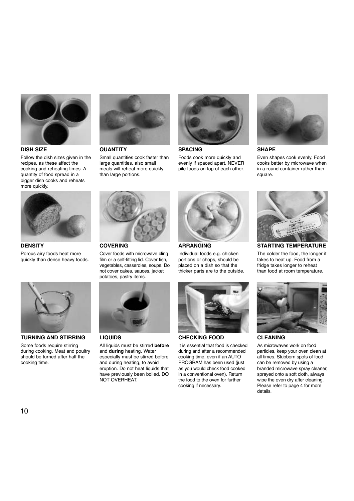

**DISH SIZE**

Follow the dish sizes given in the recipes, as these affect the cooking and reheating times. A quantity of food spread in a bigger dish cooks and reheats more quickly.



**DENSITY** Porous airy foods heat more quickly than dense heavy foods.



**TURNING AND STIRRING**

Some foods require stirring during cooking. Meat and poultry should be turned after half the cooking time.



**QUANTITY** Small quantities cook faster than large quantities, also small meals will reheat more quickly than large portions.

Cover foods with microwave cling film or a self-fitting lid. Cover fish. vegetables, casseroles, soups. Do not cover cakes, sauces, jacket potatoes, pastry items.

All liquids must be stirred **before** and **during** heating. Water especially must be stirred before and during heating, to avoid eruption. Do not heat liquids that have previously been boiled. DO

**COVERING**

**LIQUIDS**

NOT OVERHEAT.



**SPACING** Foods cook more quickly and

evenly if spaced apart. NEVER pile foods on top of each other.



**ARRANGING**

Individual foods e.g. chicken portions or chops, should be placed on a dish so that the thicker parts are to the outside.



**CHECKING FOOD**

It is essential that food is checked during and after a recommended cooking time, even if an AUTO PROGRAM has been used (just as you would check food cooked in a conventional oven). Return the food to the oven for further cooking if necessary.



**SHAPE**

Even shapes cook evenly. Food cooks better by microwave when in a round container rather than square



**STARTING TEMPERATURE**

The colder the food, the longer it takes to heat up. Food from a fridge takes longer to reheat than food at room temperature.



**CLEANING**

As microwaves work on food particles, keep your oven clean at all times. Stubborn spots of food can be removed by using a branded microwave spray cleaner, sprayed onto a soft cloth, always wipe the oven dry after cleaning. Please refer to page 4 for more details.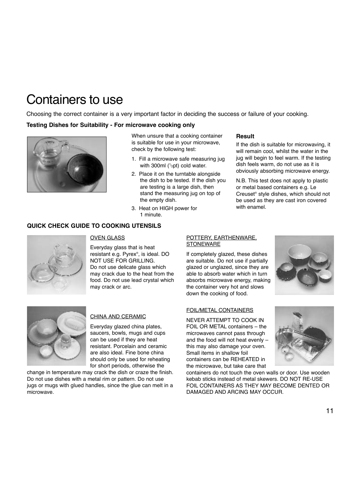# Containers to use

Choosing the correct container is a very important factor in deciding the success or failure of your cooking.

### **Testing Dishes for Suitability - For microwave cooking only**



When unsure that a cooking container is suitable for use in your microwave, check by the following test:

- 1. Fill a microwave safe measuring jug with 300ml (<sup>1</sup>/<sub>2</sub>pt) cold water.
- 2. Place it on the turntable alongside the dish to be tested. If the dish you are testing is a large dish, then stand the measuring jug on top of the empty dish.
- 3. Heat on HIGH power for 1 minute.

### **QUICK CHECK GUIDE TO COOKING UTENSILS**

### **Result**

If the dish is suitable for microwaving, it will remain cool, whilst the water in the jug will begin to feel warm. If the testing dish feels warm, do not use as it is obviously absorbing microwave energy.

N.B. This test does not apply to plastic or metal based containers e.g. Le Creuset® style dishes, which should not be used as they are cast iron covered with enamel.



### OVEN GLASS

Everyday glass that is heat resistant e.g. Pyrex®, is ideal. DO NOT USE FOR GRILLING. Do not use delicate glass which may crack due to the heat from the food. Do not use lead crystal which may crack or arc.

### POTTERY, EARTHENWARE, **STONEWARE**

If completely glazed, these dishes are suitable. Do not use if partially glazed or unglazed, since they are able to absorb water which in turn absorbs microwave energy, making the container very hot and slows down the cooking of food.



### FOIL/METAL CONTAINERS

NEVER ATTEMPT TO COOK IN FOIL OR METAL containers – the microwaves cannot pass through and the food will not heat evenly – this may also damage your oven. Small items in shallow foil containers can be REHEATED in the microwave, but take care that

containers do not touch the oven walls or door. Use wooden kebab sticks instead of metal skewers. DO NOT RE-USE FOIL CONTAINERS AS THEY MAY BECOME DENTED OR DAMAGED AND ARCING MAY OCCUR.





### CHINA AND CERAMIC

Everyday glazed china plates, saucers, bowls, mugs and cups can be used if they are heat resistant. Porcelain and ceramic are also ideal. Fine bone china should only be used for reheating for short periods, otherwise the

change in temperature may crack the dish or craze the finish. Do not use dishes with a metal rim or pattern. Do not use jugs or mugs with glued handles, since the glue can melt in a microwave.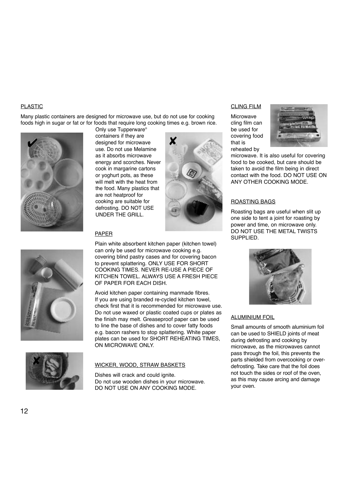### PLASTIC

Many plastic containers are designed for microwave use, but do not use for cooking foods high in sugar or fat or for foods that require long cooking times e.g. brown rice. Only use Tupperware®





containers if they are Example 1991 and the containers if they are<br>  $\overline{\mathbf{X}}$  designed for microwave use. Do not use Melamine as it absorbs microwave energy and scorches. Never cook in margarine cartons or yoghurt pots, as these will melt with the heat from the food. Many plastics that are not heatproof for cooking are suitable for defrosting. DO NOT USE UNDER THE GRILL.

### PAPER

Plain white absorbent kitchen paper (kitchen towel) can only be used for microwave cooking e.g. covering blind pastry cases and for covering bacon to prevent splattering. ONLY USE FOR SHORT COOKING TIMES. NEVER RE-USE A PIECE OF KITCHEN TOWEL. ALWAYS USE A FRESH PIECE OF PAPER FOR EACH DISH.

Avoid kitchen paper containing manmade fibres. If you are using branded re-cycled kitchen towel, check first that it is recommended for microwave use. Do not use waxed or plastic coated cups or plates as the finish may melt. Greaseproof paper can be used to line the base of dishes and to cover fatty foods e.g. bacon rashers to stop splattering. White paper plates can be used for SHORT REHEATING TIMES, ON MICROWAVE ONLY.

# ✘

### WICKER, WOOD, STRAW BASKETS

Dishes will crack and could ignite. Do not use wooden dishes in your microwave. DO NOT USE ON ANY COOKING MODE.

### CLING FILM

Microwave cling film can be used for covering food that is reheated by



microwave. It is also useful for covering food to be cooked, but care should be taken to avoid the film being in direct contact with the food. DO NOT USE ON ANY OTHER COOKING MODE.

### ROASTING BAGS

Roasting bags are useful when slit up one side to tent a joint for roasting by power and time, on microwave only. DO NOT USE THE METAL TWISTS SUPPLIED.



### ALUMINIUM FOIL

Small amounts of smooth aluminium foil can be used to SHIELD joints of meat during defrosting and cooking by microwave, as the microwaves cannot pass through the foil, this prevents the parts shielded from overcooking or overdefrosting. Take care that the foil does not touch the sides or roof of the oven, as this may cause arcing and damage your oven.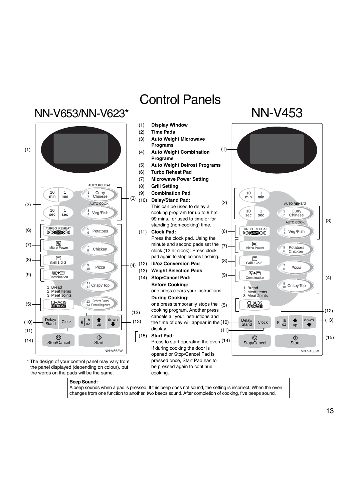

A beep sounds when a pad is pressed. If this beep does not sound, the setting is incorrect. When the oven changes from one function to another, two beeps sound. After completion of cooking, five beeps sound.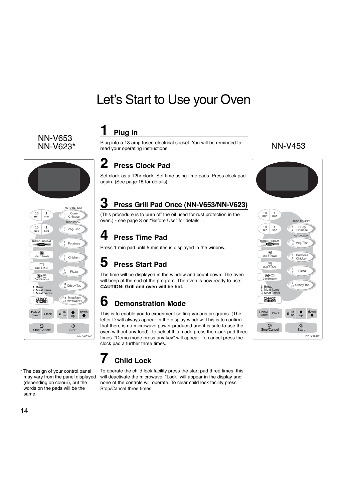# Let's Start to Use your Oven

# NN-V653<br>NN-V623\*



\* The design of your control panel may vary from the panel displayed (depending on colour), but the words on the pads will be the

### **1 Plug in**

NN-V623\* NN-V453 read your operating instructions. Plug into a 13 amp fused electrical socket. You will be reminded to

### **2 Press Clock Pad**

Set clock as a 12hr clock. Set time using time pads. Press clock pad again. (See page 15 for details).

### **3 Press Grill Pad Once (NN-V653/NN-V623)**

(This procedure is to burn off the oil used for rust protection in the oven.) - see page 3 on "Before Use" for details.

### **4 Press Time Pad**

Press 1 min pad until 5 minutes is displayed in the window.

# **5 Press Start Pad**

The time will be displayed in the window and count down. The oven will beep at the end of the program. The oven is now ready to use. **CAUTION: Grill and oven will be hot.**

### **6 Demonstration Mode**

This is to enable you to experiment setting various programs. (The letter D will always appear in the display window. This is to confirm that there is no microwave power produced and it is safe to use the oven without any food). To select this mode press the clock pad three times. "Demo mode press any key" will appear. To cancel press the clock pad a further three times.

### **7 Child Lock**

To operate the child lock facility press the start pad three times, this will deactivate the microwave. "Lock" will appear in the display and none of the controls will operate. To clear child lock facility press Stop/Cancel three times.





14

same.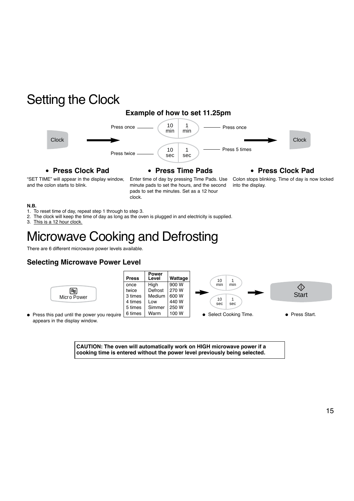# Setting the Clock

### **Example of how to set 11.25pm**



● **Press Clock Pad**

### ● **Press Time Pads**

● **Press Clock Pad**

"SET TIME" will appear in the display window, and the colon starts to blink.

Enter time of day by pressing Time Pads. Use minute pads to set the hours, and the second pads to set the minutes. Set as a 12 hour clock.

Colon stops blinking. Time of day is now locked into the display.

### **N.B.**

- 1. To reset time of day, repeat step 1 through to step 3.
- 2. The clock will keep the time of day as long as the oven is plugged in and electricity is supplied.
- 3. This is a 12 hour clock.

# Microwave Cooking and Defrosting

There are 6 different microwave power levels available.

### **Selecting Microwave Power Level**



appears in the display window.

**CAUTION: The oven will automatically work on HIGH microwave power if a cooking time is entered without the power level previously being selected.**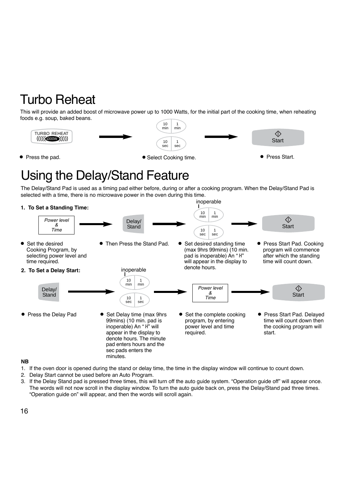# Turbo Reheat

This will provide an added boost of microwave power up to 1000 Watts, for the initial part of the cooking time, when reheating foods e.g. soup, baked beans.



● Press the pad. 
● Press Start.

● Press Start.

→ Select Cooking time.
→ Press Start.
→ Press Start.
→ Select Cooking time.

# Using the Delay/Stand Feature

The Delay/Stand Pad is used as a timing pad either before, during or after a cooking program. When the Delay/Stand Pad is selected with a time, there is no microwave power in the oven during this time.

inoperable

### **1. To Set a Standing Time:**



### **NB**

- 1. If the oven door is opened during the stand or delay time, the time in the display window will continue to count down.
- 2. Delay Start cannot be used before an Auto Program.
- 3. If the Delay Stand pad is pressed three times, this will turn off the auto guide system. "Operation guide off" will appear once. The words will not now scroll in the display window. To turn the auto guide back on, press the Delay/Stand pad three times. "Operation guide on" will appear, and then the words will scroll again.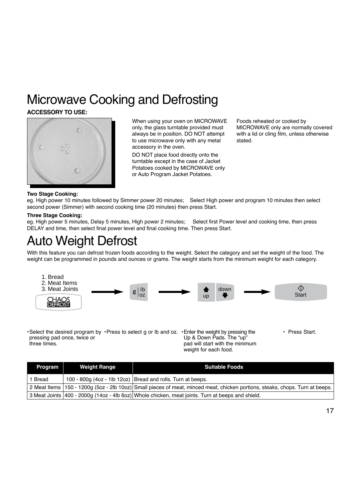# Microwave Cooking and Defrosting

### **ACCESSORY TO USE:**



When using your oven on MICROWAVE only, the glass turntable provided must always be in position. DO NOT attempt to use microwave only with any metal accessory in the oven.

DO NOT place food directly onto the turntable except in the case of Jacket Potatoes cooked by MICROWAVE only or Auto Program Jacket Potatoes.

Foods reheated or cooked by MICROWAVE only are normally covered with a lid or cling film, unless otherwise stated.

### **Two Stage Cooking:**

eg. High power 10 minutes followed by Simmer power 20 minutes; Select High power and program 10 minutes then select second power (Simmer) with second cooking time (20 minutes) then press Start.

### **Three Stage Cooking:**

eg. High power 5 minutes, Delay 5 minutes, High power 2 minutes; Select first Power level and cooking time, then press DELAY and time, then select final power level and final cooking time. Then press Start.

# Auto Weight Defrost

With this feature you can defrost frozen foods according to the weight. Select the category and set the weight of the food. The weight can be programmed in pounds and ounces or grams. The weight starts from the minimum weight for each category.



•Select the desired program by •Press to select g or lb and oz. •Enter the weight by pressing the pressing pad once, twice or three times. Up & Down Pads. The "up" pad will start with the minimum

weight for each food.

• Press Start.

| <b>Program</b> | <b>Weight Range</b> | <b>Suitable Foods</b>                                                                                                        |
|----------------|---------------------|------------------------------------------------------------------------------------------------------------------------------|
| 1 Bread        |                     | 100 - 800g (4oz - 1lb 12oz) Bread and rolls. Turn at beeps.                                                                  |
|                |                     | 2 Meat Items 150 - 1200g (5oz - 2lb 10oz) Small pieces of meat, minced meat, chicken portions, steaks, chops. Turn at beeps. |
|                |                     | 3 Meat Joints 400 - 2000g (14oz - 4lb 6oz) Whole chicken, meat joints. Turn at beeps and shield.                             |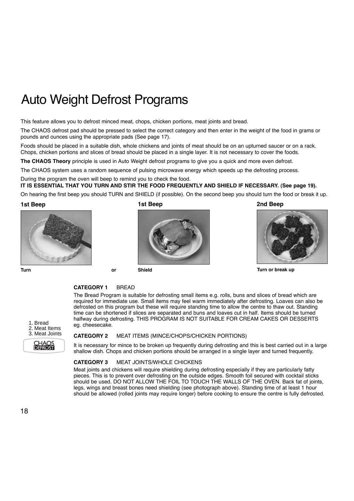# Auto Weight Defrost Programs

This feature allows you to defrost minced meat, chops, chicken portions, meat joints and bread.

The CHAOS defrost pad should be pressed to select the correct category and then enter in the weight of the food in grams or pounds and ounces using the appropriate pads (See page 17).

Foods should be placed in a suitable dish, whole chickens and joints of meat should be on an upturned saucer or on a rack. Chops, chicken portions and slices of bread should be placed in a single layer. It is not necessary to cover the foods.

**The CHAOS Theory** principle is used in Auto Weight defrost programs to give you a quick and more even defrost.

The CHAOS system uses a random sequence of pulsing microwave energy which speeds up the defrosting process.

During the program the oven will beep to remind you to check the food. **IT IS ESSENTIAL THAT YOU TURN AND STIR THE FOOD FREQUENTLY AND SHIELD IF NECESSARY. (See page 19).**

On hearing the first beep you should TURN and SHIELD (if possible). On the second beep you should turn the food or break it up.

**1st Beep 1st Beep**





**2nd Beep**



**Turn or break up**

### **CATEGORY 1** BREAD

**Turn or Shield**

The Bread Program is suitable for defrosting small items e.g. rolls, buns and slices of bread which are required for immediate use. Small items may feel warm immediately after defrosting. Loaves can also be defrosted on this program but these will require standing time to allow the centre to thaw out. Standing time can be shortened if slices are separated and buns and loaves cut in half. Items should be turned halfway during defrosting. THIS PROGRAM IS NOT SUITABLE FOR CREAM CAKES OR DESSERTS eg. cheesecake.



### **CATEGORY 2** MEAT ITEMS (MINCE/CHOPS/CHICKEN PORTIONS)

It is necessary for mince to be broken up frequently during defrosting and this is best carried out in a large shallow dish. Chops and chicken portions should be arranged in a single layer and turned frequently.

### **CATEGORY 3** MEAT JOINTS/WHOLE CHICKENS

Meat joints and chickens will require shielding during defrosting especially if they are particularly fatty pieces. This is to prevent over defrosting on the outside edges. Smooth foil secured with cocktail sticks should be used. DO NOT ALLOW THE FOIL TO TOUCH THE WALLS OF THE OVEN. Back fat of joints, legs, wings and breast bones need shielding (see photograph above). Standing time of at least 1 hour should be allowed (rolled joints may require longer) before cooking to ensure the centre is fully defrosted.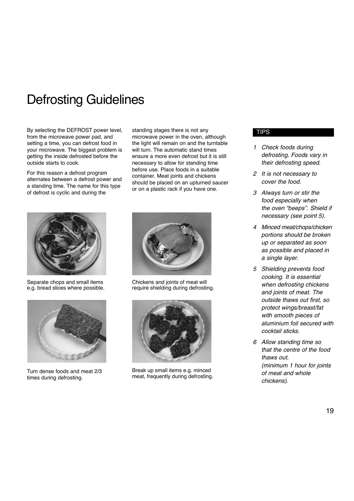# Defrosting Guidelines

By selecting the DEFROST power level, from the microwave power pad, and setting a time, you can defrost food in your microwave. The biggest problem is getting the inside defrosted before the outside starts to cook.

For this reason a defrost program alternates between a defrost power and a standing time. The name for this type of defrost is cyclic and during the

standing stages there is not any microwave power in the oven, although the light will remain on and the turntable will turn. The automatic stand times ensure a more even defrost but it is still necessary to allow for standing time before use. Place foods in a suitable container. Meat joints and chickens should be placed on an upturned saucer or on a plastic rack if you have one.



Separate chops and small items e.g. bread slices where possible.



Turn dense foods and meat 2/3 times during defrosting.



Chickens and joints of meat will require shielding during defrosting.



Break up small items e.g. minced meat, frequently during defrosting.

### **TIPS**

- *1 Check foods during defrosting. Foods vary in their defrosting speed.*
- *2 It is not necessary to cover the food.*
- *3 Always turn or stir the food especially when the oven "beeps''. Shield if necessary (see point 5).*
- *4 Minced meat/chops/chicken portions should be broken up or separated as soon as possible and placed in a single layer.*
- *5 Shielding prevents food cooking. It is essential when defrosting chickens and joints of meat. The outside thaws out first, so protect wings/breast/fat with smooth pieces of aluminium foil secured with cocktail sticks.*
- *6 Allow standing time so that the centre of the food thaws out. (minimum 1 hour for joints of meat and whole chickens).*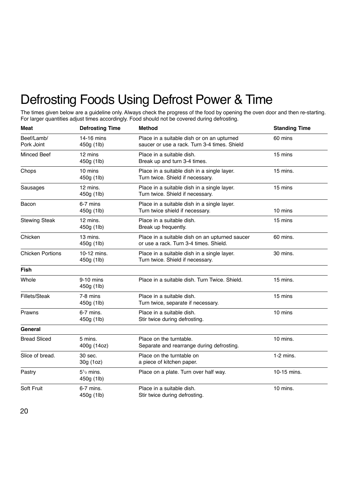# Defrosting Foods Using Defrost Power & Time

The times given below are a guideline only. Always check the progress of the food by opening the oven door and then re-starting. For larger quantities adjust times accordingly. Food should not be covered during defrosting.

| Meat                     | <b>Defrosting Time</b>                  | <b>Method</b>                                                                              | <b>Standing Time</b> |
|--------------------------|-----------------------------------------|--------------------------------------------------------------------------------------------|----------------------|
| Beef/Lamb/<br>Pork Joint | 14-16 mins<br>450g (1lb)                | Place in a suitable dish or on an upturned<br>saucer or use a rack. Turn 3-4 times. Shield | 60 mins              |
| <b>Minced Beef</b>       | 12 mins<br>450g (1lb)                   | Place in a suitable dish.<br>Break up and turn 3-4 times.                                  | 15 mins              |
| Chops                    | 10 mins<br>450g (1lb)                   | Place in a suitable dish in a single layer.<br>Turn twice. Shield if necessary.            | $15$ mins.           |
| Sausages                 | 12 mins.<br>450g (1lb)                  | Place in a suitable dish in a single layer.<br>Turn twice. Shield if necessary.            | 15 mins              |
| Bacon                    | 6-7 mins<br>450g (1lb)                  | Place in a suitable dish in a single layer.<br>Turn twice shield if necessary.             | 10 mins              |
| <b>Stewing Steak</b>     | 12 mins.<br>450g (1lb)                  | Place in a suitable dish.<br>Break up frequently.                                          | 15 mins              |
| Chicken                  | 13 mins.<br>450g (1lb)                  | Place in a suitable dish on an upturned saucer<br>or use a rack. Turn 3-4 times. Shield.   | 60 mins.             |
| <b>Chicken Portions</b>  | 10-12 mins.<br>450g (1lb)               | Place in a suitable dish in a single layer.<br>Turn twice. Shield if necessary.            | 30 mins.             |
| <b>Fish</b>              |                                         |                                                                                            |                      |
| Whole                    | 9-10 mins<br>450g (1lb)                 | Place in a suitable dish. Turn Twice. Shield.                                              | 15 mins.             |
| Fillets/Steak            | 7-8 mins<br>450g (1lb)                  | Place in a suitable dish.<br>Turn twice, separate if necessary.                            | 15 mins              |
| Prawns                   | $6-7$ mins.<br>450g (1lb)               | Place in a suitable dish.<br>Stir twice during defrosting.                                 | 10 mins              |
| General                  |                                         |                                                                                            |                      |
| <b>Bread Sliced</b>      | 5 mins.<br>400g (14oz)                  | Place on the turntable.<br>Separate and rearrange during defrosting.                       | 10 mins.             |
| Slice of bread.          | 30 sec.<br>30g (1oz)                    | Place on the turntable on<br>a piece of kitchen paper.                                     | $1-2$ mins.          |
| Pastry                   | $51$ / <sub>2</sub> mins.<br>450g (1lb) | Place on a plate. Turn over half way.                                                      | 10-15 mins.          |
| Soft Fruit               | 6-7 mins.<br>450g (1lb)                 | Place in a suitable dish.<br>Stir twice during defrosting.                                 | 10 mins.             |

20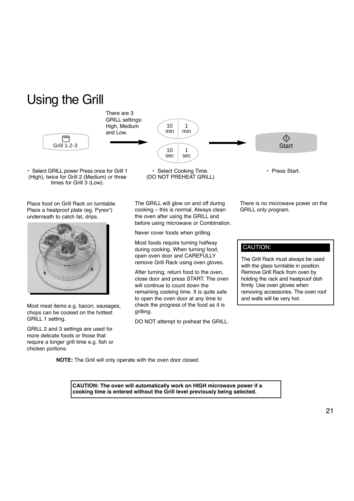# Using the Grill



• Select GRILL power Press once for Grill 1 (High), twice for Grill 2 (Medium) or three times for Grill 3 (Low).

Place food on Grill Rack on turntable. Place a heatproof plate (eg. Pyrex®) underneath to catch fat, drips.



Most meat items e.g. bacon, sausages, chops can be cooked on the hottest GRILL 1 setting.

GRILL 2 and 3 settings are used for more delicate foods or those that require a longer grill time e.g. fish or chicken portions.

• Select Cooking Time. (DO NOT PREHEAT GRILL)

The GRILL will glow on and off during cooking – this is normal. Always clean the oven after using the GRILL and before using microwave or Combination.

Never cover foods when grilling.

Most foods require turning halfway during cooking. When turning food, open oven door and CAREFULLY remove Grill Rack using oven gloves.

After turning, return food to the oven, close door and press START. The oven will continue to count down the remaining cooking time. It is quite safe to open the oven door at any time to check the progress of the food as it is grilling.

DO NOT attempt to preheat the GRILL.

There is no microwave power on the GRILL only program.

### CAUTION:

The Grill Rack must always be used with the glass turntable in position. Remove Grill Rack from oven by holding the rack and heatproof dish firmly. Use oven gloves when removing accessories. The oven roof and walls will be very hot.

**NOTE:** The Grill will only operate with the oven door closed.

**CAUTION: The oven will automatically work on HIGH microwave power if a cooking time is entered without the Grill level previously being selected.**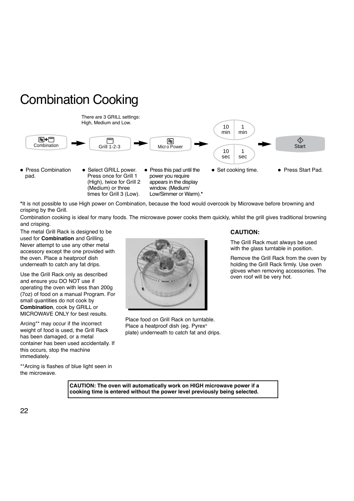

times for Grill 3 (Low).



**\***It is not possible to use High power on Combination, because the food would overcook by Microwave before browning and crisping by the Grill.

Combination cooking is ideal for many foods. The microwave power cooks them quickly, whilst the grill gives traditional browning and crisping.

Low/Simmer or Warm).**\***

The metal Grill Rack is designed to be used for **Combination** and Grilling. Never attempt to use any other metal accessory except the one provided with the oven. Place a heatproof dish underneath to catch any fat drips.

Use the Grill Rack only as described and ensure you DO NOT use if operating the oven with less than 200g (7oz) of food on a manual Program. For small quantities do not cook by **Combination**, cook by GRILL or MICROWAVE ONLY for best results.

Arcing\*\* may occur if the incorrect weight of food is used, the Grill Rack has been damaged, or a metal container has been used accidentally. If this occurs, stop the machine immediately.

\*\*Arcing is flashes of blue light seen in

Place food on Grill Rack on turntable. Place a heatproof dish (eg. Pyrex® plate) underneath to catch fat and drips.

### **CAUTION:**

The Grill Rack must always be used with the glass turntable in position.

Remove the Grill Rack from the oven by holding the Grill Rack firmly. Use oven gloves when removing accessories. The oven roof will be very hot.

**CAUTION: The oven will automatically work on HIGH microwave power if a cooking time is entered without the power level previously being selected.**

the microwave.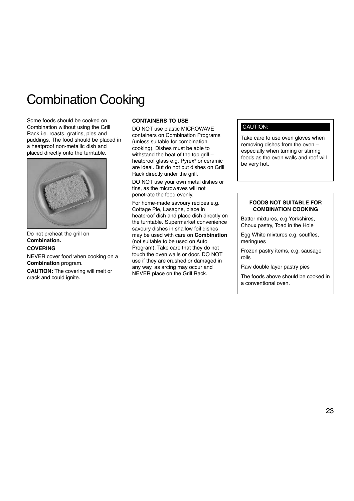# Combination Cooking

Some foods should be cooked on Combination without using the Grill Rack i.e. roasts, gratins, pies and puddings. The food should be placed in a heatproof non-metallic dish and placed directly onto the turntable.



Do not preheat the grill on **Combination.**

### **COVERING**

NEVER cover food when cooking on a **Combination** program.

**CAUTION:** The covering will melt or crack and could ignite.

### **CONTAINERS TO USE**

DO NOT use plastic MICROWAVE containers on Combination Programs (unless suitable for combination cooking). Dishes must be able to withstand the heat of the top grill – heatproof glass e.g. Pyrex® or ceramic are ideal. But do not put dishes on Grill Rack directly under the grill.

DO NOT use your own metal dishes or tins, as the microwaves will not penetrate the food evenly.

For home-made savoury recipes e.g. Cottage Pie, Lasagne, place in heatproof dish and place dish directly on the turntable. Supermarket convenience savoury dishes in shallow foil dishes may be used with care on **Combination** (not suitable to be used on Auto Program). Take care that they do not touch the oven walls or door. DO NOT use if they are crushed or damaged in any way, as arcing may occur and NEVER place on the Grill Rack.

### CAUTION:

Take care to use oven gloves when removing dishes from the oven – especially when turning or stirring foods as the oven walls and roof will be very hot.

### **FOODS NOT SUITABLE FOR COMBINATION COOKING**

Batter mixtures, e.g.Yorkshires, Choux pastry, Toad in the Hole

Egg White mixtures e.g. souffles, meringues

Frozen pastry items, e.g. sausage rolls

Raw double layer pastry pies

The foods above should be cooked in a conventional oven.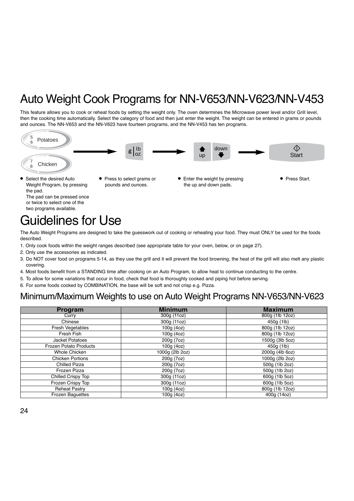# Auto Weight Cook Programs for NN-V653/NN-V623/NN-V453

This feature allows you to cook or reheat foods by setting the weight only. The oven determines the Microwave power level and/or Grill level, then the cooking time automatically. Select the category of food and then just enter the weight. The weight can be entered in grams or pounds and ounces. The NN-V653 and the NN-V623 have fourteen programs, and the NN-V453 has ten programs.



Select the desired Auto Weight Program, by pressing the pad.

The pad can be pressed once or twice to select one of the two programs available.

- Press to select grams or pounds and ounces.
- Enter the weight by pressing the up and down pads.
- Press Start.

# Guidelines for Use

The Auto Weight Programs are designed to take the guesswork out of cooking or reheating your food. They must ONLY be used for the foods described.

- 1. Only cook foods within the weight ranges described (see appropriate table for your oven, below, or on page 27).
- 2. Only use the accessories as indicated.
- 3. Do NOT cover food on programs 5-14, as they use the grill and it will prevent the food browning, the heat of the grill will also melt any plastic covering.
- 4. Most foods benefit from a STANDING time after cooking on an Auto Program, to allow heat to continue conducting to the centre.
- 5. To allow for some variations that occur in food, check that food is thoroughly cooked and piping hot before serving.
- 6. For some foods cooked by COMBINATION, the base will be soft and not crisp e.g. Pizza.

### Minimum/Maximum Weights to use on Auto Weight Programs NN-V653/NN-V623

| Program                       | <b>Minimum</b>  | <b>Maximum</b>  |
|-------------------------------|-----------------|-----------------|
| Curry                         | 300g (11oz)     | 800g (1lb 12oz) |
| Chinese                       | 300g (11oz)     | 450g (1lb)      |
| Fresh Vegetables              | 100g (4oz)      | 800g (1lb 12oz) |
| Fresh Fish                    | 100g (4oz)      | 800g (1lb 12oz) |
| <b>Jacket Potatoes</b>        | 200g (7oz)      | 1500g (3lb 5oz) |
| <b>Frozen Potato Products</b> | 100g (4oz)      | 450g (1lb)      |
| Whole Chicken                 | 1000g (2lb 2oz) | 2000g (4lb 6oz) |
| <b>Chicken Portions</b>       | 200g (7oz)      | 1000q (2lb 2oz) |
| <b>Chilled Pizza</b>          | 200g (7oz)      | 500g (1lb 2oz)  |
| Frozen Pizza                  | 200g (7oz)      | 500g (1lb 2oz)  |
| Chilled Crispy Top            | 300g (11oz)     | 600g (1lb 5oz)  |
| Frozen Crispy Top             | 300g (11oz)     | 600g (1lb 5oz)  |
| <b>Reheat Pastry</b>          | 100g (4oz)      | 800g (1lb 12oz) |
| <b>Frozen Baquettes</b>       | 100g (4oz)      | 400g (14oz)     |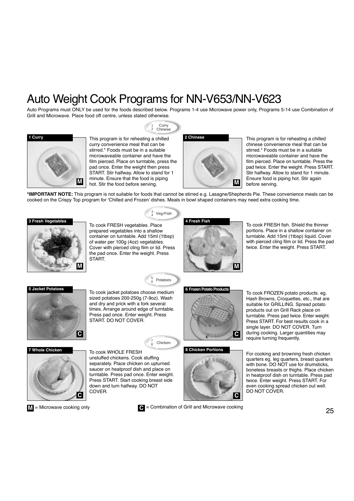# Auto Weight Cook Programs for NN-V653/NN-V623

1 2 Curry Chinese

Auto Programs must ONLY be used for the foods described below. Programs 1-4 use Microwave power only, Programs 5-14 use Combination of Grill and Microwave. Place food off centre, unless stated otherwise.



This program is for reheating a chilled curry convenience meal that can be stirred.\* Foods must be in a suitable microwaveable container and have the film pierced. Place on turntable, press the pad once. Enter the weight then press START. Stir halfway. Allow to stand for 1 minute. Ensure that the food is piping hot. Stir the food before serving.



This program is for reheating a chilled chinese convenience meal that can be stirred.\* Foods must be in a suitable microwaveable container and have the film pierced. Place on turntable. Press the pad twice. Enter the weight. Press START. Stir halfway. Allow to stand for 1 minute. Ensure food is piping hot. Stir again before serving.

**\*IMPORTANT NOTE:** This program is not suitable for foods that cannot be stirred e.g. Lasagne/Shepherds Pie. These convenience meals can be cooked on the Crispy Top program for 'Chilled and Frozen' dishes. Meals in bowl shaped containers may need extra cooking time.



To cook FRESH vegetables. Place prepared vegetables into a shallow container on turntable. Add 15ml (1tbsp) of water per 100g (4oz) vegetables. Cover with pierced cling film or lid. Press the pad once. Enter the weight. Press **START** 



To cook FRESH fish. Shield the thinner portions. Place in a shallow container on turntable. Add 15ml (1tbsp) liquid. Cover with pierced cling film or lid. Press the pad twice. Enter the weight. Press START.



To cook jacket potatoes choose medium **5 Jacket Potatoes 6 Frozen Potato Products** sized potatoes 200-250g (7-9oz). Wash and dry and prick with a fork several times. Arrange around edge of turntable. Press pad once. Enter weight. Press START. DO NOT COVER.

### $_8^7$  Chicken

5 **Potatoes** 

3 Veg/Fish



**M**

unstuffed chickens. Cook stuffing separately. Place chicken on upturned saucer on heatproof dish and place on turntable. Press pad once. Enter weight. Press START. Start cooking breast side down and turn halfway. DO NOT COVER.



= Microwave cooking only **De** = Combination of Grill and Microwave cooking

**C**

To cook FROZEN potato products. eg. Hash Browns, Croquettes, etc., that are suitable for GRILLING. Spread potato products out on Grill Rack place on turntable. Press pad twice. Enter weight. Press START. For best results cook in a single layer. DO NOT COVER. Turn during cooking. Larger quantities may require turning frequently.

For cooking and browning fresh chicken quarters eg. leg quarters, breast quarters with bone. DO NOT use for drumsticks, boneless breasts or thighs. Place chicken in heatproof dish on turntable. Press pad twice. Enter weight. Press START. For even cooking spread chicken out well. DO NOT COVER.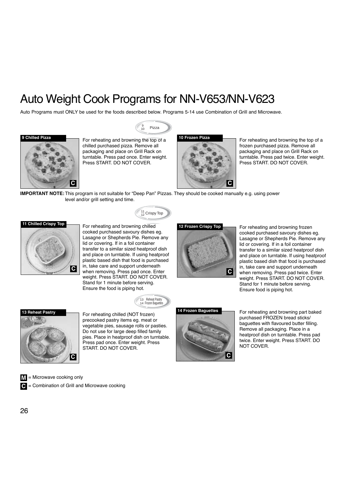# Auto Weight Cook Programs for NN-V653/NN-V623

Auto Programs must ONLY be used for the foods described below. Programs 5-14 use Combination of Grill and Microwave.

Pizza 10





For reheating and browning the top of a **9 Chilled Pizza 10 Frozen Pizza** chilled purchased pizza. Remove all packaging and place on Grill Rack on turntable. Press pad once. Enter weight. Press START. DO NOT COVER.



For reheating and browning the top of a frozen purchased pizza. Remove all packaging and place on Grill Rack on turntable. Press pad twice. Enter weight. Press START. DO NOT COVER.

**IMPORTANT NOTE:** This program is not suitable for "Deep Pan" Pizzas. They should be cooked manually e.g. using power level and/or grill setting and time.

 $^{11}_{12}$  Crispy Top

### **11 Chilled Crispy Top**



For reheating and browning chilled cooked purchased savoury dishes eg. Lasagne or Shepherds Pie. Remove any lid or covering. If in a foil container transfer to a similar sized heatproof dish and place on turntable. If using heatproof plastic based dish that food is purchased in, take care and support underneath when removing. Press pad once. Enter **<sup>C</sup> <sup>C</sup>** weight. Press START. DO NOT COVER. Stand for 1 minute before serving. Ensure the food is piping hot.





**12 Frozen Crispy Top**

For reheating and browning frozen cooked purchased savoury dishes eg. Lasagne or Shepherds Pie. Remove any lid or covering. If in a foil container transfer to a similar sized heatproof dish and place on turntable. If using heatproof plastic based dish that food is purchased in, take care and support underneath when removing. Press pad twice. Enter weight. Press START. DO NOT COVER. Stand for 1 minute before serving. Ensure food is piping hot.

**14 Frozen Baguettes**<br> **14 Frozen Baguettes 14 Frozen 14 Frozen** precooked pastry items eg. meat or vegetable pies, sausage rolls or pasties. Do not use for large deep filled family pies. Place in heatproof dish on turntable. Press pad once. Enter weight. Press START. DO NOT COVER.





For reheating and browning part baked purchased FROZEN bread sticks/ baguettes with flavoured butter filling. Remove all packaging. Place in a heatproof dish on turntable. Press pad twice. Enter weight. Press START. DO NOT COVER.

**M** = Microwave cooking only

= Combination of Grill and Microwave cooking

**C**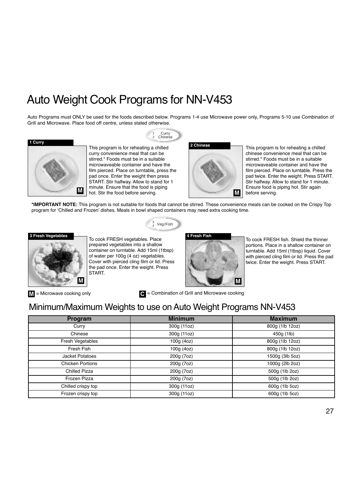# Auto Weight Cook Programs for NN-V453

Auto Programs must ONLY be used for the foods described below. Programs 1-4 use Microwave power only, Programs 5-10 use Combination of Grill and Microwave. Place food off centre, unless stated otherwise.





This program is for reheating a chilled curry convenience meal that can be stirred.\* Foods must be in a suitable microwaveable container and have the film pierced. Place on turntable, press the pad once. Enter the weight then press START. Stir halfway. Allow to stand for 1 minute. Ensure that the food is piping hot. Stir the food before serving.

1 2 Curry Chinese



This program is for reheating a chilled chinese convenience meal that can be stirred.\* Foods must be in a suitable microwaveable container and have the film pierced. Place on turntable. Press the pad twice. Enter the weight. Press START. Stir halfway. Allow to stand for 1 minute. Ensure food is piping hot. Stir again before serving.

**\*IMPORTANT NOTE:** This program is not suitable for foods that cannot be stirred. These convenience meals can be cooked on the Crispy Top program for 'Chilled and Frozen' dishes. Meals in bowl shaped containers may need extra cooking time.



 $_4^3$  Veg/Fish





To cook FRESH fish. Shield the thinner portions. Place in a shallow container on turntable. Add 15ml (1tbsp) liquid. Cover with pierced cling film or lid. Press the pad twice. Enter the weight. Press START.

 $M =$ Microwave cooking only

= Microwave cooking only **D** = Combination of Grill and Microwave cooking

### Minimum/Maximum Weights to use on Auto Weight Programs NN-V453

| <b>Program</b>          | <b>Minimum</b> | <b>Maximum</b>  |
|-------------------------|----------------|-----------------|
| Curry                   | 300g (11oz)    | 800g (1lb 12oz) |
| Chinese                 | 300g (11oz)    | 450g (1lb)      |
| Fresh Vegetables        | 100g (4oz)     | 800g (1lb 12oz) |
| Fresh Fish              | 100g (4oz)     | 800g (1lb 12oz) |
| Jacket Potatoes         | 200g (7oz)     | 1500g (3lb 5oz) |
| <b>Chicken Portions</b> | 200g (7oz)     | 1000g (2lb 2oz) |
| <b>Chilled Pizza</b>    | 200g (7oz)     | 500g (1lb 2oz)  |
| Frozen Pizza            | 200g (7oz)     | 500g (1lb 2oz)  |
| Chilled crispy top      | 300g (11oz)    | 600g (1lb 5oz)  |
| Frozen crispy top       | 300g (11oz)    | 600g (1lb 5oz)  |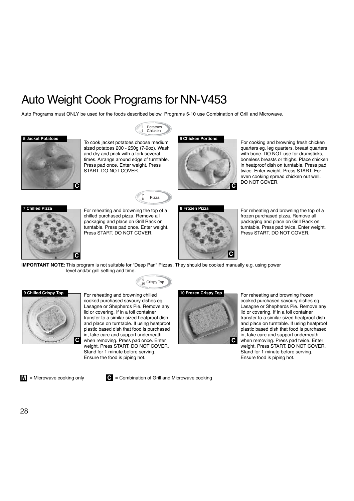# Auto Weight Cook Programs for NN-V453

Auto Programs must ONLY be used for the foods described below. Programs 5-10 use Combination of Grill and Microwave.

Potatoes Chicken

5 6





To cook jacket potatoes choose medium **5 Jacket Potatoes 6 Chicken Portions** sized potatoes 200 - 250g (7-9oz). Wash and dry and prick with a fork several times. Arrange around edge of turntable. Press pad once. Enter weight. Press START. DO NOT COVER.



For cooking and browning fresh chicken quarters eg. leg quarters, breast quarters with bone. DO NOT use for drumsticks, boneless breasts or thighs. Place chicken in heatproof dish on turntable. Press pad twice. Enter weight. Press START. For even cooking spread chicken out well. DO NOT COVER.



For reheating and browning the top of a **7 Chilled Pizza 8 Frozen Pizza** chilled purchased pizza. Remove all packaging and place on Grill Rack on turntable. Press pad once. Enter weight. Press START. DO NOT COVER.

7 Pizza



For reheating and browning the top of a frozen purchased pizza. Remove all packaging and place on Grill Rack on turntable. Press pad twice. Enter weight. Press START. DO NOT COVER.

**IMPORTANT NOTE:** This program is not suitable for "Deep Pan" Pizzas. They should be cooked manually e.g. using power level and/or grill setting and time.

 $_{10}^{9}$  Crispy Top



For reheating and browning chilled cooked purchased savoury dishes eg. Lasagne or Shepherds Pie. Remove any lid or covering. If in a foil container transfer to a similar sized heatproof dish and place on turntable. If using heatproof plastic based dish that food is purchased in, take care and support underneath when removing. Press pad once. Enter **C C** weight. Press START. DO NOT COVER. Stand for 1 minute before serving. Ensure the food is piping hot.

**10 Frozen Crispy Top**



For reheating and browning frozen cooked purchased savoury dishes eg. Lasagne or Shepherds Pie. Remove any lid or covering. If in a foil container transfer to a similar sized heatproof dish and place on turntable. If using heatproof plastic based dish that food is purchased in, take care and support underneath when removing. Press pad twice. Enter weight. Press START. DO NOT COVER. Stand for 1 minute before serving. Ensure food is piping hot.

**M**

= Microwave cooking only **■** C = Combination of Grill and Microwave cooking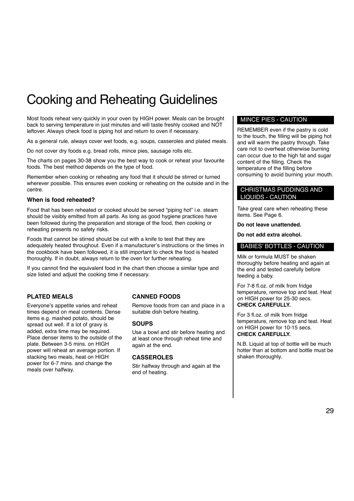# Cooking and Reheating Guidelines

Most foods reheat very quickly in your oven by HIGH power. Meals can be brought back to serving temperature in just minutes and will taste freshly cooked and NOT leftover. Always check food is piping hot and return to oven if necessary.

As a general rule, always cover wet foods, e.g. soups, casseroles and plated meals.

Do not cover dry foods e.g. bread rolls, mince pies, sausage rolls etc.

The charts on pages 30-38 show you the best way to cook or reheat your favourite foods. The best method depends on the type of food.

Remember when cooking or reheating any food that it should be stirred or turned wherever possible. This ensures even cooking or reheating on the outside and in the centre.

### **When is food reheated?**

Food that has been reheated or cooked should be served "piping hot" i.e. steam should be visibly emitted from all parts. As long as good hygiene practices have been followed during the preparation and storage of the food, then cooking or reheating presents no safety risks.

Foods that cannot be stirred should be cut with a knife to test that they are adequately heated throughout. Even if a manufacturer's instructions or the times in the cookbook have been followed, it is still important to check the food is heated thoroughly. If in doubt, always return to the oven for further reheating.

If you cannot find the equivalent food in the chart then choose a similar type and size listed and adjust the cooking time if necessary.

### **PLATED MEALS**

Everyone's appetite varies and reheat times depend on meal contents. Dense items e.g. mashed potato, should be spread out well. If a lot of gravy is added, extra time may be required. Place denser items to the outside of the plate. Between 3-5 mins. on HIGH power will reheat an average portion. If stacking two meals, heat on HIGH power for 6-7 mins. and change the meals over halfway.

### **CANNED FOODS**

Remove foods from can and place in a suitable dish before heating.

### **SOUPS**

Use a bowl and stir before heating and at least once through reheat time and again at the end.

### **CASSEROLES**

Stir halfway through and again at the end of heating.

### MINCE PIES - CAUTION

REMEMBER even if the pastry is cold to the touch, the filling will be piping hot and will warm the pastry through. Take care not to overheat otherwise burning can occur due to the high fat and sugar content of the filling. Check the temperature of the filling before consuming to avoid burning your mouth.

### CHRISTMAS PUDDINGS AND LIQUIDS - CAUTION

Take great care when reheating these items. See Page 6.

**Do not leave unattended.**

**Do not add extra alcohol.**

### BABIES' BOTTLES - CAUTION

Milk or formula MUST be shaken thoroughly before heating and again at the end and tested carefully before feeding a baby.

For 7-8 fl.oz. of milk from fridge temperature, remove top and teat. Heat on HIGH power for 25-30 secs. **CHECK CAREFULLY.**

For 3 fl.oz. of milk from fridge temperature, remove top and teat. Heat on HIGH power for 10-15 secs. **CHECK CAREFULLY.**

N.B. Liquid at top of bottle will be much hotter than at bottom and bottle must be shaken thoroughly.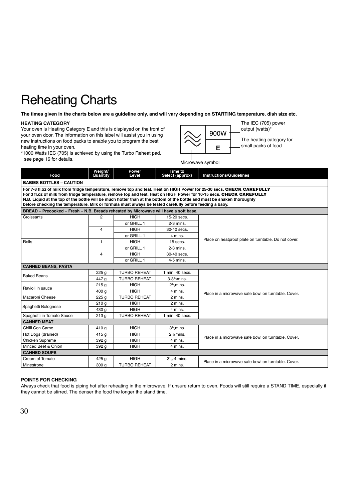**The times given in the charts below are a guideline only, and will vary depending on STARTING temperature, dish size etc.**

#### **HEATING CATEGORY**

Your oven is Heating Category E and this is displayed on the front of your oven door. The information on this label will assist you in using new instructions on food packs to enable you to program the best heating time in your oven.



\*1000 Watts IEC (705) is achieved by using the Turbo Reheat pad, see page 16 for details.

Microwave symbol

| Food                                                                                                                                                                                                                                                                                                                                                                                                                                                                                 | Weight/<br>Quantity | Power<br>Level      | Time to<br>Select (approx)   | <b>Instructions/Guidelines</b>                       |  |
|--------------------------------------------------------------------------------------------------------------------------------------------------------------------------------------------------------------------------------------------------------------------------------------------------------------------------------------------------------------------------------------------------------------------------------------------------------------------------------------|---------------------|---------------------|------------------------------|------------------------------------------------------|--|
| <b>BABIES BOTTLES - CAUTION</b>                                                                                                                                                                                                                                                                                                                                                                                                                                                      |                     |                     |                              |                                                      |  |
| For 7-8 fl.oz of milk from fridge temperature, remove top and teat. Heat on HIGH Power for 25-30 secs. CHECK CAREFULLY<br>For 3 fl.oz of milk from fridge temperature, remove top and teat. Heat on HIGH Power for 10-15 secs. CHECK CAREFULLY<br>N.B. Liquid at the top of the bottle will be much hotter than at the bottom of the bottle and must be shaken thoroughly<br>before checking the temperature. Milk or formula must always be tested carefully before feeding a baby. |                     |                     |                              |                                                      |  |
| BREAD - Precooked - Fresh - N.B. Breads reheated by Microwave will have a soft base.                                                                                                                                                                                                                                                                                                                                                                                                 |                     |                     |                              |                                                      |  |
| Croissants                                                                                                                                                                                                                                                                                                                                                                                                                                                                           | $\overline{2}$      | <b>HIGH</b>         | 15-20 secs.                  |                                                      |  |
|                                                                                                                                                                                                                                                                                                                                                                                                                                                                                      |                     | or GRILL 1          | $2-3$ mins.                  |                                                      |  |
|                                                                                                                                                                                                                                                                                                                                                                                                                                                                                      | 4                   | <b>HIGH</b>         | 30-40 secs.                  |                                                      |  |
|                                                                                                                                                                                                                                                                                                                                                                                                                                                                                      |                     | or GRILL 1          | 4 mins.                      |                                                      |  |
| Rolls                                                                                                                                                                                                                                                                                                                                                                                                                                                                                | $\mathbf{1}$        | <b>HIGH</b>         | $15$ secs.                   | Place on heatproof plate on turntable. Do not cover. |  |
|                                                                                                                                                                                                                                                                                                                                                                                                                                                                                      |                     | or GRILL 1          | $2-3$ mins.                  |                                                      |  |
|                                                                                                                                                                                                                                                                                                                                                                                                                                                                                      | 4                   | <b>HIGH</b>         | 30-40 secs.                  |                                                      |  |
|                                                                                                                                                                                                                                                                                                                                                                                                                                                                                      |                     | or GRILL 1          | 4-5 mins.                    |                                                      |  |
| <b>CANNED BEANS, PASTA</b>                                                                                                                                                                                                                                                                                                                                                                                                                                                           |                     |                     |                              |                                                      |  |
| <b>Baked Beans</b>                                                                                                                                                                                                                                                                                                                                                                                                                                                                   | 225 <sub>g</sub>    | <b>TURBO REHEAT</b> | 1 min. 40 secs.              |                                                      |  |
|                                                                                                                                                                                                                                                                                                                                                                                                                                                                                      | 447 g               | <b>TURBO REHEAT</b> | $3-31$ / <sub>2</sub> mins.  |                                                      |  |
| Ravioli in sauce                                                                                                                                                                                                                                                                                                                                                                                                                                                                     | 215q                | <b>HIGH</b>         | $21$ <sub>2</sub> mins.      |                                                      |  |
|                                                                                                                                                                                                                                                                                                                                                                                                                                                                                      | 400 g               | <b>HIGH</b>         | 4 mins.                      | Place in a microwave safe bowl on turntable. Cover.  |  |
| Macaroni Cheese                                                                                                                                                                                                                                                                                                                                                                                                                                                                      | 225q                | <b>TURBO REHEAT</b> | 2 mins.                      |                                                      |  |
| Spaghetti Bolognese                                                                                                                                                                                                                                                                                                                                                                                                                                                                  | 210 <sub>g</sub>    | <b>HIGH</b>         | 2 mins.                      |                                                      |  |
|                                                                                                                                                                                                                                                                                                                                                                                                                                                                                      | 430 g               | <b>HIGH</b>         | 4 mins.                      |                                                      |  |
| Spaghetti in Tomato Sauce                                                                                                                                                                                                                                                                                                                                                                                                                                                            | 213q                | <b>TURBO REHEAT</b> | 1 min. 40 secs.              |                                                      |  |
| <b>CANNED MEAT</b>                                                                                                                                                                                                                                                                                                                                                                                                                                                                   |                     |                     |                              |                                                      |  |
| Chilli Con Carne                                                                                                                                                                                                                                                                                                                                                                                                                                                                     | 410 g               | <b>HIGH</b>         | $31$ <sub>/2</sub> mins.     |                                                      |  |
| Hot Dogs (drained)                                                                                                                                                                                                                                                                                                                                                                                                                                                                   | 415 g               | <b>HIGH</b>         | $21$ <sub>2</sub> mins.      | Place in a microwave safe bowl on turntable. Cover.  |  |
| <b>Chicken Supreme</b>                                                                                                                                                                                                                                                                                                                                                                                                                                                               | 392 g               | <b>HIGH</b>         | 4 mins.                      |                                                      |  |
| Minced Beef & Onion                                                                                                                                                                                                                                                                                                                                                                                                                                                                  | 392 g               | <b>HIGH</b>         | 4 mins.                      |                                                      |  |
| <b>CANNED SOUPS</b>                                                                                                                                                                                                                                                                                                                                                                                                                                                                  |                     |                     |                              |                                                      |  |
| Cream of Tomato                                                                                                                                                                                                                                                                                                                                                                                                                                                                      | 425 <sub>g</sub>    | <b>HIGH</b>         | $31$ / <sub>2</sub> -4 mins. | Place in a microwave safe bowl on turntable. Cover.  |  |
| Minestrone                                                                                                                                                                                                                                                                                                                                                                                                                                                                           | 300 <sub>g</sub>    | <b>TURBO REHEAT</b> | 2 mins.                      |                                                      |  |

### **POINTS FOR CHECKING**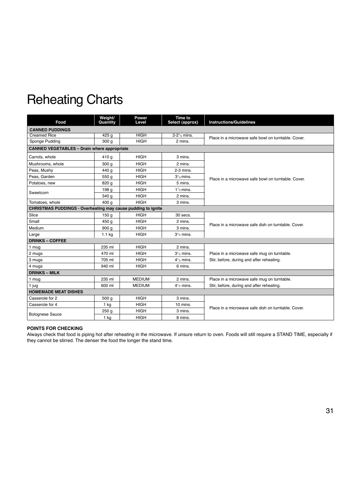| Food                                                                | Weight/<br>Quantity | Power<br>Level | <b>Time to</b><br>Select (approx) | <b>Instructions/Guidelines</b>                      |  |  |
|---------------------------------------------------------------------|---------------------|----------------|-----------------------------------|-----------------------------------------------------|--|--|
| <b>CANNED PUDDINGS</b>                                              |                     |                |                                   |                                                     |  |  |
| <b>Creamed Rice</b>                                                 | 425 g               | <b>HIGH</b>    | $2 - 2^{1/2}$ mins.               | Place in a microwave safe bowl on turntable. Cover. |  |  |
| Sponge Pudding                                                      | 300q                | <b>HIGH</b>    | 2 mins.                           |                                                     |  |  |
| <b>CANNED VEGETABLES - Drain where appropriate</b>                  |                     |                |                                   |                                                     |  |  |
| Carrots, whole                                                      | 410 g               | <b>HIGH</b>    | 3 mins.                           |                                                     |  |  |
| Mushrooms, whole                                                    | 300 <sub>g</sub>    | <b>HIGH</b>    | 2 mins.                           |                                                     |  |  |
| Peas, Mushy                                                         | 440 g               | <b>HIGH</b>    | $2-3$ mins.                       |                                                     |  |  |
| Peas, Garden                                                        | 550 g               | <b>HIGH</b>    | $31$ mins.                        | Place in a microwave safe bowl on turntable. Cover. |  |  |
| Potatoes, new                                                       | 820 g               | <b>HIGH</b>    | 5 mins.                           |                                                     |  |  |
| Sweetcorn                                                           | 198 g               | <b>HIGH</b>    | $11$ / <sub>2</sub> mins.         |                                                     |  |  |
|                                                                     | 340 g               | <b>HIGH</b>    | 2 mins.                           |                                                     |  |  |
| Tomatoes, whole                                                     | 400 g               | <b>HIGH</b>    | 3 mins.                           |                                                     |  |  |
| <b>CHRISTMAS PUDDINGS - Overheating may cause pudding to ignite</b> |                     |                |                                   |                                                     |  |  |
| Slice                                                               | 150 <sub>g</sub>    | <b>HIGH</b>    | 30 secs.                          |                                                     |  |  |
| Small                                                               | 450 g               | <b>HIGH</b>    | 2 mins.                           | Place in a microwave safe dish on turntable. Cover. |  |  |
| Medium                                                              | 900 <sub>g</sub>    | <b>HIGH</b>    | 3 mins.                           |                                                     |  |  |
| Large                                                               | $1.1$ kg            | <b>HIGH</b>    | $31$ mins.                        |                                                     |  |  |
| <b>DRINKS - COFFEE</b>                                              |                     |                |                                   |                                                     |  |  |
| 1 mug                                                               | 235 ml              | <b>HIGH</b>    | 2 mins.                           |                                                     |  |  |
| 2 mugs                                                              | 470 ml              | <b>HIGH</b>    | $31$ mins.                        | Place in a microwave safe mug on turntable.         |  |  |
| 3 mugs                                                              | 705 ml              | <b>HIGH</b>    | $41$ mins.                        | Stir, before, during and after reheating.           |  |  |
| 4 mugs                                                              | 940 ml              | <b>HIGH</b>    | 6 mins.                           |                                                     |  |  |
| <b>DRINKS – MILK</b>                                                |                     |                |                                   |                                                     |  |  |
| 1 mug                                                               | 235 ml              | <b>MEDIUM</b>  | 2 mins.                           | Place in a microwave safe mug on turntable.         |  |  |
| 1 jug                                                               | 600 ml              | <b>MEDIUM</b>  | $41$ <sub>2</sub> mins.           | Stir, before, during and after reheating.           |  |  |
| <b>HOMEMADE MEAT DISHES</b>                                         |                     |                |                                   |                                                     |  |  |
| Casserole for 2                                                     | 500 g               | <b>HIGH</b>    | 3 mins.                           |                                                     |  |  |
| Casserole for 4                                                     | $1$ kg              | <b>HIGH</b>    | 10 mins.                          | Place in a microwave safe dish on turntable. Cover. |  |  |
|                                                                     | 250 g               | <b>HIGH</b>    | 3 mins.                           |                                                     |  |  |
| <b>Bolognese Sauce</b>                                              | $1$ kg              | <b>HIGH</b>    | 8 mins.                           |                                                     |  |  |

### **POINTS FOR CHECKING**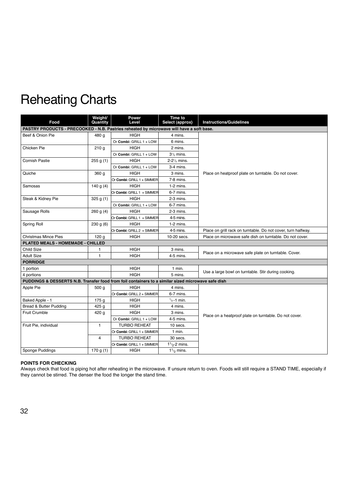| Food                                                                                               | Weight/<br>Quantity | Power<br>Level             | Time to<br>Select (approx)            | <b>Instructions/Guidelines</b>                                |  |
|----------------------------------------------------------------------------------------------------|---------------------|----------------------------|---------------------------------------|---------------------------------------------------------------|--|
| PASTRY PRODUCTS - PRECOOKED - N.B. Pastries reheated by microwave will have a soft base.           |                     |                            |                                       |                                                               |  |
| Beef & Onion Pie                                                                                   | 480 g               | <b>HIGH</b>                | 4 mins.                               |                                                               |  |
|                                                                                                    |                     | Or Combi: GRILL 1 + LOW    | 6 mins.                               |                                                               |  |
| Chicken Pie                                                                                        | 210 <sub>g</sub>    | <b>HIGH</b>                | 2 mins.                               |                                                               |  |
|                                                                                                    |                     | Or Combi: GRILL 1 + LOW    | $31/2$ mins.                          |                                                               |  |
| <b>Cornish Pastie</b>                                                                              | 255 g(1)            | <b>HIGH</b>                | 2-2 <sup>1</sup> / <sub>2</sub> mins. |                                                               |  |
|                                                                                                    |                     | Or Combi: GRILL 1 + LOW    | 3-4 mins.                             |                                                               |  |
| Quiche                                                                                             | 360 <sub>g</sub>    | <b>HIGH</b>                | 3 mins.                               | Place on heatproof plate on turntable. Do not cover.          |  |
|                                                                                                    |                     | Or Combi: GRILL 1 + SIMMER | $7-8$ mins.                           |                                                               |  |
| Samosas                                                                                            | 140 g $(4)$         | <b>HIGH</b>                | $1-2$ mins.                           |                                                               |  |
|                                                                                                    |                     | Or Combi: GRILL 1 + SIMMER | 6-7 mins.                             |                                                               |  |
| Steak & Kidney Pie                                                                                 | 325 g(1)            | <b>HIGH</b>                | 2-3 mins.                             |                                                               |  |
|                                                                                                    |                     | Or Combi: GRILL 1 + LOW    | 6-7 mins.                             |                                                               |  |
| Sausage Rolls                                                                                      | 260 g(4)            | <b>HIGH</b>                | $2-3$ mins.                           |                                                               |  |
|                                                                                                    |                     | Or Combi: GRILL 1 + SIMMER | 4-5 mins.                             |                                                               |  |
| Spring Roll                                                                                        | 230 g(6)            | <b>HIGH</b>                | $1-2$ mins.                           |                                                               |  |
|                                                                                                    |                     | Or Combi: GRILL 2 + SIMMER | 4-5 mins.                             | Place on grill rack on turntable. Do not cover, turn halfway. |  |
| <b>Christmas Mince Pies</b>                                                                        | 120 <sub>g</sub>    | <b>HIGH</b>                | 10-20 secs.                           | Place on microwave safe dish on turntable. Do not cover.      |  |
| PLATED MEALS - HOMEMADE - CHILLED                                                                  |                     |                            |                                       |                                                               |  |
| Child Size                                                                                         | 1                   | <b>HIGH</b>                | 3 mins.                               | Place on a microwave safe plate on turntable. Cover.          |  |
| <b>Adult Size</b>                                                                                  | $\mathbf{1}$        | <b>HIGH</b>                | 4-5 mins.                             |                                                               |  |
| <b>PORRIDGE</b>                                                                                    |                     |                            |                                       |                                                               |  |
| 1 portion                                                                                          |                     | <b>HIGH</b>                | $1$ min.                              | Use a large bowl on turntable. Stir during cooking.           |  |
| 4 portions                                                                                         |                     | <b>HIGH</b>                | 5 mins.                               |                                                               |  |
| PUDDINGS & DESSERTS N.B. Transfer food from foil containers to a similar sized microwave safe dish |                     |                            |                                       |                                                               |  |
| Apple Pie                                                                                          | 500 <sub>g</sub>    | <b>HIGH</b>                | 4 mins.                               |                                                               |  |
|                                                                                                    |                     | Or Combi: GRILL 2 + SIMMER | 6-7 mins.                             |                                                               |  |
| Baked Apple - 1                                                                                    | 175 <sub>g</sub>    | <b>HIGH</b>                | $\frac{1}{2}$ -1 min.                 |                                                               |  |
| Bread & Butter Pudding                                                                             | 425 <sub>g</sub>    | <b>HIGH</b>                | 4 mins.                               |                                                               |  |
| <b>Fruit Crumble</b>                                                                               | 420 g               | <b>HIGH</b>                | 3 mins.                               | Place on a heatproof plate on turntable. Do not cover.        |  |
|                                                                                                    |                     | Or Combi: GRILL 1 + LOW    | 4-5 mins.                             |                                                               |  |
| Fruit Pie, individual                                                                              | $\mathbf{1}$        | <b>TURBO REHEAT</b>        | 10 secs.                              |                                                               |  |
|                                                                                                    |                     | Or Combi: GRILL 1 + SIMMER | $1$ min.                              |                                                               |  |
|                                                                                                    | $\overline{4}$      | <b>TURBO REHEAT</b>        | 30 secs.                              |                                                               |  |
|                                                                                                    |                     | Or Combi: GRILL 1 + SIMMER | $11/2$ -2 mins.                       |                                                               |  |
| Sponge Puddings                                                                                    | 170 g $(1)$         | <b>HIGH</b>                | 1 <sup>1</sup> / <sub>2</sub> mins.   |                                                               |  |

### **POINTS FOR CHECKING**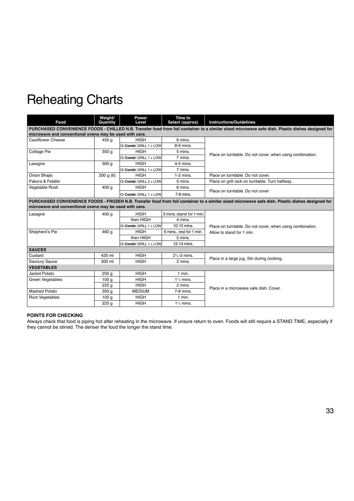| Food                                                    | Weight/<br>Quantity                                                                                                                             | <b>Power</b><br>Level                       | Time to<br>Select (approx) | <b>Instructions/Guidelines</b>                                                                                                                   |  |
|---------------------------------------------------------|-------------------------------------------------------------------------------------------------------------------------------------------------|---------------------------------------------|----------------------------|--------------------------------------------------------------------------------------------------------------------------------------------------|--|
|                                                         |                                                                                                                                                 |                                             |                            | PURCHASED CONVENIENCE FOODS - CHILLED N.B. Transfer food from foil container to a similar sized microwave safe dish. Plastic dishes designed for |  |
| microwave and conventional ovens may be used with care. |                                                                                                                                                 |                                             |                            |                                                                                                                                                  |  |
| <b>Cauliflower Cheese</b>                               | 450 g                                                                                                                                           | <b>HIGH</b>                                 | 6 mins.                    |                                                                                                                                                  |  |
|                                                         |                                                                                                                                                 | Or Combi: GRILL 1 + LOW                     | 8-9 mins.                  |                                                                                                                                                  |  |
| Cottage Pie                                             | 350 g                                                                                                                                           | <b>HIGH</b>                                 | 5 mins.                    | Place on turntable. Do not cover, when using combination.                                                                                        |  |
|                                                         |                                                                                                                                                 | Or Combi: GRILL 1 + LOW                     | 7 mins.                    |                                                                                                                                                  |  |
| Lasagne                                                 | 300q                                                                                                                                            | <b>HIGH</b>                                 | 4-5 mins.                  |                                                                                                                                                  |  |
|                                                         |                                                                                                                                                 | Or Combi: GRILL 1 + LOW                     | 7 mins.                    |                                                                                                                                                  |  |
| Onion Bhajis                                            | 200 g(6)                                                                                                                                        | <b>HIGH</b>                                 | $1-2$ mins.                | Place on turntable. Do not cover.                                                                                                                |  |
| Pakora & Felafel                                        |                                                                                                                                                 | $Or$ Combi: GRILL $2 +$ LOW                 | 5 mins.                    | Place on grill rack on turntable. Turn halfway.                                                                                                  |  |
| Vegetable Rosti                                         | 400 g                                                                                                                                           | <b>HIGH</b>                                 | 6 mins.                    |                                                                                                                                                  |  |
|                                                         |                                                                                                                                                 | Or Combi: GRILL 1 + LOW                     | $7-8$ mins.                | Place on turntable. Do not cover.                                                                                                                |  |
|                                                         | PURCHASED CONVENIENCE FOODS - FROZEN N.B. Transfer food from foil container to a similar sized microwave safe dish. Plastic dishes designed for |                                             |                            |                                                                                                                                                  |  |
| microwave and conventional ovens may be used with care. |                                                                                                                                                 |                                             |                            |                                                                                                                                                  |  |
| Lasagne                                                 | 400 g                                                                                                                                           | <b>HIGH</b>                                 | 5 mins, stand for 1 min.   |                                                                                                                                                  |  |
|                                                         |                                                                                                                                                 | then HIGH                                   | 4 mins.                    |                                                                                                                                                  |  |
|                                                         |                                                                                                                                                 | $\overline{\text{Or}}$ Combi: GRILL 1 + LOW | 10-12 mins.                | Place on turntable. Do not cover, when using combination.                                                                                        |  |
| Shepherd's Pie                                          | 460 g                                                                                                                                           | <b>HIGH</b>                                 | 6 mins., rest for 1 min.   | Allow to stand for 1 min.                                                                                                                        |  |
|                                                         |                                                                                                                                                 | then HIGH                                   | 5 mins.                    |                                                                                                                                                  |  |
|                                                         |                                                                                                                                                 | Or Combi: GRILL $1 +$ LOW                   | 12-14 mins.                |                                                                                                                                                  |  |
| <b>SAUCES</b>                                           |                                                                                                                                                 |                                             |                            |                                                                                                                                                  |  |
| Custard                                                 | 425 ml                                                                                                                                          | <b>HIGH</b>                                 | $21/2$ -3 mins.            | Place in a large jug. Stir during cooking.                                                                                                       |  |
| Savoury Sauce                                           | 300 ml                                                                                                                                          | <b>HIGH</b>                                 | 2 mins.                    |                                                                                                                                                  |  |
| <b>VEGETABLES</b>                                       |                                                                                                                                                 |                                             |                            |                                                                                                                                                  |  |
| Jacket Potato                                           | 250 <sub>g</sub>                                                                                                                                | <b>HIGH</b>                                 | $1$ min.                   |                                                                                                                                                  |  |
| Green Vegetables                                        | 100 <sub>g</sub>                                                                                                                                | <b>HIGH</b>                                 | $1\frac{1}{2}$ mins.       |                                                                                                                                                  |  |
|                                                         | 225q                                                                                                                                            | <b>HIGH</b>                                 | 2 mins.                    | Place in a microwave safe dish. Cover.                                                                                                           |  |
| <b>Mashed Potato</b>                                    | 350 g                                                                                                                                           | <b>MEDIUM</b>                               | $7-8$ mins.                |                                                                                                                                                  |  |
| Root Vegetables                                         | 100 <sub>g</sub>                                                                                                                                | <b>HIGH</b>                                 | $1$ min.                   |                                                                                                                                                  |  |
|                                                         | 225 <sub>g</sub>                                                                                                                                | <b>HIGH</b>                                 | $1\frac{1}{2}$ mins.       |                                                                                                                                                  |  |

### **POINTS FOR CHECKING**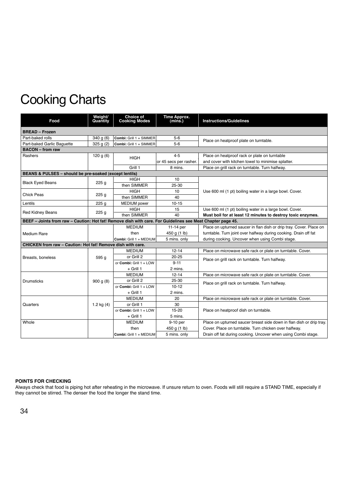| Food                                                                                                       | Weight/<br>Quantity | Choice of<br><b>Cooking Modes</b> | <b>Time Approx.</b><br>(mins.) | <b>Instructions/Guidelines</b>                                       |
|------------------------------------------------------------------------------------------------------------|---------------------|-----------------------------------|--------------------------------|----------------------------------------------------------------------|
| <b>BREAD - Frozen</b>                                                                                      |                     |                                   |                                |                                                                      |
| Part-baked rolls                                                                                           | 340 g(6)            | Combi: Grill 1 + SIMMER           | $5-6$                          | Place on heatproof plate on turntable.                               |
| Part-baked Garlic Baguette                                                                                 | 325 g(2)            | Combi: Grill 1 + SIMMER           | $5 - 6$                        |                                                                      |
| <b>BACON</b> – from raw                                                                                    |                     |                                   |                                |                                                                      |
| Rashers                                                                                                    | 120 g $(6)$         | <b>HIGH</b>                       | $4 - 5$                        | Place on heatproof rack or plate on turntable                        |
|                                                                                                            |                     |                                   | or 45 secs per rasher.         | and cover with kitchen towel to minimise splatter.                   |
|                                                                                                            |                     | Grill 1                           | 8 mins.                        | Place on grill rack on turntable. Turn halfway.                      |
| BEANS & PULSES - should be pre-soaked (except lentils)                                                     |                     |                                   |                                |                                                                      |
|                                                                                                            |                     | <b>HIGH</b>                       | 10                             |                                                                      |
| <b>Black Eyed Beans</b>                                                                                    | 225q                | then SIMMER                       | 25-30                          |                                                                      |
|                                                                                                            |                     | <b>HIGH</b>                       | 10                             | Use 600 ml (1 pt) boiling water in a large bowl. Cover.              |
| <b>Chick Peas</b>                                                                                          | 225 <sub>g</sub>    | then SIMMER                       | 40                             |                                                                      |
| Lentils                                                                                                    | 225q                | <b>MEDIUM</b> power               | $10 - 15$                      |                                                                      |
|                                                                                                            |                     | <b>HIGH</b>                       | 15                             | Use 600 ml (1 pt) boiling water in a large bowl. Cover.              |
| <b>Red Kidney Beans</b>                                                                                    | 225q                | then SIMMER                       | 40                             | Must boil for at least 12 minutes to destroy toxic enzymes.          |
| BEEF - Joints from raw - Caution: Hot fat! Remove dish with care. For Guidelines see Meat Chapter page 45. |                     |                                   |                                |                                                                      |
|                                                                                                            |                     | <b>MEDIUM</b>                     | 11-14 per                      | Place on upturned saucer in flan dish or drip tray. Cover. Place on  |
| <b>Medium Rare</b>                                                                                         |                     | then                              | 450 g (1 lb)                   | turntable. Turn joint over halfway during cooking. Drain off fat     |
|                                                                                                            |                     | Combi: Grill 1 + MEDIUM           | 5 mins. only                   | during cooking. Uncover when using Combi stage.                      |
| CHICKEN from raw - Caution: Hot fat! Remove dish with care.                                                |                     |                                   |                                |                                                                      |
|                                                                                                            |                     | <b>MEDIUM</b>                     | $12 - 14$                      | Place on microwave safe rack or plate on turntable. Cover.           |
| Breasts, boneless                                                                                          | 595 g               | or Grill 2                        | $20 - 25$                      | Place on grill rack on turntable. Turn halfway.                      |
|                                                                                                            |                     | or Combi: Grill 1 + LOW           | $9 - 11$                       |                                                                      |
|                                                                                                            |                     | $+$ Grill 1                       | 2 mins.                        |                                                                      |
|                                                                                                            |                     | <b>MEDIUM</b>                     | $12 - 14$                      | Place on microwave safe rack or plate on turntable. Cover.           |
| <b>Drumsticks</b>                                                                                          | 900 g(8)            | or Grill 2                        | 25-30                          | Place on grill rack on turntable. Turn halfway.                      |
|                                                                                                            |                     | or Combi: Grill $1 + LOW$         | $10 - 12$                      |                                                                      |
|                                                                                                            |                     | $+$ Grill 1                       | 2 mins.                        |                                                                      |
|                                                                                                            |                     | <b>MEDIUM</b>                     | 20                             | Place on microwave safe rack or plate on turntable. Cover.           |
| Quarters                                                                                                   | 1.2 kg $(4)$        | or Grill 1                        | 30                             |                                                                      |
|                                                                                                            |                     | or Combi: Grill $1 + LOW$         | $15 - 20$                      | Place on heatproof dish on turntable.                                |
|                                                                                                            |                     | $+$ Grill 1                       | 5 mins.                        |                                                                      |
| Whole                                                                                                      |                     | <b>MEDIUM</b>                     | 9-10 per                       | Place on upturned saucer breast side down in flan dish or drip tray. |
|                                                                                                            |                     | then                              | 450 g (1 lb)                   | Cover. Place on turntable. Turn chicken over halfway.                |
|                                                                                                            |                     | Combi: Grill 1 + MEDIUM           | 5 mins. only                   | Drain off fat during cooking. Uncover when using Combi stage.        |

### **POINTS FOR CHECKING**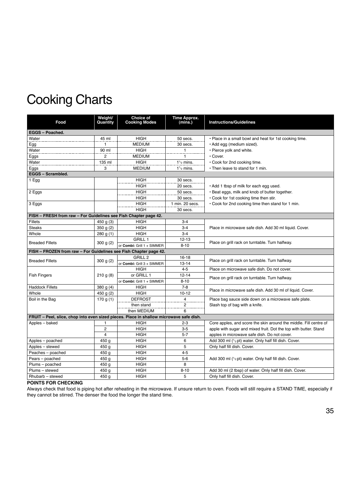| EGGS - Poached.<br><b>HIGH</b><br>Water<br>50 secs.<br>45 ml<br>. Place in a small bowl and heat for 1st cooking time.<br><b>MEDIUM</b><br>Egg<br>$\mathbf{1}$<br>· Add egg (medium sized).<br>30 secs.<br>Water<br><b>HIGH</b><br>90 ml<br>· Pierce yolk and white.<br>1<br><b>MEDIUM</b><br>· Cover.<br>Eggs<br>2<br>1<br>Water<br>135 ml<br><b>HIGH</b><br>$11/2$ mins.<br>• Cook for 2nd cooking time.<br>Eggs<br>3<br><b>MEDIUM</b><br>• Then leave to stand for 1 min.<br>$1\frac{1}{2}$ mins.<br>EGGS - Scrambled.<br><b>HIGH</b><br>30 secs.<br>$1$ Egg<br><b>HIGH</b><br>20 secs.<br>. Add 1 tbsp of milk for each egg used.<br><b>HIGH</b><br>50 secs.<br>2 Eggs<br>· Beat eggs, milk and knob of butter together.<br><b>HIGH</b><br>30 secs.<br>. Cook for 1st cooking time then stir.<br><b>HIGH</b><br>1 min. 20 secs.<br>. Cook for 2nd cooking time then stand for 1 min.<br>3 Eggs<br><b>HIGH</b><br>30 secs.<br>FISH - FRESH from raw - For Guidelines see Fish Chapter page 42.<br><b>Fillets</b><br>450 g $(3)$<br><b>HIGH</b><br>$3 - 4$<br><b>HIGH</b><br>$3 - 4$<br><b>Steaks</b><br>350 g(2)<br>Place in microwave safe dish. Add 30 ml liquid. Cover.<br><b>HIGH</b><br>$3 - 4$<br>Whole<br>280 g (1)<br><b>GRILL 1</b><br>$12 - 13$<br>Place on grill rack on turntable. Turn halfway.<br><b>Breaded Fillets</b><br>300 g(2)<br>or Combi: Grill 1 + SIMMER<br>$8 - 10$<br>FISH - FROZEN from raw - For Guidelines see Fish Chapter page 42.<br>GRILL <sub>2</sub><br>$16 - 18$<br>Place on grill rack on turntable. Turn halfway.<br><b>Breaded Fillets</b><br>300 g(2)<br>$13 - 14$<br>or Combi: Grill 3 + SIMMER<br><b>HIGH</b><br>$4 - 5$<br>Place on microwave safe dish. Do not cover.<br>or GRILL 1<br><b>Fish Fingers</b><br>$12 - 14$<br>210 g(8)<br>Place on grill rack on turntable. Turn halfway.<br>$8 - 10$<br>or Combi: Grill 1 + SIMMER<br><b>Haddock Fillets</b><br>380 g $(4)$<br><b>HIGH</b><br>$7 - 8$<br>Place in microwave safe dish. Add 30 ml of liquid. Cover.<br>Whole<br>450 g (2)<br><b>HIGH</b><br>$10 - 12$<br><b>DEFROST</b><br>$\frac{4}{1}$<br>Boil in the Bag<br>Place bag sauce side down on a microwave safe plate.<br>170 g $(1)$<br>then stand<br>$\overline{\mathbf{c}}$<br>Slash top of bag with a knife.<br>then MEDIUM<br>6<br>FRUIT - Peel, slice, chop into even sized pieces. Place in shallow microwave safe dish.<br><b>HIGH</b><br>Apples - baked<br>Core apples, and score the skin around the middle. Fill centre of<br>$2 - 3$<br>1<br>$\overline{c}$<br><b>HIGH</b><br>$3-5$<br>apple with sugar and mixed fruit. Dot the top with butter. Stand<br>$\overline{4}$<br><b>HIGH</b><br>$5 - 7$<br>apples in microwave safe dish. Do not cover.<br><b>HIGH</b><br>Apples - poached<br>450 g<br>6<br>Add 300 ml (1/2 pt) water. Only half fill dish. Cover.<br>Apples - stewed<br><b>HIGH</b><br>5<br>450 g<br>Only half fill dish. Cover.<br>Peaches - poached<br><b>HIGH</b><br>$4 - 5$<br>450 g<br><b>HIGH</b><br>$5-6$<br>Pears - poached<br>450 g<br>Add 300 ml ( <sup>1</sup> / <sub>2</sub> pt) water. Only half fill dish. Cover.<br>Plums - poached<br><b>HIGH</b><br>8<br>450 g<br>Plums - stewed<br><b>HIGH</b><br>450 g<br>$8 - 10$<br>Add 30 ml (2 tbsp) of water. Only half fill dish. Cover. | Food | Weight/<br>Quantity | Choice of<br><b>Cooking Modes</b> | Time Approx.<br>(mins.) | <b>Instructions/Guidelines</b> |
|-------------------------------------------------------------------------------------------------------------------------------------------------------------------------------------------------------------------------------------------------------------------------------------------------------------------------------------------------------------------------------------------------------------------------------------------------------------------------------------------------------------------------------------------------------------------------------------------------------------------------------------------------------------------------------------------------------------------------------------------------------------------------------------------------------------------------------------------------------------------------------------------------------------------------------------------------------------------------------------------------------------------------------------------------------------------------------------------------------------------------------------------------------------------------------------------------------------------------------------------------------------------------------------------------------------------------------------------------------------------------------------------------------------------------------------------------------------------------------------------------------------------------------------------------------------------------------------------------------------------------------------------------------------------------------------------------------------------------------------------------------------------------------------------------------------------------------------------------------------------------------------------------------------------------------------------------------------------------------------------------------------------------------------------------------------------------------------------------------------------------------------------------------------------------------------------------------------------------------------------------------------------------------------------------------------------------------------------------------------------------------------------------------------------------------------------------------------------------------------------------------------------------------------------------------------------------------------------------------------------------------------------------------------------------------------------------------------------------------------------------------------------------------------------------------------------------------------------------------------------------------------------------------------------------------------------------------------------------------------------------------------------------------------------------------------------------------------------------------------------------------------------------------------------------------------------------------------------------------------------------------------------------------------|------|---------------------|-----------------------------------|-------------------------|--------------------------------|
|                                                                                                                                                                                                                                                                                                                                                                                                                                                                                                                                                                                                                                                                                                                                                                                                                                                                                                                                                                                                                                                                                                                                                                                                                                                                                                                                                                                                                                                                                                                                                                                                                                                                                                                                                                                                                                                                                                                                                                                                                                                                                                                                                                                                                                                                                                                                                                                                                                                                                                                                                                                                                                                                                                                                                                                                                                                                                                                                                                                                                                                                                                                                                                                                                                                                                     |      |                     |                                   |                         |                                |
|                                                                                                                                                                                                                                                                                                                                                                                                                                                                                                                                                                                                                                                                                                                                                                                                                                                                                                                                                                                                                                                                                                                                                                                                                                                                                                                                                                                                                                                                                                                                                                                                                                                                                                                                                                                                                                                                                                                                                                                                                                                                                                                                                                                                                                                                                                                                                                                                                                                                                                                                                                                                                                                                                                                                                                                                                                                                                                                                                                                                                                                                                                                                                                                                                                                                                     |      |                     |                                   |                         |                                |
|                                                                                                                                                                                                                                                                                                                                                                                                                                                                                                                                                                                                                                                                                                                                                                                                                                                                                                                                                                                                                                                                                                                                                                                                                                                                                                                                                                                                                                                                                                                                                                                                                                                                                                                                                                                                                                                                                                                                                                                                                                                                                                                                                                                                                                                                                                                                                                                                                                                                                                                                                                                                                                                                                                                                                                                                                                                                                                                                                                                                                                                                                                                                                                                                                                                                                     |      |                     |                                   |                         |                                |
|                                                                                                                                                                                                                                                                                                                                                                                                                                                                                                                                                                                                                                                                                                                                                                                                                                                                                                                                                                                                                                                                                                                                                                                                                                                                                                                                                                                                                                                                                                                                                                                                                                                                                                                                                                                                                                                                                                                                                                                                                                                                                                                                                                                                                                                                                                                                                                                                                                                                                                                                                                                                                                                                                                                                                                                                                                                                                                                                                                                                                                                                                                                                                                                                                                                                                     |      |                     |                                   |                         |                                |
|                                                                                                                                                                                                                                                                                                                                                                                                                                                                                                                                                                                                                                                                                                                                                                                                                                                                                                                                                                                                                                                                                                                                                                                                                                                                                                                                                                                                                                                                                                                                                                                                                                                                                                                                                                                                                                                                                                                                                                                                                                                                                                                                                                                                                                                                                                                                                                                                                                                                                                                                                                                                                                                                                                                                                                                                                                                                                                                                                                                                                                                                                                                                                                                                                                                                                     |      |                     |                                   |                         |                                |
|                                                                                                                                                                                                                                                                                                                                                                                                                                                                                                                                                                                                                                                                                                                                                                                                                                                                                                                                                                                                                                                                                                                                                                                                                                                                                                                                                                                                                                                                                                                                                                                                                                                                                                                                                                                                                                                                                                                                                                                                                                                                                                                                                                                                                                                                                                                                                                                                                                                                                                                                                                                                                                                                                                                                                                                                                                                                                                                                                                                                                                                                                                                                                                                                                                                                                     |      |                     |                                   |                         |                                |
|                                                                                                                                                                                                                                                                                                                                                                                                                                                                                                                                                                                                                                                                                                                                                                                                                                                                                                                                                                                                                                                                                                                                                                                                                                                                                                                                                                                                                                                                                                                                                                                                                                                                                                                                                                                                                                                                                                                                                                                                                                                                                                                                                                                                                                                                                                                                                                                                                                                                                                                                                                                                                                                                                                                                                                                                                                                                                                                                                                                                                                                                                                                                                                                                                                                                                     |      |                     |                                   |                         |                                |
|                                                                                                                                                                                                                                                                                                                                                                                                                                                                                                                                                                                                                                                                                                                                                                                                                                                                                                                                                                                                                                                                                                                                                                                                                                                                                                                                                                                                                                                                                                                                                                                                                                                                                                                                                                                                                                                                                                                                                                                                                                                                                                                                                                                                                                                                                                                                                                                                                                                                                                                                                                                                                                                                                                                                                                                                                                                                                                                                                                                                                                                                                                                                                                                                                                                                                     |      |                     |                                   |                         |                                |
|                                                                                                                                                                                                                                                                                                                                                                                                                                                                                                                                                                                                                                                                                                                                                                                                                                                                                                                                                                                                                                                                                                                                                                                                                                                                                                                                                                                                                                                                                                                                                                                                                                                                                                                                                                                                                                                                                                                                                                                                                                                                                                                                                                                                                                                                                                                                                                                                                                                                                                                                                                                                                                                                                                                                                                                                                                                                                                                                                                                                                                                                                                                                                                                                                                                                                     |      |                     |                                   |                         |                                |
|                                                                                                                                                                                                                                                                                                                                                                                                                                                                                                                                                                                                                                                                                                                                                                                                                                                                                                                                                                                                                                                                                                                                                                                                                                                                                                                                                                                                                                                                                                                                                                                                                                                                                                                                                                                                                                                                                                                                                                                                                                                                                                                                                                                                                                                                                                                                                                                                                                                                                                                                                                                                                                                                                                                                                                                                                                                                                                                                                                                                                                                                                                                                                                                                                                                                                     |      |                     |                                   |                         |                                |
|                                                                                                                                                                                                                                                                                                                                                                                                                                                                                                                                                                                                                                                                                                                                                                                                                                                                                                                                                                                                                                                                                                                                                                                                                                                                                                                                                                                                                                                                                                                                                                                                                                                                                                                                                                                                                                                                                                                                                                                                                                                                                                                                                                                                                                                                                                                                                                                                                                                                                                                                                                                                                                                                                                                                                                                                                                                                                                                                                                                                                                                                                                                                                                                                                                                                                     |      |                     |                                   |                         |                                |
|                                                                                                                                                                                                                                                                                                                                                                                                                                                                                                                                                                                                                                                                                                                                                                                                                                                                                                                                                                                                                                                                                                                                                                                                                                                                                                                                                                                                                                                                                                                                                                                                                                                                                                                                                                                                                                                                                                                                                                                                                                                                                                                                                                                                                                                                                                                                                                                                                                                                                                                                                                                                                                                                                                                                                                                                                                                                                                                                                                                                                                                                                                                                                                                                                                                                                     |      |                     |                                   |                         |                                |
|                                                                                                                                                                                                                                                                                                                                                                                                                                                                                                                                                                                                                                                                                                                                                                                                                                                                                                                                                                                                                                                                                                                                                                                                                                                                                                                                                                                                                                                                                                                                                                                                                                                                                                                                                                                                                                                                                                                                                                                                                                                                                                                                                                                                                                                                                                                                                                                                                                                                                                                                                                                                                                                                                                                                                                                                                                                                                                                                                                                                                                                                                                                                                                                                                                                                                     |      |                     |                                   |                         |                                |
|                                                                                                                                                                                                                                                                                                                                                                                                                                                                                                                                                                                                                                                                                                                                                                                                                                                                                                                                                                                                                                                                                                                                                                                                                                                                                                                                                                                                                                                                                                                                                                                                                                                                                                                                                                                                                                                                                                                                                                                                                                                                                                                                                                                                                                                                                                                                                                                                                                                                                                                                                                                                                                                                                                                                                                                                                                                                                                                                                                                                                                                                                                                                                                                                                                                                                     |      |                     |                                   |                         |                                |
|                                                                                                                                                                                                                                                                                                                                                                                                                                                                                                                                                                                                                                                                                                                                                                                                                                                                                                                                                                                                                                                                                                                                                                                                                                                                                                                                                                                                                                                                                                                                                                                                                                                                                                                                                                                                                                                                                                                                                                                                                                                                                                                                                                                                                                                                                                                                                                                                                                                                                                                                                                                                                                                                                                                                                                                                                                                                                                                                                                                                                                                                                                                                                                                                                                                                                     |      |                     |                                   |                         |                                |
|                                                                                                                                                                                                                                                                                                                                                                                                                                                                                                                                                                                                                                                                                                                                                                                                                                                                                                                                                                                                                                                                                                                                                                                                                                                                                                                                                                                                                                                                                                                                                                                                                                                                                                                                                                                                                                                                                                                                                                                                                                                                                                                                                                                                                                                                                                                                                                                                                                                                                                                                                                                                                                                                                                                                                                                                                                                                                                                                                                                                                                                                                                                                                                                                                                                                                     |      |                     |                                   |                         |                                |
|                                                                                                                                                                                                                                                                                                                                                                                                                                                                                                                                                                                                                                                                                                                                                                                                                                                                                                                                                                                                                                                                                                                                                                                                                                                                                                                                                                                                                                                                                                                                                                                                                                                                                                                                                                                                                                                                                                                                                                                                                                                                                                                                                                                                                                                                                                                                                                                                                                                                                                                                                                                                                                                                                                                                                                                                                                                                                                                                                                                                                                                                                                                                                                                                                                                                                     |      |                     |                                   |                         |                                |
|                                                                                                                                                                                                                                                                                                                                                                                                                                                                                                                                                                                                                                                                                                                                                                                                                                                                                                                                                                                                                                                                                                                                                                                                                                                                                                                                                                                                                                                                                                                                                                                                                                                                                                                                                                                                                                                                                                                                                                                                                                                                                                                                                                                                                                                                                                                                                                                                                                                                                                                                                                                                                                                                                                                                                                                                                                                                                                                                                                                                                                                                                                                                                                                                                                                                                     |      |                     |                                   |                         |                                |
|                                                                                                                                                                                                                                                                                                                                                                                                                                                                                                                                                                                                                                                                                                                                                                                                                                                                                                                                                                                                                                                                                                                                                                                                                                                                                                                                                                                                                                                                                                                                                                                                                                                                                                                                                                                                                                                                                                                                                                                                                                                                                                                                                                                                                                                                                                                                                                                                                                                                                                                                                                                                                                                                                                                                                                                                                                                                                                                                                                                                                                                                                                                                                                                                                                                                                     |      |                     |                                   |                         |                                |
|                                                                                                                                                                                                                                                                                                                                                                                                                                                                                                                                                                                                                                                                                                                                                                                                                                                                                                                                                                                                                                                                                                                                                                                                                                                                                                                                                                                                                                                                                                                                                                                                                                                                                                                                                                                                                                                                                                                                                                                                                                                                                                                                                                                                                                                                                                                                                                                                                                                                                                                                                                                                                                                                                                                                                                                                                                                                                                                                                                                                                                                                                                                                                                                                                                                                                     |      |                     |                                   |                         |                                |
|                                                                                                                                                                                                                                                                                                                                                                                                                                                                                                                                                                                                                                                                                                                                                                                                                                                                                                                                                                                                                                                                                                                                                                                                                                                                                                                                                                                                                                                                                                                                                                                                                                                                                                                                                                                                                                                                                                                                                                                                                                                                                                                                                                                                                                                                                                                                                                                                                                                                                                                                                                                                                                                                                                                                                                                                                                                                                                                                                                                                                                                                                                                                                                                                                                                                                     |      |                     |                                   |                         |                                |
|                                                                                                                                                                                                                                                                                                                                                                                                                                                                                                                                                                                                                                                                                                                                                                                                                                                                                                                                                                                                                                                                                                                                                                                                                                                                                                                                                                                                                                                                                                                                                                                                                                                                                                                                                                                                                                                                                                                                                                                                                                                                                                                                                                                                                                                                                                                                                                                                                                                                                                                                                                                                                                                                                                                                                                                                                                                                                                                                                                                                                                                                                                                                                                                                                                                                                     |      |                     |                                   |                         |                                |
|                                                                                                                                                                                                                                                                                                                                                                                                                                                                                                                                                                                                                                                                                                                                                                                                                                                                                                                                                                                                                                                                                                                                                                                                                                                                                                                                                                                                                                                                                                                                                                                                                                                                                                                                                                                                                                                                                                                                                                                                                                                                                                                                                                                                                                                                                                                                                                                                                                                                                                                                                                                                                                                                                                                                                                                                                                                                                                                                                                                                                                                                                                                                                                                                                                                                                     |      |                     |                                   |                         |                                |
|                                                                                                                                                                                                                                                                                                                                                                                                                                                                                                                                                                                                                                                                                                                                                                                                                                                                                                                                                                                                                                                                                                                                                                                                                                                                                                                                                                                                                                                                                                                                                                                                                                                                                                                                                                                                                                                                                                                                                                                                                                                                                                                                                                                                                                                                                                                                                                                                                                                                                                                                                                                                                                                                                                                                                                                                                                                                                                                                                                                                                                                                                                                                                                                                                                                                                     |      |                     |                                   |                         |                                |
|                                                                                                                                                                                                                                                                                                                                                                                                                                                                                                                                                                                                                                                                                                                                                                                                                                                                                                                                                                                                                                                                                                                                                                                                                                                                                                                                                                                                                                                                                                                                                                                                                                                                                                                                                                                                                                                                                                                                                                                                                                                                                                                                                                                                                                                                                                                                                                                                                                                                                                                                                                                                                                                                                                                                                                                                                                                                                                                                                                                                                                                                                                                                                                                                                                                                                     |      |                     |                                   |                         |                                |
|                                                                                                                                                                                                                                                                                                                                                                                                                                                                                                                                                                                                                                                                                                                                                                                                                                                                                                                                                                                                                                                                                                                                                                                                                                                                                                                                                                                                                                                                                                                                                                                                                                                                                                                                                                                                                                                                                                                                                                                                                                                                                                                                                                                                                                                                                                                                                                                                                                                                                                                                                                                                                                                                                                                                                                                                                                                                                                                                                                                                                                                                                                                                                                                                                                                                                     |      |                     |                                   |                         |                                |
|                                                                                                                                                                                                                                                                                                                                                                                                                                                                                                                                                                                                                                                                                                                                                                                                                                                                                                                                                                                                                                                                                                                                                                                                                                                                                                                                                                                                                                                                                                                                                                                                                                                                                                                                                                                                                                                                                                                                                                                                                                                                                                                                                                                                                                                                                                                                                                                                                                                                                                                                                                                                                                                                                                                                                                                                                                                                                                                                                                                                                                                                                                                                                                                                                                                                                     |      |                     |                                   |                         |                                |
|                                                                                                                                                                                                                                                                                                                                                                                                                                                                                                                                                                                                                                                                                                                                                                                                                                                                                                                                                                                                                                                                                                                                                                                                                                                                                                                                                                                                                                                                                                                                                                                                                                                                                                                                                                                                                                                                                                                                                                                                                                                                                                                                                                                                                                                                                                                                                                                                                                                                                                                                                                                                                                                                                                                                                                                                                                                                                                                                                                                                                                                                                                                                                                                                                                                                                     |      |                     |                                   |                         |                                |
|                                                                                                                                                                                                                                                                                                                                                                                                                                                                                                                                                                                                                                                                                                                                                                                                                                                                                                                                                                                                                                                                                                                                                                                                                                                                                                                                                                                                                                                                                                                                                                                                                                                                                                                                                                                                                                                                                                                                                                                                                                                                                                                                                                                                                                                                                                                                                                                                                                                                                                                                                                                                                                                                                                                                                                                                                                                                                                                                                                                                                                                                                                                                                                                                                                                                                     |      |                     |                                   |                         |                                |
|                                                                                                                                                                                                                                                                                                                                                                                                                                                                                                                                                                                                                                                                                                                                                                                                                                                                                                                                                                                                                                                                                                                                                                                                                                                                                                                                                                                                                                                                                                                                                                                                                                                                                                                                                                                                                                                                                                                                                                                                                                                                                                                                                                                                                                                                                                                                                                                                                                                                                                                                                                                                                                                                                                                                                                                                                                                                                                                                                                                                                                                                                                                                                                                                                                                                                     |      |                     |                                   |                         |                                |
|                                                                                                                                                                                                                                                                                                                                                                                                                                                                                                                                                                                                                                                                                                                                                                                                                                                                                                                                                                                                                                                                                                                                                                                                                                                                                                                                                                                                                                                                                                                                                                                                                                                                                                                                                                                                                                                                                                                                                                                                                                                                                                                                                                                                                                                                                                                                                                                                                                                                                                                                                                                                                                                                                                                                                                                                                                                                                                                                                                                                                                                                                                                                                                                                                                                                                     |      |                     |                                   |                         |                                |
|                                                                                                                                                                                                                                                                                                                                                                                                                                                                                                                                                                                                                                                                                                                                                                                                                                                                                                                                                                                                                                                                                                                                                                                                                                                                                                                                                                                                                                                                                                                                                                                                                                                                                                                                                                                                                                                                                                                                                                                                                                                                                                                                                                                                                                                                                                                                                                                                                                                                                                                                                                                                                                                                                                                                                                                                                                                                                                                                                                                                                                                                                                                                                                                                                                                                                     |      |                     |                                   |                         |                                |
|                                                                                                                                                                                                                                                                                                                                                                                                                                                                                                                                                                                                                                                                                                                                                                                                                                                                                                                                                                                                                                                                                                                                                                                                                                                                                                                                                                                                                                                                                                                                                                                                                                                                                                                                                                                                                                                                                                                                                                                                                                                                                                                                                                                                                                                                                                                                                                                                                                                                                                                                                                                                                                                                                                                                                                                                                                                                                                                                                                                                                                                                                                                                                                                                                                                                                     |      |                     |                                   |                         |                                |
|                                                                                                                                                                                                                                                                                                                                                                                                                                                                                                                                                                                                                                                                                                                                                                                                                                                                                                                                                                                                                                                                                                                                                                                                                                                                                                                                                                                                                                                                                                                                                                                                                                                                                                                                                                                                                                                                                                                                                                                                                                                                                                                                                                                                                                                                                                                                                                                                                                                                                                                                                                                                                                                                                                                                                                                                                                                                                                                                                                                                                                                                                                                                                                                                                                                                                     |      |                     |                                   |                         |                                |
|                                                                                                                                                                                                                                                                                                                                                                                                                                                                                                                                                                                                                                                                                                                                                                                                                                                                                                                                                                                                                                                                                                                                                                                                                                                                                                                                                                                                                                                                                                                                                                                                                                                                                                                                                                                                                                                                                                                                                                                                                                                                                                                                                                                                                                                                                                                                                                                                                                                                                                                                                                                                                                                                                                                                                                                                                                                                                                                                                                                                                                                                                                                                                                                                                                                                                     |      |                     |                                   |                         |                                |
|                                                                                                                                                                                                                                                                                                                                                                                                                                                                                                                                                                                                                                                                                                                                                                                                                                                                                                                                                                                                                                                                                                                                                                                                                                                                                                                                                                                                                                                                                                                                                                                                                                                                                                                                                                                                                                                                                                                                                                                                                                                                                                                                                                                                                                                                                                                                                                                                                                                                                                                                                                                                                                                                                                                                                                                                                                                                                                                                                                                                                                                                                                                                                                                                                                                                                     |      |                     |                                   |                         |                                |
|                                                                                                                                                                                                                                                                                                                                                                                                                                                                                                                                                                                                                                                                                                                                                                                                                                                                                                                                                                                                                                                                                                                                                                                                                                                                                                                                                                                                                                                                                                                                                                                                                                                                                                                                                                                                                                                                                                                                                                                                                                                                                                                                                                                                                                                                                                                                                                                                                                                                                                                                                                                                                                                                                                                                                                                                                                                                                                                                                                                                                                                                                                                                                                                                                                                                                     |      |                     |                                   |                         |                                |
|                                                                                                                                                                                                                                                                                                                                                                                                                                                                                                                                                                                                                                                                                                                                                                                                                                                                                                                                                                                                                                                                                                                                                                                                                                                                                                                                                                                                                                                                                                                                                                                                                                                                                                                                                                                                                                                                                                                                                                                                                                                                                                                                                                                                                                                                                                                                                                                                                                                                                                                                                                                                                                                                                                                                                                                                                                                                                                                                                                                                                                                                                                                                                                                                                                                                                     |      |                     |                                   |                         |                                |
|                                                                                                                                                                                                                                                                                                                                                                                                                                                                                                                                                                                                                                                                                                                                                                                                                                                                                                                                                                                                                                                                                                                                                                                                                                                                                                                                                                                                                                                                                                                                                                                                                                                                                                                                                                                                                                                                                                                                                                                                                                                                                                                                                                                                                                                                                                                                                                                                                                                                                                                                                                                                                                                                                                                                                                                                                                                                                                                                                                                                                                                                                                                                                                                                                                                                                     |      |                     |                                   |                         |                                |
|                                                                                                                                                                                                                                                                                                                                                                                                                                                                                                                                                                                                                                                                                                                                                                                                                                                                                                                                                                                                                                                                                                                                                                                                                                                                                                                                                                                                                                                                                                                                                                                                                                                                                                                                                                                                                                                                                                                                                                                                                                                                                                                                                                                                                                                                                                                                                                                                                                                                                                                                                                                                                                                                                                                                                                                                                                                                                                                                                                                                                                                                                                                                                                                                                                                                                     |      |                     |                                   |                         |                                |
| <b>HIGH</b><br>Only half fill dish. Cover.<br>Rhubarb - stewed                                                                                                                                                                                                                                                                                                                                                                                                                                                                                                                                                                                                                                                                                                                                                                                                                                                                                                                                                                                                                                                                                                                                                                                                                                                                                                                                                                                                                                                                                                                                                                                                                                                                                                                                                                                                                                                                                                                                                                                                                                                                                                                                                                                                                                                                                                                                                                                                                                                                                                                                                                                                                                                                                                                                                                                                                                                                                                                                                                                                                                                                                                                                                                                                                      |      | 450 g               |                                   | 5                       |                                |

### **POINTS FOR CHECKING**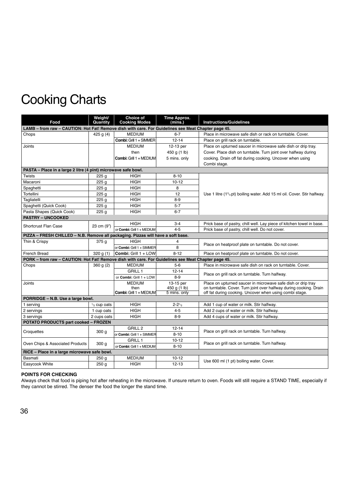| Food                                                                                                | Weight/<br>Quantity | <b>Choice of</b><br><b>Cooking Modes</b> | Time Approx.<br>(mins.) | <b>Instructions/Guidelines</b>                                                                    |  |
|-----------------------------------------------------------------------------------------------------|---------------------|------------------------------------------|-------------------------|---------------------------------------------------------------------------------------------------|--|
| LAMB - from raw - CAUTION: Hot Fat! Remove dish with care. For Guidelines see Meat Chapter page 45. |                     |                                          |                         |                                                                                                   |  |
| Chops                                                                                               | 425 $g(4)$          | <b>MEDIUM</b>                            | $6 - 7$                 | Place in microwave safe dish or rack on turntable. Cover.                                         |  |
|                                                                                                     |                     | Combi: Grill 1 + SIMMER                  | $12 - 14$               | Place on grill rack on turntable.                                                                 |  |
| Joints                                                                                              |                     | <b>MEDIUM</b>                            | 12-13 per               | Place on upturned saucer in microwave safe dish or drip tray.                                     |  |
|                                                                                                     |                     | then                                     | 450 g (1 lb)            | Cover. Place dish on turntable. Turn joint over halfway during                                    |  |
|                                                                                                     |                     | Combi: Grill 1 + MEDIUM                  | 5 mins. only            | cooking. Drain off fat during cooking. Uncover when using                                         |  |
|                                                                                                     |                     |                                          |                         | Combi stage.                                                                                      |  |
| PASTA - Place in a large 2 litre (4 pint) microwave safe bowl.                                      |                     |                                          |                         |                                                                                                   |  |
| Twists                                                                                              | 225 <sub>g</sub>    | <b>HIGH</b>                              | $8 - 10$                |                                                                                                   |  |
| Macaroni                                                                                            | 225 g               | <b>HIGH</b>                              | $10 - 12$               |                                                                                                   |  |
| Spaghetti                                                                                           | 225q                | <b>HIGH</b>                              | 8                       |                                                                                                   |  |
| Tortellini                                                                                          | 225 g               | <b>HIGH</b>                              | 12                      | Use 1 litre (1 <sup>3</sup> / <sub>4</sub> pt) boiling water. Add 15 ml oil. Cover. Stir halfway. |  |
| Tagliatelli                                                                                         | 225 <sub>g</sub>    | <b>HIGH</b>                              | $8-9$                   |                                                                                                   |  |
| Spaghetti (Quick Cook)                                                                              | 225 <sub>g</sub>    | <b>HIGH</b>                              | $5 - 7$                 |                                                                                                   |  |
| Pasta Shapes (Quick Cook)                                                                           | 225 <sub>g</sub>    | <b>HIGH</b>                              | $6 - 7$                 |                                                                                                   |  |
| <b>PASTRY - UNCOOKED</b>                                                                            |                     |                                          |                         |                                                                                                   |  |
| <b>Shortcrust Flan Case</b>                                                                         | 23 cm (9")          | <b>HIGH</b>                              | $3 - 4$                 | Prick base of pastry, chill well. Lay piece of kitchen towel in base.                             |  |
|                                                                                                     |                     | or Combi: Grill 1 + MEDIUM               | $4 - 5$                 | Prick base of pastry, chill well. Do not cover.                                                   |  |
| PIZZA - FRESH CHILLED - N.B. Remove all packaging. Pizzas will have a soft base.                    |                     |                                          |                         |                                                                                                   |  |
| Thin & Crispy                                                                                       | 375g                | <b>HIGH</b>                              | $\overline{4}$          |                                                                                                   |  |
|                                                                                                     |                     | or Combi: Grill 1 + SIMMER               | 8                       | Place on heatproof plate on turntable. Do not cover.                                              |  |
| French Bread                                                                                        | 320 g(1)            | Combi: Grill 1 + LOW                     | $8 - 12$                | Place on heatproof plate on turntable. Do not cover.                                              |  |
| PORK - from raw - CAUTION: Hot Fat! Remove dish with care. For Guidelines see Meat Chapter page 45. |                     |                                          |                         |                                                                                                   |  |
| Chops                                                                                               | 360 g(2)            | <b>MEDIUM</b>                            | $5-6$                   | Place in microwave safe dish on rack on turntable. Cover.                                         |  |
|                                                                                                     |                     | <b>GRILL 1</b>                           | $12 - 14$               |                                                                                                   |  |
|                                                                                                     |                     | or Combi: Grill 1 + LOW                  | $8-9$                   | Place on grill rack on turntable. Turn halfway.                                                   |  |
| Joints                                                                                              |                     | <b>MEDIUM</b>                            | 13-15 per               | Place on upturned saucer in microwave safe dish or drip tray                                      |  |
|                                                                                                     |                     | then                                     | 450 g (1 lb)            | on turntable. Cover. Turn joint over halfway during cooking. Drain                                |  |
|                                                                                                     |                     | Combi: Grill 1 + MEDIUM                  | 5 mins. only            | off fat during cooking. Uncover when using combi stage.                                           |  |
| PORRIDGE - N.B. Use a large bowl.                                                                   |                     |                                          |                         |                                                                                                   |  |
| 1 serving                                                                                           | $1/2$ cup oats      | <b>HIGH</b>                              | $2 - 21$ / <sub>2</sub> | Add 1 cup of water or milk. Stir halfway.                                                         |  |
| 2 servings                                                                                          | 1 cup oats          | <b>HIGH</b>                              | $4 - 5$                 | Add 2 cups of water or milk. Stir halfway.                                                        |  |
| 3 servings                                                                                          | 2 cups oats         | <b>HIGH</b>                              | $8-9$                   | Add 4 cups of water or milk. Stir halfway.                                                        |  |
| <b>POTATO PRODUCTS part cooked - FROZEN</b>                                                         |                     |                                          |                         |                                                                                                   |  |
| Croquettes                                                                                          | 300 <sub>g</sub>    | GRILL <sub>2</sub>                       | $12 - 14$               | Place on grill rack on turntable. Turn halfway.                                                   |  |
|                                                                                                     |                     | or Combi: Grill 1 + SIMMER               | $8 - 10$                |                                                                                                   |  |
| Oven Chips & Associated Products                                                                    | 300 <sub>g</sub>    | GRILL 1                                  | $10 - 12$               | Place on grill rack on turntable. Turn halfway.                                                   |  |
|                                                                                                     |                     | or Combi: Grill 1 + MEDIUM               | $8 - 10$                |                                                                                                   |  |
| RICE - Place in a large microwave safe bowl.                                                        |                     |                                          |                         |                                                                                                   |  |
| Basmati                                                                                             | 250 <sub>g</sub>    | <b>MEDIUM</b>                            | $10 - 12$               | Use 600 ml (1 pt) boiling water. Cover.                                                           |  |
| Easycook White                                                                                      | 250 g               | <b>HIGH</b>                              | $12 - 13$               |                                                                                                   |  |

### **POINTS FOR CHECKING**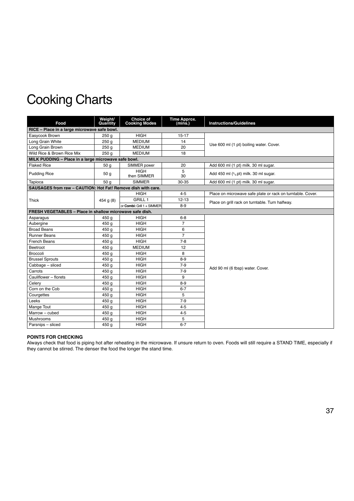| Food                                                         | Weight/<br>Quantity | Choice of<br><b>Cooking Modes</b> | <b>Time Approx.</b><br>(mins.) | <b>Instructions/Guidelines</b>                             |
|--------------------------------------------------------------|---------------------|-----------------------------------|--------------------------------|------------------------------------------------------------|
| RICE - Place in a large microwave safe bowl.                 |                     |                                   |                                |                                                            |
| Easycook Brown                                               | 250q                | <b>HIGH</b>                       | $15 - 17$                      |                                                            |
| Long Grain White                                             | 250 g               | <b>MEDIUM</b>                     | 14                             | Use 600 ml (1 pt) boiling water. Cover.                    |
| Long Grain Brown                                             | 250 <sub>g</sub>    | <b>MEDIUM</b>                     | 20                             |                                                            |
| Wild Rice & Brown Rice Mix                                   | 250q                | <b>MEDIUM</b>                     | 18                             |                                                            |
| MILK PUDDING - Place in a large microwave safe bowl.         |                     |                                   |                                |                                                            |
| <b>Flaked Rice</b>                                           | 50 g                | SIMMER power                      | 20                             | Add 600 ml (1 pt) milk. 30 ml sugar.                       |
| <b>Pudding Rice</b>                                          | 50 g                | <b>HIGH</b><br>then SIMMER        | 5<br>30                        | Add 450 ml $(3/4$ pt) milk. 30 ml sugar.                   |
| Tapioca                                                      | 50q                 | <b>SIMMER</b>                     | 30-35                          | Add 600 ml (1 pt) milk. 30 ml sugar.                       |
| SAUSAGES from raw - CAUTION: Hot Fat! Remove dish with care. |                     |                                   |                                |                                                            |
|                                                              |                     | <b>HIGH</b>                       | $4 - 5$                        | Place on microwave safe plate or rack on turntable. Cover. |
| Thick                                                        | 454 g $(8)$         | <b>GRILL 1</b>                    | $12 - 13$                      | Place on grill rack on turntable. Turn halfway.            |
|                                                              |                     | or Combi: Grill 1 + SIMMER        | $8-9$                          |                                                            |
| FRESH VEGETABLES - Place in shallow microwave safe dish.     |                     |                                   |                                |                                                            |
| Asparagus                                                    | 450 g               | <b>HIGH</b>                       | $6 - 8$                        |                                                            |
| Aubergine                                                    | 450 g               | <b>HIGH</b>                       | $\overline{7}$                 |                                                            |
| <b>Broad Beans</b>                                           | 450 g               | <b>HIGH</b>                       | 6                              |                                                            |
| <b>Runner Beans</b>                                          | 450 g               | <b>HIGH</b>                       | $\overline{7}$                 |                                                            |
| <b>French Beans</b>                                          | 450 g               | <b>HIGH</b>                       | $7 - 8$                        |                                                            |
| Beetroot                                                     | 450 g               | <b>MEDIUM</b>                     | 12                             |                                                            |
| Broccoli                                                     | 450 g               | <b>HIGH</b>                       | 8                              |                                                            |
| <b>Brussel Sprouts</b>                                       | 450 g               | <b>HIGH</b>                       | $8 - 9$                        |                                                            |
| Cabbage - sliced                                             | 450 g               | <b>HIGH</b>                       | $7-9$                          | Add 90 ml (6 tbsp) water. Cover.                           |
| Carrots                                                      | 450 g               | <b>HIGH</b>                       | $7-9$                          |                                                            |
| Cauliflower - florets                                        | 450 g               | <b>HIGH</b>                       | 9                              |                                                            |
| Celery                                                       | 450 g               | <b>HIGH</b>                       | $8-9$                          |                                                            |
| Corn on the Cob                                              | 450 g               | <b>HIGH</b>                       | $6 - 7$                        |                                                            |
| Courgettes                                                   | 450 g               | <b>HIGH</b>                       | 5                              |                                                            |
| Leeks                                                        | 450 g               | <b>HIGH</b>                       | $7 - 9$                        |                                                            |
| Mange Tout                                                   | 450 g               | <b>HIGH</b>                       | $4 - 5$                        |                                                            |
| Marrow - cubed                                               | 450 g               | <b>HIGH</b>                       | $4 - 5$                        |                                                            |
| <b>Mushrooms</b>                                             | 450 g               | <b>HIGH</b>                       | 5                              |                                                            |
| Parsnips - sliced                                            | 450 g               | <b>HIGH</b>                       | $6 - 7$                        |                                                            |

### **POINTS FOR CHECKING**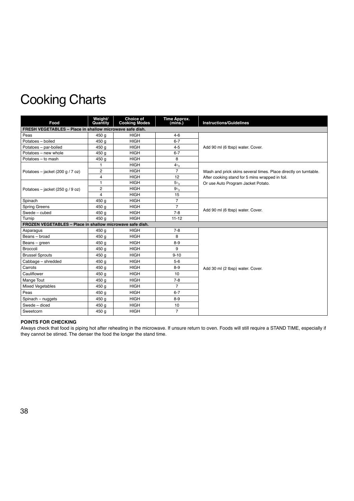| Food                                                      | Weight/<br>Quantity | <b>Choice of</b><br><b>Cooking Modes</b> | Time Approx.<br>(mins.) | <b>Instructions/Guidelines</b>                                   |
|-----------------------------------------------------------|---------------------|------------------------------------------|-------------------------|------------------------------------------------------------------|
| FRESH VEGETABLES - Place in shallow microwave safe dish.  |                     |                                          |                         |                                                                  |
| Peas                                                      | 450 g               | <b>HIGH</b>                              | $4 - 6$                 |                                                                  |
| Potatoes - boiled                                         | 450 g               | <b>HIGH</b>                              | $6 - 7$                 |                                                                  |
| Potatoes - par-boiled                                     | 450 g               | <b>HIGH</b>                              | $4 - 5$                 | Add 90 ml (6 tbsp) water. Cover.                                 |
| Potatoes - new whole                                      | 450 g               | <b>HIGH</b>                              | $6 - 7$                 |                                                                  |
| Potatoes - to mash                                        | 450 g               | <b>HIGH</b>                              | 8                       |                                                                  |
|                                                           | $\mathbf{1}$        | <b>HIGH</b>                              | 41/2                    |                                                                  |
| Potatoes - jacket (200 g / 7 oz)                          | $\overline{2}$      | <b>HIGH</b>                              | $\overline{7}$          | Wash and prick skins several times. Place directly on turntable. |
|                                                           | $\overline{4}$      | <b>HIGH</b>                              | 12                      | After cooking stand for 5 mins wrapped in foil.                  |
|                                                           | $\mathbf{1}$        | <b>HIGH</b>                              | $51$ /2                 | Or use Auto Program Jacket Potato.                               |
| Potatoes - jacket (250 g / 9 oz)                          | $\overline{c}$      | <b>HIGH</b>                              | $9_{1/2}$               |                                                                  |
|                                                           | $\overline{4}$      | <b>HIGH</b>                              | 15                      |                                                                  |
| Spinach                                                   | 450 g               | <b>HIGH</b>                              | $\overline{7}$          |                                                                  |
| <b>Spring Greens</b>                                      | 450 g               | <b>HIGH</b>                              | $\overline{7}$          | Add 90 ml (6 tbsp) water. Cover.                                 |
| Swede - cubed                                             | 450 g               | <b>HIGH</b>                              | $7 - 8$                 |                                                                  |
| Turnip                                                    | 450 g               | <b>HIGH</b>                              | $11 - 12$               |                                                                  |
| FROZEN VEGETABLES - Place in shallow microwave safe dish. |                     |                                          |                         |                                                                  |
| Asparagus                                                 | 450 g               | <b>HIGH</b>                              | $7 - 8$                 |                                                                  |
| Beans - broad                                             | 450 g               | <b>HIGH</b>                              | 8                       |                                                                  |
| Beans - green                                             | 450 g               | <b>HIGH</b>                              | $8 - 9$                 |                                                                  |
| Broccoli                                                  | 450 g               | <b>HIGH</b>                              | 9                       |                                                                  |
| <b>Brussel Sprouts</b>                                    | 450 g               | <b>HIGH</b>                              | $9 - 10$                |                                                                  |
| Cabbage - shredded                                        | 450 g               | <b>HIGH</b>                              | $5-6$                   |                                                                  |
| Carrots                                                   | 450 g               | <b>HIGH</b>                              | $8 - 9$                 | Add 30 ml (2 tbsp) water. Cover.                                 |
| Cauliflower                                               | 450 g               | <b>HIGH</b>                              | 10                      |                                                                  |
| Mange Tout                                                | 450 g               | <b>HIGH</b>                              | $7 - 8$                 |                                                                  |
| <b>Mixed Vegetables</b>                                   | 450 g               | <b>HIGH</b>                              | $\overline{7}$          |                                                                  |
| Peas                                                      | 450 g               | <b>HIGH</b>                              | $6 - 7$                 |                                                                  |
| Spinach - nuggets                                         | 450 g               | <b>HIGH</b>                              | $8 - 9$                 |                                                                  |
| Swede - diced                                             | 450 g               | <b>HIGH</b>                              | 10                      |                                                                  |
| Sweetcorn                                                 | 450 g               | <b>HIGH</b>                              | $\overline{7}$          |                                                                  |

### **POINTS FOR CHECKING**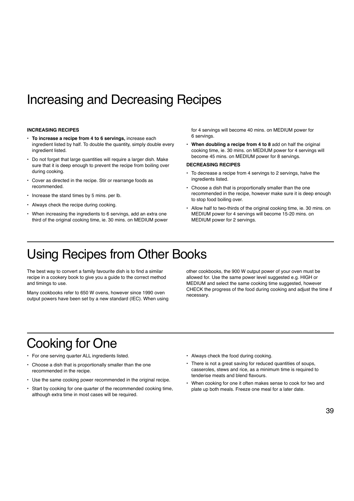# Increasing and Decreasing Recipes

#### **INCREASING RECIPES**

- **To increase a recipe from 4 to 6 servings,** increase each ingredient listed by half. To double the quantity, simply double every ingredient listed.
- Do not forget that large quantities will require a larger dish. Make sure that it is deep enough to prevent the recipe from boiling over during cooking.
- Cover as directed in the recipe. Stir or rearrange foods as recommended.
- Increase the stand times by 5 mins. per lb.
- Always check the recipe during cooking.
- When increasing the ingredients to 6 servings, add an extra one third of the original cooking time, ie. 30 mins. on MEDIUM power

for 4 servings will become 40 mins. on MEDIUM power for 6 servings.

• **When doubling a recipe from 4 to 8** add on half the original cooking time, ie. 30 mins. on MEDIUM power for 4 servings will become 45 mins. on MEDIUM power for 8 servings.

#### **DECREASING RECIPES**

- To decrease a recipe from 4 servings to 2 servings, halve the ingredients listed.
- Choose a dish that is proportionally smaller than the one recommended in the recipe, however make sure it is deep enough to stop food boiling over.
- Allow half to two-thirds of the original cooking time, ie. 30 mins. on MEDIUM power for 4 servings will become 15-20 mins. on MEDIUM power for 2 servings.

# Using Recipes from Other Books

The best way to convert a family favourite dish is to find a similar recipe in a cookery book to give you a guide to the correct method and timings to use.

Many cookbooks refer to 650 W ovens, however since 1990 oven output powers have been set by a new standard (IEC). When using other cookbooks, the 900 W output power of your oven must be allowed for. Use the same power level suggested e.g. HIGH or MEDIUM and select the same cooking time suggested, however CHECK the progress of the food during cooking and adjust the time if necessary.

# Cooking for One

- For one serving quarter ALL ingredients listed.
- Choose a dish that is proportionally smaller than the one recommended in the recipe.
- Use the same cooking power recommended in the original recipe.
- Start by cooking for one quarter of the recommended cooking time, although extra time in most cases will be required.
- Always check the food during cooking.
- There is not a great saving for reduced quantities of soups, casseroles, stews and rice, as a minimum time is required to tenderise meats and blend flavours.
- When cooking for one it often makes sense to cook for two and plate up both meals. Freeze one meal for a later date.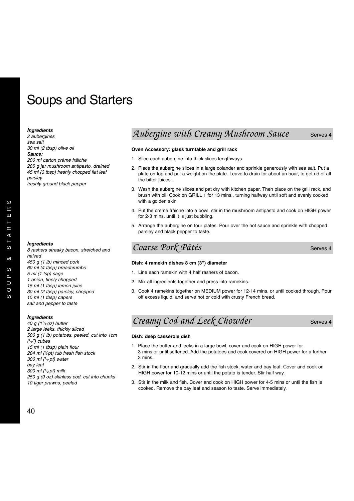# Soups and Starters

### *Ingredients*

*2 aubergines sea salt 30 ml (2 tbsp) olive oil*

*Sauce:*

*200 ml carton crème frâiche*

*285 g jar mushroom antipasto, drained 45 ml (3 tbsp) freshly chopped flat leaf parsley freshly ground black pepper*

### *Ingredients*

*8 rashers streaky bacon, stretched and halved 450 g (1 lb) minced pork 60 ml (4 tbsp) breadcrumbs 5 ml (1 tsp) sage 1 onion, finely chopped 15 ml (1 tbsp) lemon juice 30 ml (2 tbsp) parsley, chopped 15 ml (1 tbsp) capers salt and pepper to taste*

### *Ingredients*

*40 g (11/ 2 oz) butter 2 large leeks, thickly sliced 500 g (1 lb) potatoes, peeled, cut into 1cm (1/ 2") cubes 15 ml (1 tbsp) plain flour 284 ml (1 ⁄2 pt) tub fresh fish stock 300 ml (1/ 2 pt) water bay leaf 300 ml (1/ 2 pt) milk 250 g (9 oz) skinless cod, cut into chunks 10 tiger prawns, peeled*

### Aubergine with Creamy Mushroom Sauce Serves 4

### **Oven Accessory: glass turntable and grill rack**

- 1. Slice each aubergine into thick slices lengthways.
- 2. Place the aubergine slices in a large colander and sprinkle generously with sea salt. Put a plate on top and put a weight on the plate. Leave to drain for about an hour, to get rid of all the bitter juices.
- 3. Wash the aubergine slices and pat dry with kitchen paper. Then place on the grill rack, and brush with oil. Cook on GRILL 1 for 13 mins., turning halfway until soft and evenly cooked with a golden skin.
- 4. Put the crème frâiche into a bowl, stir in the mushroom antipasto and cook on HIGH power for 2-3 mins. until it is just bubbling.
- 5. Arrange the aubergine on four plates. Pour over the hot sauce and sprinkle with chopped parsley and black pepper to taste.

### *Coarse Pork Pâtés* Serves 4

### **Dish: 4 ramekin dishes 8 cm (3") diameter**

- 1. Line each ramekin with 4 half rashers of bacon.
- 2. Mix all ingredients together and press into ramekins.
- 3. Cook 4 ramekins together on MEDIUM power for 12-14 mins. or until cooked through. Pour off excess liquid, and serve hot or cold with crusty French bread.

### *Creamy Cod and Leek Chowder* Serves 4

#### **Dish: deep casserole dish**

- 1. Place the butter and leeks in a large bowl, cover and cook on HIGH power for 3 mins or until softened. Add the potatoes and cook covered on HIGH power for a further 3 mins.
- 2. Stir in the flour and gradually add the fish stock, water and bay leaf. Cover and cook on HIGH power for 10-12 mins or until the potato is tender. Stir half way.
- 3. Stir in the milk and fish. Cover and cook on HIGH power for 4-5 mins or until the fish is cooked. Remove the bay leaf and season to taste. Serve immediately.

 $\omega$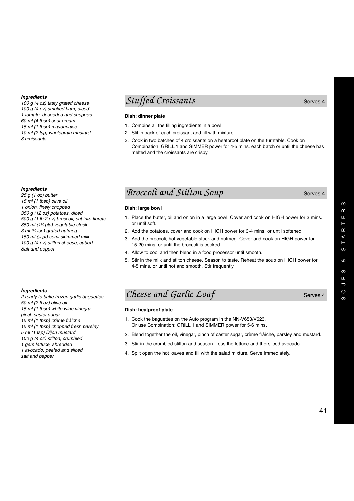*100 g (4 oz) tasty grated cheese 100 g (4 oz) smoked ham, diced 1 tomato, deseeded and chopped 60 ml (4 tbsp) sour cream 15 ml (1 tbsp) mayonnaise 10 ml (2 tsp) wholegrain mustard 8 croissants*

### *Ingredients*

*25 g (1 oz) butter 15 ml (1 tbsp) olive oil 1 onion, finely chopped 350 g (12 oz) potatoes, diced 500 g (1 lb 2 oz) broccoli, cut into florets 850 ml (11 ⁄2 pts) vegetable stock 3 ml (1 ⁄2 tsp) grated nutmeg 150 ml (1 ⁄4 pt) semi skimmed milk 100 g (4 oz) stilton cheese, cubed Salt and pepper*

### *Ingredients*

*2 ready to bake frozen garlic baguettes 50 ml (2 fl.oz) olive oil 15 ml (1 tbsp) white wine vinegar pinch caster sugar 15 ml (1 tbsp) crème frâiche 15 ml (1 tbsp) chopped fresh parsley 5 ml (1 tsp) Dijon mustard 100 g (4 oz) stilton, crumbled 1 gem lettuce, shredded 1 avocado, peeled and sliced salt and pepper*

### *Stuffed Croissants* Serves 4

### **Dish: dinner plate**

- 1. Combine all the filling ingredients in a bowl.
- 2. Slit in back of each croissant and fill with mixture.
- 3. Cook in two batches of 4 croissants on a heatproof plate on the turntable. Cook on Combination: GRILL 1 and SIMMER power for 4-5 mins. each batch or until the cheese has melted and the croissants are crispy.

### *Broccoli and Stilton Soup* Serves 4

### **Dish: large bowl**

- 1. Place the butter, oil and onion in a large bowl. Cover and cook on HIGH power for 3 mins. or until soft.
- 2. Add the potatoes, cover and cook on HIGH power for 3-4 mins. or until softened.
- 3. Add the broccoli, hot vegetable stock and nutmeg. Cover and cook on HIGH power for 15-20 mins. or until the broccoli is cooked.
- 4. Allow to cool and then blend in a food processor until smooth.
- 5. Stir in the milk and stilton cheese. Season to taste. Reheat the soup on HIGH power for 4-5 mins. or until hot and smooth. Stir frequently.

### *Cheese and Garlic Loaf* Serves 4

### **Dish: heatproof plate**

- 1. Cook the baguettes on the Auto program in the NN-V653/V623. Or use Combination: GRILL 1 and SIMMER power for 5-6 mins.
- 2. Blend together the oil, vinegar, pinch of caster sugar, crème frâiche, parsley and mustard.
- 3. Stir in the crumbled stilton and season. Toss the lettuce and the sliced avocado.
- 4. Split open the hot loaves and fill with the salad mixture. Serve immediately.

ဖ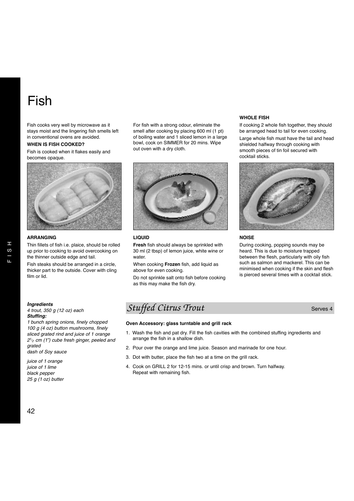# Fish

Fish cooks very well by microwave as it stays moist and the lingering fish smells left in conventional ovens are avoided.

### **WHEN IS FISH COOKED?**

Fish is cooked when it flakes easily and becomes opaque.



### **ARRANGING**

Thin fillets of fish i.e. plaice, should be rolled up prior to cooking to avoid overcooking on the thinner outside edge and tail.

Fish steaks should be arranged in a circle, thicker part to the outside. Cover with cling film or lid.

For fish with a strong odour, eliminate the smell after cooking by placing 600 ml (1 pt) of boiling water and 1 sliced lemon in a large bowl, cook on SIMMER for 20 mins. Wipe out oven with a dry cloth.

### **LIQUID**

**Fresh** fish should always be sprinkled with 30 ml (2 tbsp) of lemon juice, white wine or water.

When cooking **Frozen** fish, add liquid as above for even cooking.

Do not sprinkle salt onto fish before cooking as this may make the fish dry.

### **WHOLE FISH**

If cooking 2 whole fish together, they should be arranged head to tail for even cooking.

Large whole fish must have the tail and head shielded halfway through cooking with smooth pieces of tin foil secured with cocktail sticks.



### **NOISE**

During cooking, popping sounds may be heard. This is due to moisture trapped between the flesh, particularly with oily fish such as salmon and mackerel. This can be minimised when cooking if the skin and flesh is pierced several times with a cocktail stick.

### *Ingredients*

#### *4 trout, 350 g (12 oz) each Stuffing:*

*1 bunch spring onions, finely chopped 100 g (4 oz) button mushrooms, finely sliced grated rind and juice of 1 orange 21/ 2 cm (1") cube fresh ginger, peeled and grated dash of Soy sauce*

*juice of 1 orange juice of 1 lime black pepper 25 g (1 oz) butter*

### **Stuffed Citrus Trout** Serves 4

#### **Oven Accessory: glass turntable and grill rack**

- 1. Wash the fish and pat dry. Fill the fish cavities with the combined stuffing ingredients and arrange the fish in a shallow dish.
- 2. Pour over the orange and lime juice. Season and marinade for one hour.
- 3. Dot with butter, place the fish two at a time on the grill rack.
- 4. Cook on GRILL 2 for 12-15 mins. or until crisp and brown. Turn halfway. Repeat with remaining fish.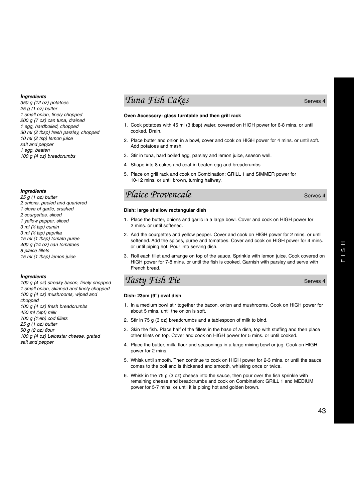*350 g (12 oz) potatoes 25 g (1 oz) butter 1 small onion, finely chopped 200 g (7 oz) can tuna, drained 1 egg, hardboiled, chopped 30 ml (2 tbsp) fresh parsley, chopped 10 ml (2 tsp) lemon juice salt and pepper 1 egg, beaten 100 g (4 oz) breadcrumbs*

### *Ingredients*

*25 g (1 oz) butter 2 onions, peeled and quartered 1 clove of garlic, crushed 2 courgettes, sliced 1 yellow pepper, sliced 3 ml (1 ⁄2 tsp) cumin 3 ml (1 ⁄2 tsp) paprika 15 ml (1 tbsp) tomato puree 400 g (14 oz) can tomatoes 8 plaice fillets 15 ml (1 tbsp) lemon juice*

#### *Ingredients*

*100 g (4 oz) streaky bacon, finely chopped 1 small onion, skinned and finely chopped 100 g (4 oz) mushrooms, wiped and chopped 100 g (4 oz) fresh breadcrumbs 450 ml (3 ⁄4pt) milk 700 g (11 ⁄2lb) cod fillets 25 g (1 oz) butter 50 g (2 oz) flour 100 g (4 oz) Leicester cheese, grated salt and pepper*

### *Tuna Fish Cakes* Serves 4

### **Oven Accessory: glass turntable and then grill rack**

- 1. Cook potatoes with 45 ml (3 tbsp) water, covered on HIGH power for 6-8 mins. or until cooked. Drain.
- 2. Place butter and onion in a bowl, cover and cook on HIGH power for 4 mins. or until soft. Add potatoes and mash.
- 3. Stir in tuna, hard boiled egg, parsley and lemon juice, season well.
- 4. Shape into 8 cakes and coat in beaten egg and breadcrumbs.
- 5. Place on grill rack and cook on Combination: GRILL 1 and SIMMER power for 10-12 mins. or until brown, turning halfway.

### *Plaice Provencale* Serves 4

#### **Dish: large shallow rectangular dish**

- 1. Place the butter, onions and garlic in a large bowl. Cover and cook on HIGH power for 2 mins. or until softened.
- 2. Add the courgettes and yellow pepper. Cover and cook on HIGH power for 2 mins. or until softened. Add the spices, puree and tomatoes. Cover and cook on HIGH power for 4 mins. or until piping hot. Pour into serving dish.
- 3. Roll each fillet and arrange on top of the sauce. Sprinkle with lemon juice. Cook covered on HIGH power for 7-8 mins. or until the fish is cooked. Garnish with parsley and serve with French bread.

### *Tasty Fish Pie* Serves 4

### **Dish: 23cm (9") oval dish**

- 1. In a medium bowl stir together the bacon, onion and mushrooms. Cook on HIGH power for about 5 mins. until the onion is soft.
- 2. Stir in 75 g (3 oz) breadcrumbs and a tablespoon of milk to bind.
- 3. Skin the fish. Place half of the fillets in the base of a dish, top with stuffing and then place other fillets on top. Cover and cook on HIGH power for 5 mins. or until cooked.
- 4. Place the butter, milk, flour and seasonings in a large mixing bowl or jug. Cook on HIGH power for 2 mins.
- 5. Whisk until smooth. Then continue to cook on HIGH power for 2-3 mins. or until the sauce comes to the boil and is thickened and smooth, whisking once or twice.
- 6. Whisk in the 75 g (3 oz) cheese into the sauce, then pour over the fish sprinkle with remaining cheese and breadcrumbs and cook on Combination: GRILL 1 and MEDIUM power for 5-7 mins. or until it is piping hot and golden brown.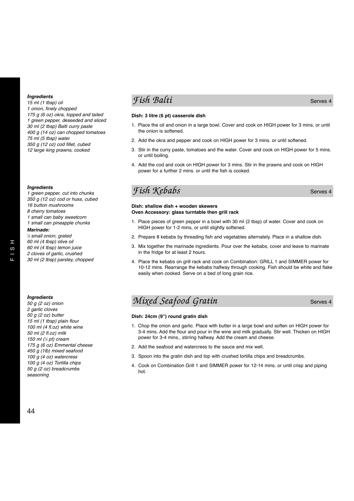*15 ml (1 tbsp) oil 1 onion, finely chopped 175 g (6 oz) okra, topped and tailed 1 green pepper, deseeded and sliced 30 ml (2 tbsp) Balti curry paste 400 g (14 oz) can chopped tomatoes 75 ml (5 tbsp) water 350 g (12 oz) cod fillet, cubed 12 large king prawns, cooked*

### *Ingredients*

*1 green pepper, cut into chunks 350 g (12 oz) cod or huss, cubed 16 button mushrooms 8 cherry tomatoes 1 small can baby sweetcorn 1 small can pineapple chunks Marinade:*

*1 ⁄2 small onion, grated 60 ml (4 tbsp) olive oil 60 ml (4 tbsp) lemon juice 2 cloves of garlic, crushed*

*30 ml (2 tbsp) parsley, chopped*

### *Ingredients*

*50 g (2 oz) onion 2 garlic cloves 50 g (2 oz) butter 15 ml (1 tbsp) plain flour 100 ml (4 fl.oz) white wine 50 ml (2 fl.oz) milk 150 ml (1 ⁄4 pt) cream 175 g (6 oz) Emmental cheese 450 g (1lb) mixed seafood 100 g (4 oz) watercress 100 g (4 oz) Tortilla chips 50 g (2 oz) breadcrumbs seasoning*

### *Fish Balti* Serves 4

### **Dish: 3 litre (6 pt) casserole dish**

- 1. Place the oil and onion in a large bowl. Cover and cook on HIGH power for 3 mins. or until the onion is softened.
- 2. Add the okra and pepper and cook on HIGH power for 3 mins. or until softened.
- 3. Stir in the curry paste, tomatoes and the water. Cover and cook on HIGH power for 5 mins. or until boiling.
- 4. Add the cod and cook on HIGH power for 3 mins. Stir in the prawns and cook on HIGH power for a further 2 mins. or until the fish is cooked.

### *Fish Kebabs* Serves 4

#### **Dish: shallow dish + wooden skewers Oven Accessory: glass turntable then grill rack**

- 1. Place pieces of green pepper in a bowl with 30 ml (2 tbsp) of water. Cover and cook on HIGH power for 1-2 mins, or until slightly softened.
- 2. Prepare 8 kebabs by threading fish and vegetables alternately. Place in a shallow dish.
- 3. Mix together the marinade ingredients. Pour over the kebabs, cover and leave to marinate in the fridge for at least 2 hours.
- 4. Place the kebabs on grill rack and cook on Combination: GRILL 1 and SIMMER power for 10-12 mins. Rearrange the kebabs halfway through cooking. Fish should be white and flake easily when cooked. Serve on a bed of long grain rice.

### *Mixed Seafood Gratin* Serves 4

### **Dish: 24cm (9") round gratin dish**

- 1. Chop the onion and garlic. Place with butter in a large bowl and soften on HIGH power for 3-4 mins. Add the flour and pour in the wine and milk gradually. Stir well. Thicken on HIGH power for 3-4 mins., stirring halfway. Add the cream and cheese.
- 2. Add the seafood and watercress to the sauce and mix well.
- 3. Spoon into the gratin dish and top with crushed tortilla chips and breadcrumbs.
- 4. Cook on Combination Grill 1 and SIMMER power for 12-14 mins. or until crisp and piping hot.

 $-15$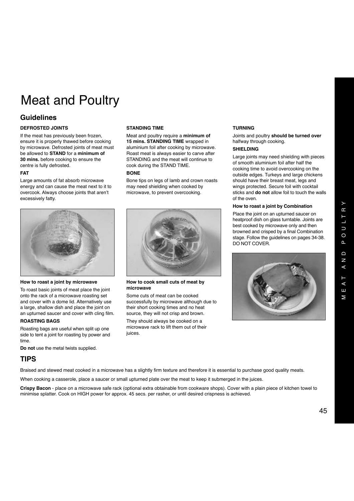# Meat and Poultry

### **Guidelines**

### **DEFROSTED JOINTS**

If the meat has previously been frozen, ensure it is properly thawed before cooking by microwave. Defrosted joints of meat must be allowed to **STAND** for a **minimum of 30 mins.** before cooking to ensure the centre is fully defrosted.

### **FAT**

Large amounts of fat absorb microwave energy and can cause the meat next to it to overcook. Always choose joints that aren't excessively fatty.

#### **How to roast a joint by microwave**

To roast basic joints of meat place the joint onto the rack of a microwave roasting set and cover with a dome lid. Alternatively use a large, shallow dish and place the joint on an upturned saucer and cover with cling film.

#### **ROASTING BAGS**

Roasting bags are useful when split up one side to tent a joint for roasting by power and time

**Do not** use the metal twists supplied.

### **TIPS**

Braised and stewed meat cooked in a microwave has a slightly firm texture and therefore it is essential to purchase good quality meats.

When cooking a casserole, place a saucer or small upturned plate over the meat to keep it submerged in the juices.

**Crispy Bacon** - place on a microwave safe rack (optional extra obtainable from cookware shops). Cover with a plain piece of kitchen towel to minimise splatter. Cook on HIGH power for approx. 45 secs. per rasher, or until desired crispness is achieved.

### **STANDING TIME**

Meat and poultry require a **minimum of 15 mins. STANDING TIME** wrapped in aluminium foil after cooking by microwave. Roast meat is always easier to carve after STANDING and the meat will continue to cook during the STAND TIME.

### **BONE**

Bone tips on legs of lamb and crown roasts may need shielding when cooked by microwave, to prevent overcooking.



#### **How to cook small cuts of meat by microwave**

Some cuts of meat can be cooked successfully by microwave although due to their short cooking times and no heat source, they will not crisp and brown.

They should always be cooked on a microwave rack to lift them out of their juices.

### **TURNING**

Joints and poultry **should be turned over** halfway through cooking.

### **SHIELDING**

Large joints may need shielding with pieces of smooth aluminium foil after half the cooking time to avoid overcooking on the outside edges. Turkeys and large chickens should have their breast meat, legs and wings protected. Secure foil with cocktail sticks and **do not** allow foil to touch the walls of the oven.

### **How to roast a joint by Combination**

Place the joint on an upturned saucer on heatproof dish on glass turntable. Joints are best cooked by microwave only and then browned and crisped by a final Combination stage. Follow the guidelines on pages 34-38. DO NOT COVER.

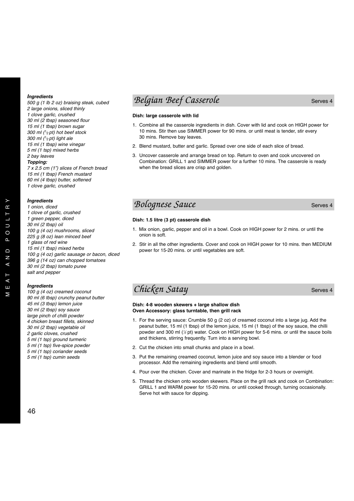*500 g (1 lb 2 oz) braising steak, cubed 2 large onions, sliced thinly 1 clove garlic, crushed 30 ml (2 tbsp) seasoned flour 15 ml (1 tbsp) brown sugar 300 ml (1/ 2 pt) hot beef stock 300 ml (1/ 2 pt) light ale 15 ml (1 tbsp) wine vinegar 5 ml (1 tsp) mixed herbs 2 bay leaves*

#### *Topping:*

*7 x 2.5 cm (1") slices of French bread 15 ml (1 tbsp) French mustard 60 ml (4 tbsp) butter, softened 1 clove garlic, crushed*

### *Ingredients*

*1 onion, diced 1 clove of garlic, crushed 1 green pepper, diced 30 ml (2 tbsp) oil 100 g (4 oz) mushrooms, sliced 225 g (8 oz) lean minced beef 1 glass of red wine 15 ml (1 tbsp) mixed herbs 100 g (4 oz) garlic sausage or bacon, diced 396 g (14 oz) can chopped tomatoes 30 ml (2 tbsp) tomato puree salt and pepper*

### *Ingredients*

*100 g (4 oz) creamed coconut 90 ml (6 tbsp) crunchy peanut butter 45 ml (3 tbsp) lemon juice 30 ml (2 tbsp) soy sauce large pinch of chilli powder 4 chicken breast fillets, skinned 30 ml (2 tbsp) vegetable oil 2 garlic cloves, crushed 5 ml (1 tsp) ground turmeric 5 ml (1 tsp) five-spice powder 5 ml (1 tsp) coriander seeds 5 ml (1 tsp) cumin seeds*

### **Belgian Beef Casserole** Serves 4

### **Dish: large casserole with lid**

- 1. Combine all the casserole ingredients in dish. Cover with lid and cook on HIGH power for 10 mins. Stir then use SIMMER power for 90 mins. or until meat is tender, stir every 30 mins. Remove bay leaves.
- 2. Blend mustard, butter and garlic. Spread over one side of each slice of bread.
- 3. Uncover casserole and arrange bread on top. Return to oven and cook uncovered on Combination: GRILL 1 and SIMMER power for a further 10 mins. The casserole is ready when the bread slices are crisp and golden.

### **Bolognese Sauce** Sauce Serves 4

#### **Dish: 1.5 litre (3 pt) casserole dish**

- 1. Mix onion, garlic, pepper and oil in a bowl. Cook on HIGH power for 2 mins. or until the onion is soft.
- 2. Stir in all the other ingredients. Cover and cook on HIGH power for 10 mins. then MEDIUM power for 15-20 mins. or until vegetables are soft.

### *Chicken Satay* Serves 4

**Dish: 4-8 wooden skewers + large shallow dish Oven Accessory: glass turntable, then grill rack**

- 1. For the serving sauce: Crumble 50 g (2 oz) of creamed coconut into a large jug. Add the peanut butter, 15 ml (1 tbsp) of the lemon juice, 15 ml (1 tbsp) of the soy sauce, the chilli powder and 300 ml (*<sup>1</sup> ⁄2* pt) water. Cook on HIGH power for 5-6 mins. or until the sauce boils and thickens, stirring frequently. Turn into a serving bowl.
- 2. Cut the chicken into small chunks and place in a bowl.
- 3. Put the remaining creamed coconut, lemon juice and soy sauce into a blender or food processor. Add the remaining ingredients and blend until smooth.
- 4. Pour over the chicken. Cover and marinate in the fridge for 2-3 hours or overnight.
- 5. Thread the chicken onto wooden skewers. Place on the grill rack and cook on Combination: GRILL 1 and WARM power for 15-20 mins. or until cooked through, turning occasionally. Serve hot with sauce for dipping.

 $\geq$ 

 $\rightarrow$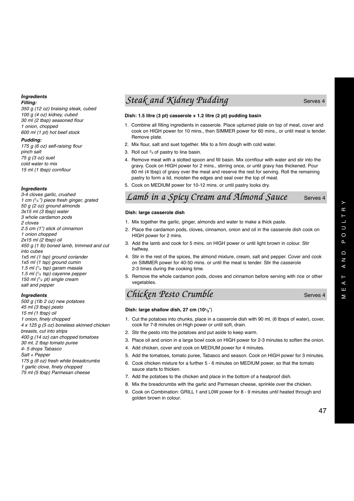*Filling:*

*350 g (12 oz) braising steak, cubed 100 g (4 oz) kidney, cubed 30 ml (2 tbsp) seasoned flour 1 onion, chopped 600 ml (1 pt) hot beef stock*

### *Pudding:*

*175 g (6 oz) self-raising flour pinch salt 75 g (3 oz) suet cold water to mix 15 ml (1 tbsp) cornflour*

### *Ingredients*

*3-4 cloves garlic, crushed 1 cm (1/ 4 ") piece fresh ginger, grated 50 g (2 oz) ground almonds 3x15 ml (3 tbsp) water 3 whole cardamon pods 2 cloves 2.5 cm (1") stick of cinnamon 1 onion chopped 2x15 ml (2 tbsp) oil 450 g (1 lb) boned lamb, trimmed and cut into cubes 1x5 ml (1 tsp) ground coriander 1x5 ml (1 tsp) ground cumin 1.5 ml (1/ 4 tsp) garam masala 1.5 ml (1/ 4 tsp) cayenne pepper 150 ml (1/ 4 pt) single cream salt and pepper*

### *Ingredients*

*500 g (1lb 2 oz) new potatoes 45 ml (3 tbsp) pesto 15 ml (1 tbsp) oil 1 onion, finely chopped 4 x 125 g (5 oz) boneless skinned chicken breasts, cut into strips 400 g (14 oz) can chopped tomatoes 30 ml, 2 tbsp tomato puree 4- 5 drops Tabasco Salt + Pepper 175 g (6 oz) fresh white breadcrumbs 1 garlic clove, finely chopped 75 ml (5 tbsp) Parmesan cheese*

### *Steak and Kidney Pudding* Steak and Serves 4

### **Dish: 1.5 litre (3 pt) casserole + 1.2 litre (2 pt) pudding basin**

- 1. Combine all filling ingredients in casserole. Place upturned plate on top of meat, cover and cook on HIGH power for 10 mins., then SIMMER power for 60 mins., or until meat is tender. Remove plate.
- 2. Mix flour, salt and suet together. Mix to a firm dough with cold water.
- 3. Roll out *3/ <sup>4</sup>* of pastry to line basin.
- 4. Remove meat with a slotted spoon and fill basin. Mix cornflour with water and stir into the gravy. Cook on HIGH power for 2 mins., stirring once, or until gravy has thickened. Pour 60 ml (4 tbsp) of gravy over the meat and reserve the rest for serving. Roll the remaining pastry to form a lid, moisten the edges and seal over the top of meat.
- 5. Cook on MEDIUM power for 10-12 mins. or until pastry looks dry.

### Lamb in a Spicy Cream and Almond Sauce Serves 4

### **Dish: large casserole dish**

- 1. Mix together the garlic, ginger, almonds and water to make a thick paste.
- 2. Place the cardamon pods, cloves, cinnamon, onion and oil in the casserole dish cook on HIGH power for 2 mins.
- 3. Add the lamb and cook for 5 mins. on HIGH power or until light brown in colour. Stir halfway.
- 4. Stir in the rest of the spices, the almond mixture, cream, salt and pepper. Cover and cook on SIMMER power for 40-50 mins. or until the meat is tender. Stir the casserole 2-3 times during the cooking time.
- 5. Remove the whole cardamon pods, cloves and cinnamon before serving with rice or other vegetables.
- **Chicken Pesto Crumble** Serves 4

### **Dish: large shallow dish, 27 cm (101/ <sup>2</sup>**")

- 1. Cut the potatoes into chunks, place in a casserole dish with 90 ml, (6 tbsps of water), cover, cook for 7-8 minutes on High power or until soft, drain.
- 2. Stir the pesto into the potatoes and put aside to keep warm.
- 3. Place oil and onion in a large bowl cook on HIGH power for 2-3 minutes to soften the onion.
- 4. Add chicken, cover and cook on MEDIUM power for 4 minutes.
- 5. Add the tomatoes, tomato puree, Tabasco and season. Cook on HIGH power for 3 minutes.
- 6. Cook chicken mixture for a further 5 6 minutes on MEDIUM power, so that the tomato sauce starts to thicken.
- 7. Add the potatoes to the chicken and place in the bottom of a heatproof dish.
- 8. Mix the breadcrumbs with the garlic and Parmesan cheese, sprinkle over the chicken.
- 9. Cook on Combination: GRILL 1 and L0W power for 8 9 minutes until heated through and golden brown in colour.

 $\rightarrow$  $\underline{\mathfrak{m}}$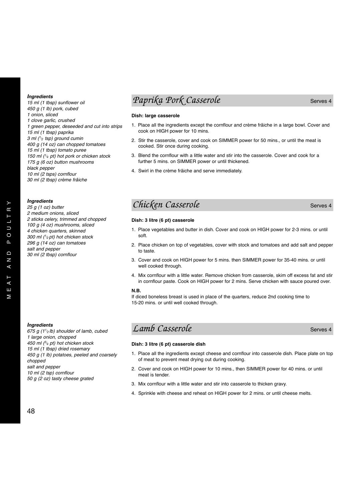*15 ml (1 tbsp) sunflower oil 450 g (1 lb) pork, cubed 1 onion, sliced 1 clove garlic, crushed 1 green pepper, deseeded and cut into strips 15 ml (1 tbsp) paprika 3 ml (1/ <sup>2</sup> tsp) ground cumin 400 g (14 oz) can chopped tomatoes 15 ml (1 tbsp) tomato puree 150 ml (1/ 4 pt) hot pork or chicken stock 175 g (6 oz) button mushrooms black pepper 10 ml (2 tsps) cornflour 30 ml (2 tbsp) crème frâiche*

### *Ingredients*

*25 g (1 oz) butter 2 medium onions, sliced 2 sticks celery, trimmed and chopped 100 g (4 oz) mushrooms, sliced 4 chicken quarters, skinned 300 ml (1/ 2 pt) hot chicken stock 296 g (14 oz) can tomatoes salt and pepper 30 ml (2 tbsp) cornflour*

### *Ingredients*

*675 g (11/ 2 lb) shoulder of lamb, cubed 1 large onion, chopped 450 ml (3/ <sup>4</sup> pt) hot chicken stock 15 ml (1 tbsp) dried rosemary 450 g (1 lb) potatoes, peeled and coarsely chopped salt and pepper 10 ml (2 tsp) cornflour 50 g (2 oz) tasty cheese grated*

### *Paprika Pork Casserole* Serves 4

### **Dish: large casserole**

- 1. Place all the ingredients except the cornflour and crème frâiche in a large bowl. Cover and cook on HIGH power for 10 mins.
- 2. Stir the casserole, cover and cook on SIMMER power for 50 mins., or until the meat is cooked. Stir once during cooking.
- 3. Blend the cornflour with a little water and stir into the casserole. Cover and cook for a further 5 mins. on SIMMER power or until thickened.
- 4. Swirl in the crème frâiche and serve immediately.

### *Chicken Casserole* Serves 4

**Dish: 3 litre (6 pt) casserole**

- 1. Place vegetables and butter in dish. Cover and cook on HIGH power for 2-3 mins. or until soft.
- 2. Place chicken on top of vegetables, cover with stock and tomatoes and add salt and pepper to taste.
- 3. Cover and cook on HIGH power for 5 mins. then SIMMER power for 35-40 mins. or until well cooked through
- 4. Mix cornflour with a little water. Remove chicken from casserole, skim off excess fat and stir in cornflour paste. Cook on HIGH power for 2 mins. Serve chicken with sauce poured over.

### **N.B.**

If diced boneless breast is used in place of the quarters, reduce 2nd cooking time to 15-20 mins. or until well cooked through.

### *Lamb Casserole* Serves 4

### **Dish: 3 litre (6 pt) casserole dish**

- 1. Place all the ingredients except cheese and cornflour into casserole dish. Place plate on top of meat to prevent meat drying out during cooking.
- 2. Cover and cook on HIGH power for 10 mins., then SIMMER power for 40 mins. or until meat is tender.
- 3. Mix cornflour with a little water and stir into casserole to thicken gravy.
- 4. Sprinkle with cheese and reheat on HIGH power for 2 mins. or until cheese melts.

 $\rightarrow$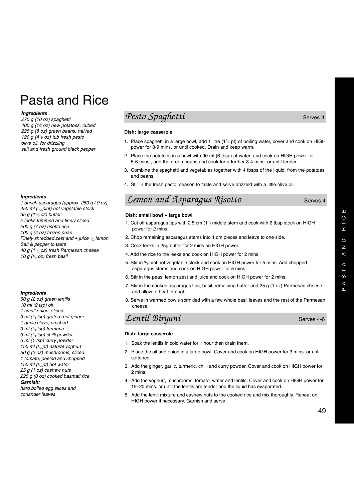# Pasta and Rice

### *Ingredients*

*275 g (10 oz) spaghetti 400 g (14 oz) new potatoes, cubed 225 g (8 oz) green beans, halved 120 g (41/ <sup>2</sup> oz) tub fresh pesto olive oil, for drizzling salt and fresh ground black pepper*

### *Ingredients*

*1 bunch asparagus (approx. 250 g / 9 oz) 450 ml (3/ <sup>4</sup> pint) hot vegetable stock 35 g (11/ <sup>2</sup> oz) butter 2 leeks trimmed and finely sliced 200 g (7 oz) risotto rice 100 g (4 oz) frozen peas Finely shredded zest and + juice 1/ <sup>2</sup> lemon Salt & pepper to taste 40 g (11/ <sup>2</sup> oz) fresh Parmesan cheese 10 g (1/ <sup>4</sup> oz) fresh basil*

### *Ingredients*

*50 g (2 oz) green lentils 10 ml (2 tsp) oil 1 small onion, sliced 3 ml (1/ <sup>2</sup> tsp) grated root ginger 1 garlic clove, crushed 3 ml (1/ <sup>2</sup> tsp) turmeric 3 ml (1/ <sup>2</sup> tsp) chilli powder 5 ml (1 tsp) curry powder 150 ml (1/ <sup>4</sup> pt) natural yoghurt 50 g (2 oz) mushrooms, sliced 1 tomato, peeled and chopped 150 ml (1/ <sup>4</sup> pt) hot water 25 g (1 oz) cashew nuts 225 g (8 oz) cooked basmati rice Garnish: hard boiled egg slices and* 

*coriander leaves*

### *Pesto Spaghetti* Serves 4

### **Dish: large casserole**

- 1. Place spaghetti in a large bowl, add 1 litre  $(1^{3}4 \text{ pt})$  of boiling water, cover and cook on HIGH power for 8-9 mins. or until cooked. Drain and keep warm.
- 2. Place the potatoes in a bowl with 90 ml (6 tbsp) of water, and cook on HIGH power for 5-6 mins., add the green beans and cook for a further 3-4 mins. or until tender.
- 3. Combine the spaghetti and vegetables together with 4 tbsps of the liquid, from the potatoes and beans.
- 4. Stir in the fresh pesto, season to taste and serve drizzled with a little olive oil.

### *Lemon and Asparagus Risotto* Serves 4

### **Dish: small bowl + large bowl**

- 1. Cut off asparagus tips with 2.5 cm (1") middle stem and cook with 2 tbsp stock on HIGH power for 2 mins.
- 2. Chop remaining asparagus stems into 1 cm pieces and leave to one side.
- 3. Cook leeks in 25g butter for 2 mins on HIGH power.
- 4. Add the rice to the leeks and cook on HIGH power for 2 mins.
- 5. Stir in  $\frac{3}{4}$  pint hot vegetable stock and cook on HIGH power for 5 mins. Add chopped asparagus stems and cook on HIGH power for 5 mins.
- 6. Stir in the peas, lemon zest and juice and cook on HIGH power for 2 mins.
- 7. Stir in the cooked asparagus tips, basil, remaining butter and 25 g (1 oz) Parmesan cheese and allow to heat through.
- 8. Serve in warmed bowls sprinkled with a few whole basil leaves and the rest of the Parmesan cheese.

### *Lentil Biryani* Serves 4-6

### **Dish: large casserole**

- 1. Soak the lentils in cold water for 1 hour then drain them.
- 2. Place the oil and onion in a large bowl. Cover and cook on HIGH power for 3 mins. or until softened.
- 3. Add the ginger, garlic, turmeric, chilli and curry powder. Cover and cook on HIGH power for 2 mins.
- 4. Add the yoghurt, mushrooms, tomato, water and lentils. Cover and cook on HIGH power for 15–20 mins. or until the lentils are tender and the liquid has evaporated.
- 5. Add the lentil mixture and cashew nuts to the cooked rice and mix thoroughly. Reheat on HIGH power if necessary. Garnish and serve.

Ш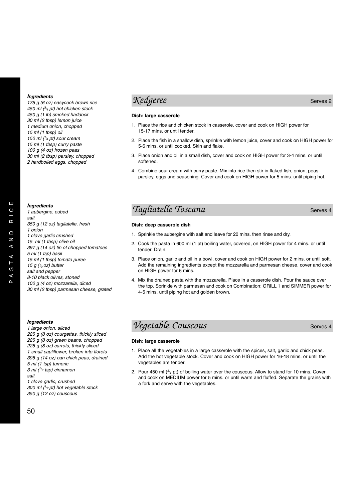*175 g (6 oz) easycook brown rice 450 ml (3/ <sup>4</sup> pt) hot chicken stock 450 g (1 lb) smoked haddock 30 ml (2 tbsp) lemon juice 1 medium onion, chopped 15 ml (1 tbsp) oil 150 ml (1/ <sup>4</sup> pt) sour cream 15 ml (1 tbsp) curry paste 100 g (4 oz) frozen peas 30 ml (2 tbsp) parsley, chopped 2 hardboiled eggs, chopped*

### *Ingredients*

*1 aubergine, cubed salt 350 g (12 oz) tagliatelle, fresh 1 onion 1 clove garlic crushed 15 ml (1 tbsp) olive oil 397 g (14 oz) tin of chopped tomatoes 5 ml (1 tsp) basil 15 ml (1 tbsp) tomato puree 15 g (1⁄ 2 oz) butter salt and pepper 8-10 black olives, stoned 100 g (4 oz) mozzarella, diced 30 ml (2 tbsp) parmesan cheese, grated*

### *Ingredients*

*1 large onion, sliced 225 g (8 oz) courgettes, thickly sliced 225 g (8 oz) green beans, chopped 225 g (8 oz) carrots, thickly sliced 1 small cauliflower, broken into florets 396 g (14 oz) can chick peas, drained 5 ml (1 tsp) tumeric 3 ml (1/ <sup>2</sup> tsp) cinnamon salt 1 clove garlic, crushed 300 ml (1/ 2 pt) hot vegetable stock*

*350 g (12 oz) couscous*

### *Kedgeree* Serves 2

### **Dish: large casserole**

- 1. Place the rice and chicken stock in casserole, cover and cook on HIGH power for 15-17 mins. or until tender.
- 2. Place the fish in a shallow dish, sprinkle with lemon juice, cover and cook on HIGH power for 5-6 mins. or until cooked. Skin and flake.
- 3. Place onion and oil in a small dish, cover and cook on HIGH power for 3-4 mins. or until softened.
- 4. Combine sour cream with curry paste. Mix into rice then stir in flaked fish, onion, peas, parsley, eggs and seasoning. Cover and cook on HIGH power for 5 mins. until piping hot.

### *Tagliatelle Toscana* Serves 4

#### **Dish: deep casserole dish**

- 1. Sprinkle the aubergine with salt and leave for 20 mins. then rinse and dry.
- 2. Cook the pasta in 600 ml (1 pt) boiling water, covered, on HIGH power for 4 mins. or until tender. Drain.
- 3. Place onion, garlic and oil in a bowl, cover and cook on HIGH power for 2 mins. or until soft. Add the remaining ingredients except the mozzarella and parmesan cheese, cover and cook on HIGH power for 6 mins.
- 4. Mix the drained pasta with the mozzarella. Place in a casserole dish. Pour the sauce over the top. Sprinkle with parmesan and cook on Combination: GRILL 1 and SIMMER power for 4-5 mins. until piping hot and golden brown.

### *Vegetable Couscous* Serves 4

### **Dish: large casserole**

- 1. Place all the vegetables in a large casserole with the spices, salt, garlic and chick peas. Add the hot vegetable stock. Cover and cook on HIGH power for 16-18 mins. or until the vegetables are tender.
- 2. Pour 450 ml (*3/ <sup>4</sup>*pt) of boiling water over the couscous. Allow to stand for 10 mins. Cover and cook on MEDIUM power for 5 mins. or until warm and fluffed. Separate the grains with a fork and serve with the vegetables.

50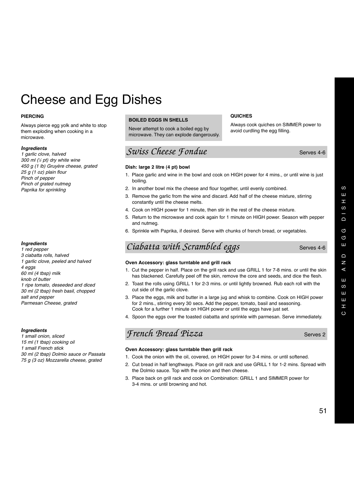$\omega$ 

# Cheese and Egg Dishes

### **PIERCING**

Always pierce egg yolk and white to stop them exploding when cooking in a microwave.

#### *Ingredients*

*1 garlic clove, halved 300 ml (1 ⁄2 pt) dry white wine 450 g (1 lb) Gruyère cheese, grated 25 g (1 oz) plain flour Pinch of pepper Pinch of grated nutmeg Paprika for sprinkling*

### *Ingredients*

*1 red pepper 3 ciabatta rolls, halved 1 garlic clove, peeled and halved 4 eggs 60 ml (4 tbsp) milk knob of butter 1 ripe tomato, deseeded and diced 30 ml (2 tbsp) fresh basil, chopped salt and pepper Parmesan Cheese, grated*

#### *Ingredients*

*1 small onion, sliced 15 ml (1 tbsp) cooking oil 1 small French stick 30 ml (2 tbsp) Dolmio sauce or Passata 75 g (3 oz) Mozzarella cheese, grated*

### **BOILED EGGS IN SHELLS**

Never attempt to cook a boiled egg by microwave. They can explode dangerously.

### *Swiss Cheese Fondue* Serves 4-6

#### **Dish: large 2 litre (4 pt) bowl**

1. Place garlic and wine in the bowl and cook on HIGH power for 4 mins., or until wine is just boiling.

**QUICHES**

Always cook quiches on SIMMER power to

avoid curdling the egg filling.

- 2. In another bowl mix the cheese and flour together, until evenly combined.
- 3. Remove the garlic from the wine and discard. Add half of the cheese mixture, stirring constantly until the cheese melts.
- 4. Cook on HIGH power for 1 minute, then stir in the rest of the cheese mixture.
- 5. Return to the microwave and cook again for 1 minute on HIGH power. Season with pepper and nutmeg.
- 6. Sprinkle with Paprika, if desired. Serve with chunks of french bread, or vegetables.

### *Ciabatta with Scrambled eggs* Serves 4-6

### **Oven Accessory: glass turntable and grill rack**

- 1. Cut the pepper in half. Place on the grill rack and use GRILL 1 for 7-8 mins. or until the skin has blackened. Carefully peel off the skin, remove the core and seeds, and dice the flesh.
- 2. Toast the rolls using GRILL 1 for 2-3 mins. or until lightly browned. Rub each roll with the cut side of the garlic clove.
- 3. Place the eggs, milk and butter in a large jug and whisk to combine. Cook on HIGH power for 2 mins., stirring every 30 secs. Add the pepper, tomato, basil and seasoning. Cook for a further 1 minute on HIGH power or until the eggs have just set.
- 4. Spoon the eggs over the toasted ciabatta and sprinkle with parmesan. Serve immediately.

### *French Bread Pizza* Serves 2

### **Oven Accessory: glass turntable then grill rack**

- 1. Cook the onion with the oil, covered, on HIGH power for 3-4 mins. or until softened.
- 2. Cut bread in half lengthways. Place on grill rack and use GRILL 1 for 1-2 mins. Spread with the Dolmio sauce. Top with the onion and then cheese.
- 3. Place back on grill rack and cook on Combination: GRILL 1 and SIMMER power for 3-4 mins. or until browning and hot.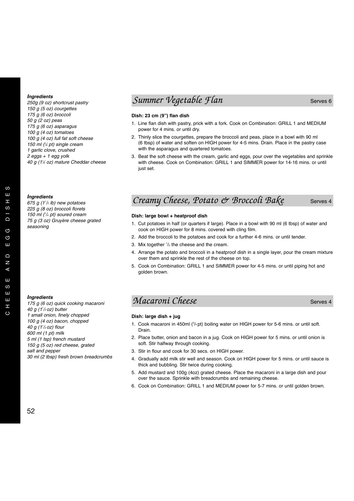*250g (9 oz) shortcrust pastry 150 g (5 oz) courgettes 175 g (6 oz) broccoli 50 g (2 oz) peas 175 g (6 oz) asparagus 100 g (4 oz) tomatoes 100 g (4 oz) full fat soft cheese 150 ml (1 ⁄4 pt) single cream 1 garlic clove, crushed 2 eggs + 1 egg yolk 40 g (11 ⁄2 oz) mature Cheddar cheese*

#### *Ingredients*

*675 g (11 /2 lb) new potatoes 225 g (8 oz) broccoli florets 150 ml (1 /4 pt) soured cream 75 g (3 oz) Gruyère cheese grated seasoning*

### *Ingredients*

*175 g (6 oz) quick cooking macaroni 40 g (11 /2 oz) butter 1 small onion, finely chopped 100 g (4 oz) bacon, chopped 40 g (11 /2 oz) flour 600 ml (1 pt) milk 5 ml (1 tsp) french mustard 150 g (5 oz) red cheese, grated salt and pepper 30 ml (2 tbsp) fresh brown breadcrumbs*

### *Summer Vegetable Flan* Serves 6

### **Dish: 23 cm (9") flan dish**

- 1. Line flan dish with pastry, prick with a fork. Cook on Combination: GRILL 1 and MEDIUM power for 4 mins. or until dry.
- 2. Thinly slice the courgettes, prepare the broccoli and peas, place in a bowl with 90 ml (6 tbsp) of water and soften on HIGH power for 4-5 mins. Drain. Place in the pastry case with the asparagus and quartered tomatoes.
- 3. Beat the soft cheese with the cream, garlic and eggs, pour over the vegetables and sprinkle with cheese. Cook on Combination: GRILL 1 and SIMMER power for 14-16 mins. or until just set.

### *Creamy Cheese, Potato & Broccoli Bake* Serves 4

#### **Dish: large bowl + heatproof dish**

- 1. Cut potatoes in half (or quarters if large). Place in a bowl with 90 ml (6 tbsp) of water and cook on HIGH power for 8 mins. covered with cling film.
- 2. Add the broccoli to the potatoes and cook for a further 4-6 mins. or until tender.
- 3. Mix together  $\frac{1}{2}$  the cheese and the cream.
- 4. Arrange the potato and broccoli in a heatproof dish in a single layer, pour the cream mixture over them and sprinkle the rest of the cheese on top.
- 5. Cook on Combination: GRILL 1 and SIMMER power for 4-5 mins. or until piping hot and golden brown.

### *Macaroni Cheese* Serves 4

### **Dish: large dish + jug**

- 1. Cook macaroni in 450ml ( $\frac{3}{4}$ pt) boiling water on HIGH power for 5-6 mins. or until soft. Drain.
- 2. Place butter, onion and bacon in a jug. Cook on HIGH power for 5 mins. or until onion is soft. Stir halfway through cooking.
- 3. Stir in flour and cook for 30 secs. on HIGH power.
	- 4. Gradually add milk stir well and season. Cook on HIGH power for 5 mins. or until sauce is thick and bubbling. Stir twice during cooking.
	- 5. Add mustard and 100g (4oz) grated cheese. Place the macaroni in a large dish and pour over the sauce. Sprinkle with breadcrumbs and remaining cheese.
	- 6. Cook on Combination: GRILL 1 and MEDIUM power for 5-7 mins. or until golden brown.

 $\omega$  $\overline{111}$  $\mathbf{r}$  $\omega$  $\Omega$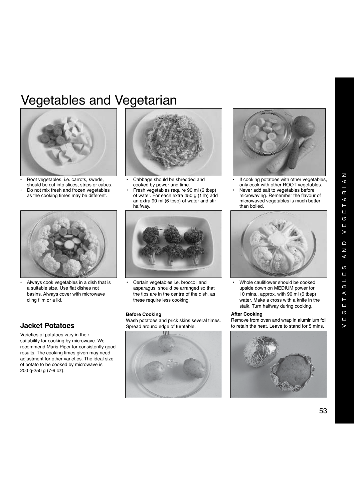# Vegetables and Vegetarian



• Root vegetables. i.e. carrots, swede, should be cut into slices, strips or cubes. • Do not mix fresh and frozen vegetables as the cooking times may be different.



• Always cook vegetables in a dish that is a suitable size. Use flat dishes not basins. Always cover with microwave cling film or a lid.

### **Jacket Potatoes**

Varieties of potatoes vary in their suitability for cooking by microwave. We recommend Maris Piper for consistently good results. The cooking times given may need adjustment for other varieties. The ideal size of potato to be cooked by microwave is 200 g-250 g (7-9 oz).



- Cabbage should be shredded and cooked by power and time.
- Fresh vegetables require 90 ml (6 tbsp) of water. For each extra 450 g (1 lb) add an extra 90 ml (6 tbsp) of water and stir halfway.



• Certain vegetables i.e. broccoli and asparagus, should be arranged so that the tips are in the centre of the dish, as these require less cooking.

### **Before Cooking**

Wash potatoes and prick skins several times. Spread around edge of turntable.





- If cooking potatoes with other vegetables, only cook with other ROOT vegetables.
- Never add salt to vegetables before microwaving. Remember the flavour of microwaved vegetables is much better than boiled.



Whole cauliflower should be cooked upside down on MEDIUM power for 10 mins., approx. with 90 ml (6 tbsp) water. Make a cross with a knife in the stalk. Turn halfway during cooking.

### **After Cooking**

Remove from oven and wrap in aluminium foil to retain the heat. Leave to stand for 5 mins.

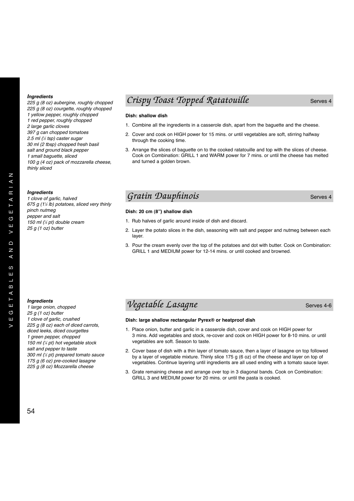*225 g (8 oz) aubergine, roughly chopped 225 g (8 oz) courgette, roughly chopped 1 yellow pepper, roughly chopped 1 red pepper, roughly chopped 2 large garlic cloves 397 g can chopped tomatoes 2.5 ml (1 ⁄2 tsp) caster sugar 30 ml (2 tbsp) chopped fresh basil salt and ground black pepper 1 small baguette, sliced 100 g (4 oz) pack of mozzarella cheese, thinly sliced*

#### *Ingredients*

*1 clove of garlic, halved 675 g (11 ⁄2 lb) potatoes, sliced very thinly pinch nutmeg pepper and salt 150 ml (1 ⁄4 pt) double cream 25 g (1 oz) butter*

### *Crispy Toast Topped Ratatouille* Serves 4

### **Dish: shallow dish**

- 1. Combine all the ingredients in a casserole dish, apart from the baguette and the cheese.
- 2. Cover and cook on HIGH power for 15 mins. or until vegetables are soft, stirring halfway through the cooking time.
- 3. Arrange the slices of baguette on to the cooked ratatouille and top with the slices of cheese. Cook on Combination: GRILL 1 and WARM power for 7 mins. or until the cheese has melted and turned a golden brown.

### *Gratin Dauphinois* Serves 4

### **Dish: 20 cm (8") shallow dish**

- 1. Rub halves of garlic around inside of dish and discard.
- 2. Layer the potato slices in the dish, seasoning with salt and pepper and nutmeg between each layer.
- 3. Pour the cream evenly over the top of the potatoes and dot with butter. Cook on Combination: GRILL 1 and MEDIUM power for 12-14 mins. or until cooked and browned.

### *Ingredients*

*1 large onion, chopped 25 g (1 oz) butter 1 clove of garlic, crushed 225 g (8 oz) each of diced carrots, diced leeks, diced courgettes 1 green pepper, chopped 150 ml (1 ⁄4 pt) hot vegetable stock salt and pepper to taste 300 ml (1 ⁄2 pt) prepared tomato sauce 175 g (6 oz) pre-cooked lasagne 225 g (8 oz) Mozzarella cheese*

### *Vegetable Lasagne* Serves 4-6

### **Dish: large shallow rectangular Pyrex® or heatproof dish**

- 1. Place onion, butter and garlic in a casserole dish, cover and cook on HIGH power for 3 mins. Add vegetables and stock, re-cover and cook on HIGH power for 8-10 mins. or until vegetables are soft. Season to taste.
- 2. Cover base of dish with a thin layer of tomato sauce, then a layer of lasagne on top followed by a layer of vegetable mixture. Thinly slice 175 g (6 oz) of the cheese and layer on top of vegetables. Continue layering until ingredients are all used ending with a tomato sauce layer.
- 3. Grate remaining cheese and arrange over top in 3 diagonal bands. Cook on Combination: GRILL 3 and MEDIUM power for 20 mins. or until the pasta is cooked.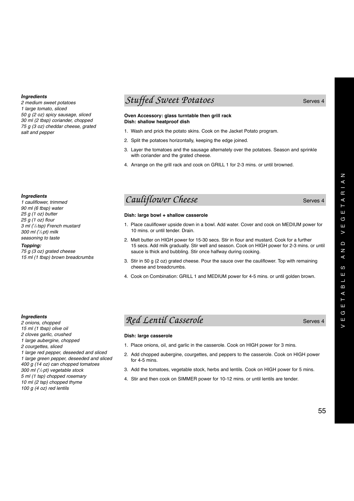*2 medium sweet potatoes 1 large tomato, sliced 50 g (2 oz) spicy sausage, sliced 30 ml (2 tbsp) coriander, chopped 75 g (3 oz) cheddar cheese, grated salt and pepper*

### *Ingredients*

*1 cauliflower, trimmed 90 ml (6 tbsp) water 25 g (1 oz) butter 25 g (1 oz) flour 3 ml (1 /2 tsp) French mustard 300 ml (1 /2 pt) milk seasoning to taste*

#### *Topping:*

*75 g (3 oz) grated cheese 15 ml (1 tbsp) brown breadcrumbs*

### **Stuffed Sweet Potatoes** Serves 4

### **Oven Accessory: glass turntable then grill rack Dish: shallow heatproof dish**

- 1. Wash and prick the potato skins. Cook on the Jacket Potato program.
- 2. Split the potatoes horizontally, keeping the edge joined.
- 3. Layer the tomatoes and the sausage alternately over the potatoes. Season and sprinkle with coriander and the grated cheese.
- 4. Arrange on the grill rack and cook on GRILL 1 for 2-3 mins. or until browned.

### *Cauliflower Cheese* Serves 4

#### **Dish: large bowl + shallow casserole**

- 1. Place cauliflower upside down in a bowl. Add water. Cover and cook on MEDIUM power for 10 mins. or until tender. Drain.
- 2. Melt butter on HIGH power for 15-30 secs. Stir in flour and mustard. Cook for a further 15 secs. Add milk gradually. Stir well and season. Cook on HIGH power for 2-3 mins. or until sauce is thick and bubbling. Stir once halfway during cooking.
- 3. Stir in 50 g (2 oz) grated cheese. Pour the sauce over the cauliflower. Top with remaining cheese and breadcrumbs.
- 4. Cook on Combination: GRILL 1 and MEDIUM power for 4-5 mins. or until golden brown.

#### *Ingredients*

- *2 onions, chopped*
- *15 ml (1 tbsp) olive oil*
- *2 cloves garlic, crushed*
- *1 large aubergine, chopped*
- *2 courgettes, sliced*

*1 large red pepper, deseeded and sliced 1 large green pepper, deseeded and sliced 400 g (14 oz) can chopped tomatoes*

- *300 ml (1 /2 pt) vegetable stock*
- *5 ml (1 tsp) chopped rosemary*
- *10 ml (2 tsp) chopped thyme*
- *100 g (4 oz) red lentils*

### *Red Lentil Casserole* Serves 4

### **Dish: large casserole**

- 1. Place onions, oil, and garlic in the casserole. Cook on HIGH power for 3 mins.
- 2. Add chopped aubergine, courgettes, and peppers to the casserole. Cook on HIGH power for 4-5 mins.
- 3. Add the tomatoes, vegetable stock, herbs and lentils. Cook on HIGH power for 5 mins.
- 4. Stir and then cook on SIMMER power for 10-12 mins. or until lentils are tender.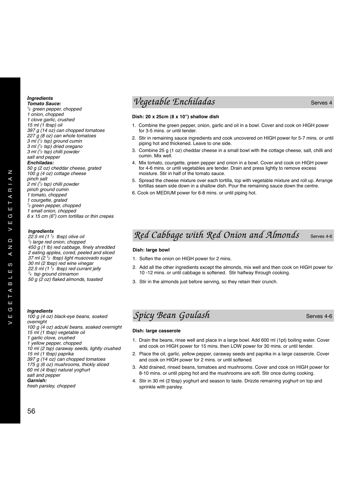*Tomato Sauce: 1⁄ 2 green pepper, chopped 1 onion, chopped 1 clove garlic, crushed 15 ml (1 tbsp) oil 397 g (14 oz) can chopped tomatoes 227 g (8 oz) can whole tomatoes 3 ml (1⁄ 2 tsp) ground cumin 3 ml (1⁄ 2 tsp) dried oregano 3 ml (1⁄ 2 tsp) chilli powder salt and pepper Enchiladas: 50 g (2 oz) cheddar cheese, grated 100 g (4 oz) cottage cheese pinch salt 2 ml (1⁄ <sup>2</sup> tsp) chilli powder pinch ground cumin 1 tomato, chopped 1 courgette, grated 1⁄ <sup>2</sup> green pepper, chopped 1 small onion, chopped 6 x 15 cm (6") corn tortillas or thin crepes*

#### *Ingredients*

*22.5 ml (1 1⁄ <sup>2</sup> tbsp) olive oil 1⁄ <sup>2</sup> large red onion, chopped 450 g (1 lb) red cabbage, finely shredded 2 eating apples, cored, peeled and sliced 37 ml (2 1⁄ <sup>2</sup> tbsp) light muscovado sugar 30 ml (2 tbsp) red wine vinegar 22.5 ml (1 1⁄ <sup>2</sup> tbsp) red currant jelly 1⁄ <sup>4</sup> tsp ground cinnamon 50 g (2 oz) flaked almonds, toasted*

### *Ingredients*

*100 g (4 oz) black-eye beans, soaked overnight 100 g (4 oz) adzuki beans, soaked overnight 15 ml (1 tbsp) vegetable oil 1 garlic clove, crushed 1 yellow pepper, chopped 10 ml (2 tsp) caraway seeds, lightly crushed 15 ml (1 tbsp) paprika 397 g (14 oz) can chopped tomatoes 175 g (6 oz) mushrooms, thickly sliced 60 ml (4 tbsp) natural yoghurt salt and pepper Garnish: fresh parsley, chopped*

### *Vegetable Enchiladas* Serves 4

### **Dish: 20 x 25cm (8 x 10") shallow dish**

- 1. Combine the green pepper, onion, garlic and oil in a bowl. Cover and cook on HIGH power for 3-5 mins. or until tender.
- 2. Stir in remaining sauce ingredients and cook uncovered on HIGH power for 5-7 mins. or until piping hot and thickened. Leave to one side.
- 3. Combine 25 g (1 oz) cheddar cheese in a small bowl with the cottage cheese, salt, chilli and cumin. Mix well.
- 4. Mix tomato, courgette, green pepper and onion in a bowl. Cover and cook on HIGH power for 4-6 mins. or until vegetables are tender. Drain and press lightly to remove excess moisture. Stir in half of the tomato sauce.
- 5. Spread the cheese mixture over each tortilla, top with vegetable mixture and roll up. Arrange tortillas seam side down in a shallow dish. Pour the remaining sauce down the centre.
- 6. Cook on MEDIUM power for 6-8 mins. or until piping hot.

### *Red Cabbage with Red Onion and Almonds* Serves 4-6

### **Dish: large bowl**

- 1. Soften the onion on HIGH power for 2 mins.
- 2. Add all the other ingredients except the almonds, mix well and then cook on HIGH power for 10 -12 mins. or until cabbage is softened. Stir halfway through cooking.
- 3. Stir in the almonds just before serving, so they retain their crunch.

### **Spicy Bean Goulash** Serves 4-6

### **Dish: large casserole**

- 1. Drain the beans, rinse well and place in a large bowl. Add 600 ml (1pt) boiling water. Cover and cook on HIGH power for 15 mins. then LOW power for 30 mins. or until tender.
- 2. Place the oil, garlic, yellow pepper, caraway seeds and paprika in a large casserole. Cover and cook on HIGH power for 2 mins. or until softened.
- 3. Add drained, rinsed beans, tomatoes and mushrooms. Cover and cook on HIGH power for 8-10 mins. or until piping hot and the mushrooms are soft. Stir once during cooking.
- 4. Stir in 30 ml (2 tbsp) yoghurt and season to taste. Drizzle remaining yoghurt on top and sprinkle with parsley.

Z  $\triangle$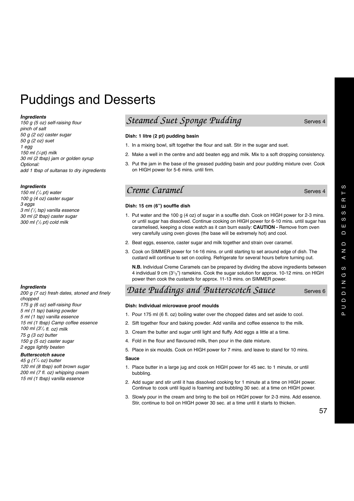# Puddings and Desserts

#### *Ingredients*

*150 g (5 oz) self-raising flour pinch of salt 50 g (2 oz) caster sugar 50 g (2 oz) suet 1 egg 150 ml (1 ⁄4 pt) milk 30 ml (2 tbsp) jam or golden syrup Optional: add 1 tbsp of sultanas to dry ingredients*

### *Ingredients*

*150 ml (1 /4 pt) water 100 g (4 oz) caster sugar 3 eggs 3 ml (1 /2 tsp) vanilla essence 30 ml (2 tbsp) caster sugar 300 ml (1 /2 pt) cold milk*

### *Ingredients*

*200 g (7 oz) fresh dates, stoned and finely chopped 175 g (6 oz) self-raising flour 5 ml (1 tsp) baking powder 5 ml (1 tsp) vanilla essence 15 ml (1 tbsp) Camp coffee essence 100 ml (31 /2 fl. oz) milk 75 g (3 oz) butter 150 g (5 oz) caster sugar 2 eggs lightly beaten*

### *Butterscotch sauce*

*45 g (1<sup>3</sup> /4 oz) butter 120 ml (8 tbsp) soft brown sugar 200 ml (7 fl. oz) whipping cream 15 ml (1 tbsp) vanilla essence*

### *Steamed Suet Sponge Pudding* Steamed Surves 4

### **Dish: 1 litre (2 pt) pudding basin**

- 1. In a mixing bowl, sift together the flour and salt. Stir in the sugar and suet.
- 2. Make a well in the centre and add beaten egg and milk. Mix to a soft dropping consistency.
- 3. Put the jam in the base of the greased pudding basin and pour pudding mixture over. Cook on HIGH power for 5-6 mins. until firm.

### *Creme Caramel* Serves 4

### **Dish: 15 cm (6") souffle dish**

- 1. Put water and the 100 g (4 oz) of sugar in a souffle dish. Cook on HIGH power for 2-3 mins. or until sugar has dissolved. Continue cooking on HIGH power for 6-10 mins. until sugar has caramelised, keeping a close watch as it can burn easily: **CAUTION -** Remove from oven very carefully using oven gloves (the base will be extremely hot) and cool.
- 2. Beat eggs, essence, caster sugar and milk together and strain over caramel.
- 3. Cook on SIMMER power for 14-16 mins. or until starting to set around edge of dish. The custard will continue to set on cooling. Refrigerate for several hours before turning out.

**N.B.** Individual Creme Caramels can be prepared by dividing the above ingredients between 4 individual 9 cm (31 $_2$ ") ramekins. Cook the sugar solution for approx. 10-12 mins. on HIGH power then cook the custards for approx. 11-13 mins. on SIMMER power.

### Date Puddings and Butterscotch Sauce Serves 6

### **Dish: Individual microwave proof moulds**

- 1. Pour 175 ml (6 fl. oz) boiling water over the chopped dates and set aside to cool.
- 2. Sift together flour and baking powder. Add vanilla and coffee essence to the milk.
- 3. Cream the butter and sugar until light and fluffy. Add eggs a little at a time.
- 4. Fold in the flour and flavoured milk, then pour in the date mixture.
- 5. Place in six moulds. Cook on HIGH power for 7 mins. and leave to stand for 10 mins.

#### **Sauce**

- 1. Place butter in a large jug and cook on HIGH power for 45 sec. to 1 minute, or until bubbling.
- 2. Add sugar and stir until it has dissolved cooking for 1 minute at a time on HIGH power. Continue to cook until liquid is foaming and bubbling 30 sec. at a time on HIGH power.
- 3. Slowly pour in the cream and bring to the boil on HIGH power for 2-3 mins. Add essence. Stir, continue to boil on HIGH power 30 sec. at a time until it starts to thicken.

 $\omega$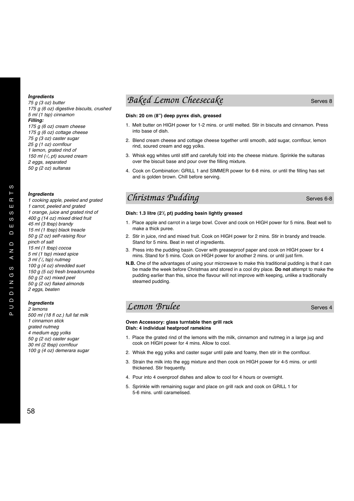*75 g (3 oz) butter 175 g (6 oz) digestive biscuits, crushed 5 ml (1 tsp) cinnamon Filling: 175 g (6 oz) cream cheese 175 g (6 oz) cottage cheese 75 g (3 oz) caster sugar 25 g (1 oz) cornflour 1 lemon, grated rind of 150 ml (1/4 pt) soured cream 2 eggs, separated 50 g (2 oz) sultanas*

#### *Ingredients*

*1 cooking apple, peeled and grated 1 carrot, peeled and grated 1 orange, juice and grated rind of 400 g (14 oz) mixed dried fruit 45 ml (3 tbsp) brandy 15 ml (1 tbsp) black treacle 50 g (2 oz) self-raising flour pinch of salt 15 ml (1 tbsp) cocoa 5 ml (1 tsp) mixed spice 3 ml (1 /2 tsp) nutmeg 100 g (4 oz) shredded suet 150 g (5 oz) fresh breadcrumbs 50 g (2 oz) mixed peel 50 g (2 oz) flaked almonds 2 eggs, beaten*

### *Ingredients*

*2 lemons 500 ml (18 fl oz.) full fat milk 1 cinnamon stick grated nutmeg 4 medium egg yolks 50 g (2 oz) caster sugar 30 ml (2 tbsp) cornflour 100 g (4 oz) demerara sugar*

### *Baked Lemon Cheesecake* Serves 8

### **Dish: 20 cm (8") deep pyrex dish, greased**

- 1. Melt butter on HIGH power for 1-2 mins. or until melted. Stir in biscuits and cinnamon. Press into base of dish.
- 2. Blend cream cheese and cottage cheese together until smooth, add sugar, cornflour, lemon rind, soured cream and egg yolks.
- 3. Whisk egg whites until stiff and carefully fold into the cheese mixture. Sprinkle the sultanas over the biscuit base and pour over the filling mixture.
- 4. Cook on Combination: GRILL 1 and SIMMER power for 6-8 mins. or until the filling has set and is golden brown. Chill before serving.

### *Christmas Pudding* Serves 6-8

#### **Dish: 1.3 litre (21 /2 pt) pudding basin lightly greased**

- 1. Place apple and carrot in a large bowl. Cover and cook on HIGH power for 5 mins. Beat well to make a thick puree.
- 2. Stir in juice, rind and mixed fruit. Cook on HIGH power for 2 mins. Stir in brandy and treacle. Stand for 5 mins. Beat in rest of ingredients.
- 3. Press into the pudding basin. Cover with greaseproof paper and cook on HIGH power for 4 mins. Stand for 5 mins. Cook on HIGH power for another 2 mins. or until just firm.
- **N.B.** One of the advantages of using your microwave to make this traditional pudding is that it can be made the week before Christmas and stored in a cool dry place. **Do not** attempt to make the pudding earlier than this, since the flavour will not improve with keeping, unlike a traditionally steamed pudding.

### *Lemon Brulee* Serves 4

#### **Oven Accessory: glass turntable then grill rack Dish: 4 individual heatproof ramekins**

- 1. Place the grated rind of the lemons with the milk, cinnamon and nutmeg in a large jug and cook on HIGH power for 4 mins. Allow to cool.
- 2. Whisk the egg yolks and caster sugar until pale and foamy, then stir in the cornflour.
- 3. Strain the milk into the egg mixture and then cook on HIGH power for 4-5 mins. or until thickened. Stir frequently.
- 4. Pour into 4 ovenproof dishes and allow to cool for 4 hours or overnight.
- 5. Sprinkle with remaining sugar and place on grill rack and cook on GRILL 1 for 5-6 mins. until caramelised.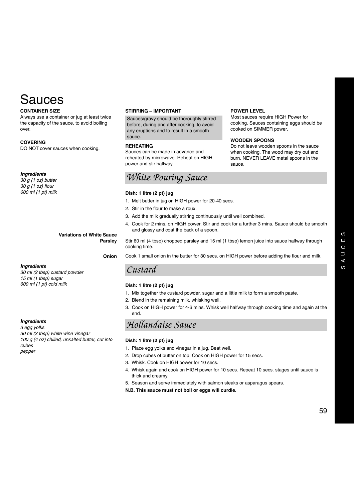# Sauces

### **CONTAINER SIZE**

Always use a container or jug at least twice the capacity of the sauce, to avoid boiling over.

### **COVERING**

DO NOT cover sauces when cooking.

### *Ingredients*

*30 g (1 oz) butter 30 g (1 oz) flour 600 ml (1 pt) milk*

### **Variations of White Sauce Parsley**

**Onion**

### *Ingredients*

*30 ml (2 tbsp) custard powder 15 ml (1 tbsp) sugar 600 ml (1 pt) cold milk*

### *Ingredients*

*3 egg yolks 30 ml (2 tbsp) white wine vinegar 100 g (4 oz) chilled, unsalted butter, cut into cubes pepper*

#### **STIRRING – IMPORTANT**

Sauces/gravy should be thoroughly stirred before, during and after cooking, to avoid any eruptions and to result in a smooth sauce.

### **REHEATING**

Sauces can be made in advance and reheated by microwave. Reheat on HIGH power and stir halfway.

### *White Pouring Sauce*

#### **Dish: 1 litre (2 pt) jug**

- 1. Melt butter in jug on HIGH power for 20-40 secs.
- 2. Stir in the flour to make a roux.
- 3. Add the milk gradually stirring continuously until well combined.
- 4. Cook for 2 mins. on HIGH power. Stir and cook for a further 3 mins. Sauce should be smooth and glossy and coat the back of a spoon.

**POWER LEVEL**

Most sauces require HIGH Power for cooking. Sauces containing eggs should be

Do not leave wooden spoons in the sauce when cooking. The wood may dry out and burn. NEVER LEAVE metal spoons in the

cooked on SIMMER power.

**WOODEN SPOONS**

sauce.

Stir 60 ml (4 tbsp) chopped parsley and 15 ml (1 tbsp) lemon juice into sauce halfway through cooking time.

Cook 1 small onion in the butter for 30 secs. on HIGH power before adding the flour and milk.

### *Custard*

### **Dish: 1 litre (2 pt) jug**

- 1. Mix together the custard powder, sugar and a little milk to form a smooth paste.
- 2. Blend in the remaining milk, whisking well.
- 3. Cook on HIGH power for 4-6 mins. Whisk well halfway through cooking time and again at the end.

### *Hollandaise Sauce*

#### **Dish: 1 litre (2 pt) jug**

- 1. Place egg yolks and vinegar in a jug. Beat well.
- 2. Drop cubes of butter on top. Cook on HIGH power for 15 secs.
- 3. Whisk. Cook on HIGH power for 10 secs.
- 4. Whisk again and cook on HIGH power for 10 secs. Repeat 10 secs. stages until sauce is thick and creamy.
- 5. Season and serve immediately with salmon steaks or asparagus spears.
- **N.B. This sauce must not boil or eggs will curdle.**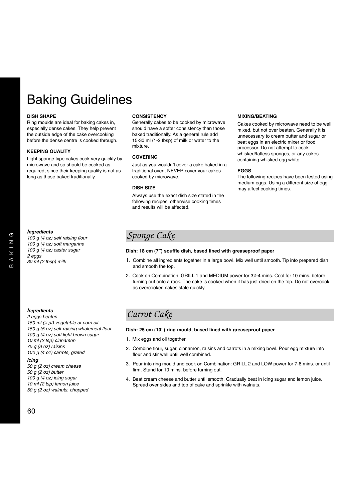# Baking Guidelines

#### **DISH SHAPE**

Ring moulds are ideal for baking cakes in, especially dense cakes. They help prevent the outside edge of the cake overcooking before the dense centre is cooked through.

#### **KEEPING QUALITY**

Light sponge type cakes cook very quickly by microwave and so should be cooked as required, since their keeping quality is not as long as those baked traditionally.

#### **CONSISTENCY**

Generally cakes to be cooked by microwave should have a softer consistency than those baked traditionally. As a general rule add 15-30 ml (1-2 tbsp) of milk or water to the mixture.

### **COVERING**

Just as you wouldn't cover a cake baked in a traditional oven, NEVER cover your cakes cooked by microwave.

### **DISH SIZE**

Always use the exact dish size stated in the following recipes, otherwise cooking times and results will be affected.

#### **MIXING/BEATING**

Cakes cooked by microwave need to be well mixed, but not over beaten. Generally it is unnecessary to cream butter and sugar or beat eggs in an electric mixer or food processor. Do not attempt to cook whisked/fatless sponges, or any cakes containing whisked egg white.

### **EGGS**

The following recipes have been tested using medium eggs. Using a different size of egg may affect cooking times.

### *Ingredients*

*100 g (4 oz) self raising flour 100 g (4 oz) soft margarine 100 g (4 oz) caster sugar 2 eggs 30 ml (2 tbsp) milk*

### *Sponge Cake*

### **Dish: 18 cm (7") souffle dish, based lined with greaseproof paper**

- 1. Combine all ingredients together in a large bowl. Mix well until smooth. Tip into prepared dish and smooth the top.
- 2. Cook on Combination: GRILL 1 and MEDIUM power for 3½-4 mins. Cool for 10 mins. before turning out onto a rack. The cake is cooked when it has just dried on the top. Do not overcook as overcooked cakes stale quickly.

### *Ingredients*

*2 eggs beaten 150 ml (1 ⁄4 pt) vegetable or corn oil 150 g (5 oz) self-raising wholemeal flour 100 g (4 oz) soft light brown sugar 10 ml (2 tsp) cinnamon 75 g (3 oz) raisins 100 g (4 oz) carrots, grated*

### *Icing*

*50 g (2 oz) cream cheese 50 g (2 oz) butter 100 g (4 oz) icing sugar 10 ml (2 tsp) lemon juice 50 g (2 oz) walnuts, chopped*

### *Carrot Cake*

### **Dish: 25 cm (10") ring mould, based lined with greaseproof paper**

- 1. Mix eggs and oil together.
- 2. Combine flour, sugar, cinnamon, raisins and carrots in a mixing bowl. Pour egg mixture into flour and stir well until well combined.
- 3. Pour into ring mould and cook on Combination: GRILL 2 and LOW power for 7-8 mins. or until firm. Stand for 10 mins. before turning out.
- 4. Beat cream cheese and butter until smooth. Gradually beat in icing sugar and lemon juice. Spread over sides and top of cake and sprinkle with walnuts.

 $\sqrt{5}$  $\overline{\mathsf{z}}$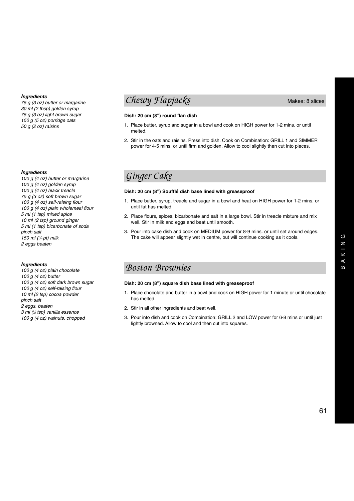*75 g (3 oz) butter or margarine 30 ml (2 tbsp) golden syrup 75 g (3 oz) light brown sugar 150 g (5 oz) porridge oats 50 g (2 oz) raisins*

### *Ingredients*

*100 g (4 oz) butter or margarine 100 g (4 oz) golden syrup 100 g (4 oz) black treacle 75 g (3 oz) soft brown sugar 100 g (4 oz) self-raising flour 100 g (4 oz) plain wholemeal flour 5 ml (1 tsp) mixed spice 10 ml (2 tsp) ground ginger 5 ml (1 tsp) bicarbonate of soda pinch salt 150 ml (1 /4 pt) milk 2 eggs beaten*

### *Ingredients*

*100 g (4 oz) plain chocolate 100 g (4 oz) butter 100 g (4 oz) soft dark brown sugar 100 g (4 oz) self-raising flour 10 ml (2 tsp) cocoa powder pinch salt 2 eggs, beaten 3 ml (1 ⁄2 tsp) vanilla essence 100 g (4 oz) walnuts, chopped*

### *Chewy Flapjacks* Makes: 8 slices

### **Dish: 20 cm (8") round flan dish**

- 1. Place butter, syrup and sugar in a bowl and cook on HIGH power for 1-2 mins. or until melted.
- 2. Stir in the oats and raisins. Press into dish. Cook on Combination: GRILL 1 and SIMMER power for 4-5 mins. or until firm and golden. Allow to cool slightly then cut into pieces.

### *Ginger Cake*

### **Dish: 20 cm (8") Soufflé dish base lined with greaseproof**

- 1. Place butter, syrup, treacle and sugar in a bowl and heat on HIGH power for 1-2 mins. or until fat has melted.
- 2. Place flours, spices, bicarbonate and salt in a large bowl. Stir in treacle mixture and mix well. Stir in milk and eggs and beat until smooth.
- 3. Pour into cake dish and cook on MEDIUM power for 8-9 mins. or until set around edges. The cake will appear slightly wet in centre, but will continue cooking as it cools.

### *Boston Brownies*

### **Dish: 20 cm (8") square dish base lined with greaseproof**

- 1. Place chocolate and butter in a bowl and cook on HIGH power for 1 minute or until chocolate has melted.
- 2. Stir in all other ingredients and beat well.
- 3. Pour into dish and cook on Combination: GRILL 2 and LOW power for 6-8 mins or until just lightly browned. Allow to cool and then cut into squares.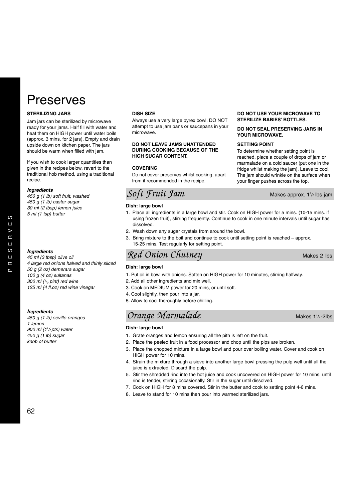# Preserves

### **STERILIZING JARS**

Jam jars can be sterilized by microwave ready for your jams. Half fill with water and heat them on HIGH power until water boils (approx. 3 mins. for 2 jars). Empty and drain upside down on kitchen paper. The jars should be warm when filled with jam.

If you wish to cook larger quantities than given in the recipes below, revert to the traditional hob method, using a traditional recipe.

*4 large red onions halved and thinly sliced*

#### *Ingredients*

*450 g (1 lb) soft fruit, washed 450 g (1 lb) caster sugar 30 ml (2 tbsp) lemon juice 5 ml (1 tsp) butter*

*Ingredients 45 ml (3 tbsp) olive oil* 

*Ingredients 450 g (1 lb) seville oranges 1 lemon 900 ml (11 /2 pts) water 450 g (1 lb) sugar knob of butter*

*50 g (2 oz) demerara sugar 100 g (4 oz) sultanas 300 ml (1/ <sup>2</sup> pint) red wine 125 ml (4 fl.oz) red wine vinegar*

### **DISH SIZE**

Always use a very large pyrex bowl. DO NOT attempt to use jam pans or saucepans in your microwave.

### **DO NOT LEAVE JAMS UNATTENDED DURING COOKING BECAUSE OF THE HIGH SUGAR CONTENT.**

#### **COVERING**

Do not cover preserves whilst cooking, apart from if recommended in the recipe.

### *Soft Fruit Jam*

#### **Dish: large bowl**

- 1. Place all ingredients in a large bowl and stir. Cook on HIGH power for 5 mins. (10-15 mins. if using frozen fruit), stirring frequently. Continue to cook in one minute intervals until sugar has dissolved.
- 2. Wash down any sugar crystals from around the bowl.
- 3. Bring mixture to the boil and continue to cook until setting point is reached approx. 15-25 mins. Test regularly for setting point.

### *Red Onion Chutney* Makes 2 lbs

#### **Dish: large bowl**

- 1. Put oil in bowl with onions. Soften on HIGH power for 10 minutes, stirring halfway.
- 2. Add all other ingredients and mix well.
- 3. Cook on MEDIUM power for 20 mins, or until soft.
- 4. Cool slightly, then pour into a jar.
- 5. Allow to cool thoroughly before chilling.

### *Orange Marmalade*

### **Dish: large bowl**

- 1. Grate oranges and lemon ensuring all the pith is left on the fruit.
- 2. Place the peeled fruit in a food processor and chop until the pips are broken.
- 3. Place the chopped mixture in a large bowl and pour over boiling water. Cover and cook on HIGH power for 10 mins.
- 4. Strain the mixture through a sieve into another large bowl pressing the pulp well until all the juice is extracted. Discard the pulp.
- 5. Stir the shredded rind into the hot juice and cook uncovered on HIGH power for 10 mins. until rind is tender, stirring occasionally. Stir in the sugar until dissolved.
- 7. Cook on HIGH for 8 mins covered. Stir in the butter and cook to setting point 4-6 mins.
- 8. Leave to stand for 10 mins then pour into warmed sterilized jars.

### **DO NOT USE YOUR MICROWAVE TO STERILIZE BABIES' BOTTLES.**

### **DO NOT SEAL PRESERVING JARS IN YOUR MICROWAVE.**

#### **SETTING POINT**

To determine whether setting point is reached, place a couple of drops of jam or marmalade on a cold saucer (put one in the fridge whilst making the jam). Leave to cool. The jam should wrinkle on the surface when your finger pushes across the top.

Makes approx.  $1\frac{1}{2}$  lbs jam

Makes  $1\frac{1}{2}$ -2lbs

62

 $\omega$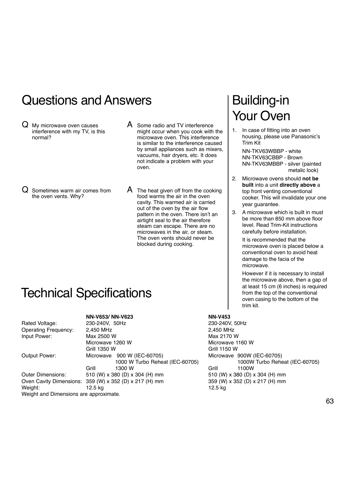# Questions and Answers

- Q My microwave oven causes interference with my TV, is this normal?
- A Some radio and TV interference might occur when you cook with the microwave oven. This interference is similar to the interference caused by small appliances such as mixers, vacuums, hair dryers, etc. It does not indicate a problem with your oven.

Q Sometimes warm air comes from the oven vents. Why?

 $\mathsf A$  The heat given off from the cooking food warms the air in the oven cavity. This warmed air is carried out of the oven by the air flow pattern in the oven. There isn't an airtight seal to the air therefore steam can escape. There are no microwaves in the air, or steam. The oven vents should never be blocked during cooking.

# Building-in Your Oven

1. In case of fitting into an oven housing, please use Panasonic's Trim Kit

NN-TKV63WBBP - white NN-TKV63CBBP - Brown NN-TKV63MBBP - silver (painted metalic look)

- 2. Microwave ovens should **not be built** into a unit **directly above** a top front venting conventional cooker. This will invalidate your one year guarantee.
- 3. A microwave which is built in must be more than 850 mm above floor level. Read Trim-Kit instructions carefully before installation.

It is recommended that the microwave oven is placed below a conventional oven to avoid heat damage to the facia of the microwave.

However if it is necessary to install the microwave above, then a gap of at least 15 cm (6 inches) is required from the top of the conventional oven casing to the bottom of the trim kit.

Max 2170 W Microwave 1160 W Grill 1350 W Grill 1150 W Microwave 900W (IEC-60705) 1000 W Turbo Reheat (IEC-60705) 1000W Turbo Reheat (IEC-60705) 510 (W) x 380 (D) x 304 (H) mm 359 (W) x 352 (D) x 217 (H) mm

# Technical Specifications

### **NN-V653/ NN-V623 NN-V453**<br>220, 240V **FOUT**

| Rated Voltage:                         | 230-240V, 50Hz                                         | 230-240V, 50Hz      |       |
|----------------------------------------|--------------------------------------------------------|---------------------|-------|
| <b>Operating Frequency:</b>            | 2,450 MHz                                              | 2,450 MHz           |       |
| Input Power:                           | Max 2500 W                                             | Max 2170 W          |       |
|                                        | Microwave 1260 W                                       | Microwave 1160 W    |       |
|                                        | Grill 1350 W                                           | Grill 1150 W        |       |
| Output Power:                          | Microwave 900 W (IEC-60705)                            | Microwave 900W      |       |
|                                        | 1000 W Turbo Reheat (IEC-60705)                        |                     | 1000W |
|                                        | Grill<br>1300 W                                        | Grill               | 1100W |
| Outer Dimensions:                      | 510 (W) x 380 (D) x 304 (H) mm                         | 510 (W) x 380 (D) : |       |
|                                        | Oven Cavity Dimensions: 359 (W) x 352 (D) x 217 (H) mm | 359 (W) x 352 (D) : |       |
| Weight:                                | 12.5 kg                                                | 12.5 kg             |       |
| Weight and Dimensions are approximate. |                                                        |                     |       |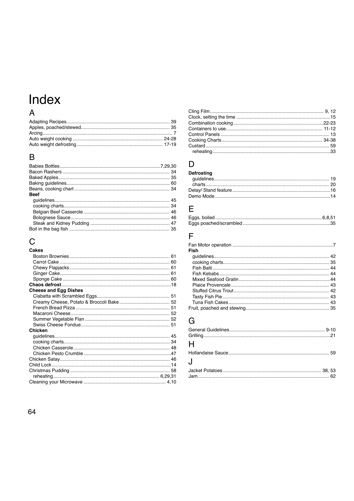# Index

### $\overline{A}$

### $\overline{B}$

| Beef |  |
|------|--|
|      |  |
|      |  |
|      |  |
|      |  |
|      |  |
|      |  |

# $\mathsf{C}$

| Cakes                        |  |
|------------------------------|--|
|                              |  |
|                              |  |
|                              |  |
|                              |  |
|                              |  |
|                              |  |
| <b>Cheese and Egg Dishes</b> |  |
|                              |  |
|                              |  |
|                              |  |
|                              |  |
|                              |  |
|                              |  |
| Chicken                      |  |
|                              |  |
|                              |  |
|                              |  |
|                              |  |
|                              |  |
|                              |  |
|                              |  |
|                              |  |
|                              |  |

| reheating the contract of the contract of the contract of the contract of the contract of the contract of the contract of the contract of the contract of the contract of the contract of the contract of the contract of the | 33 |
|-------------------------------------------------------------------------------------------------------------------------------------------------------------------------------------------------------------------------------|----|

### $\mathsf{D}%$

| <b>Defrosting</b> |  |
|-------------------|--|
|                   |  |
|                   |  |
|                   |  |
|                   |  |

### $\overline{\mathsf{E}}$

### $\overline{\mathsf{F}}$

| Fish |  |
|------|--|
|      |  |
|      |  |
|      |  |
|      |  |
|      |  |
|      |  |
|      |  |
|      |  |
|      |  |
|      |  |

## $\overline{G}$

| H |  |
|---|--|
|   |  |
| J |  |
|   |  |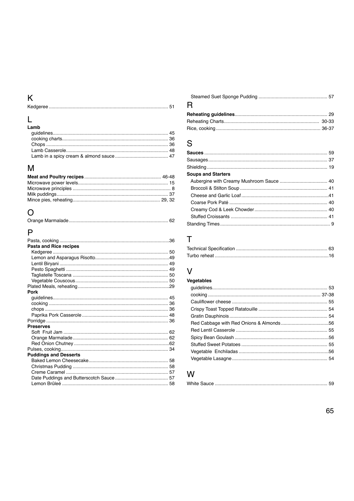# $\overline{\mathsf{K}}$

|--|

# $L$ <br>Lamb

| еанш |  |
|------|--|
|      |  |
|      |  |
|      |  |
|      |  |
|      |  |
|      |  |

### $\overline{\mathsf{M}}$

### $\overline{O}$

### $\overline{P}$

| Pasta and Rice recipes       |  |
|------------------------------|--|
|                              |  |
|                              |  |
|                              |  |
|                              |  |
|                              |  |
|                              |  |
|                              |  |
| Pork                         |  |
|                              |  |
|                              |  |
|                              |  |
|                              |  |
|                              |  |
| <b>Preserves</b>             |  |
|                              |  |
|                              |  |
|                              |  |
|                              |  |
| <b>Puddings and Desserts</b> |  |
|                              |  |
|                              |  |
|                              |  |
|                              |  |
|                              |  |

| R |  |
|---|--|
|   |  |
|   |  |

| <b>Soups and Starters</b> |  |
|---------------------------|--|
|                           |  |
|                           |  |
|                           |  |
|                           |  |
|                           |  |
|                           |  |
|                           |  |

### $\top$

### $\vee$

| <b>Vegetables</b> |    |
|-------------------|----|
|                   |    |
|                   |    |
|                   |    |
|                   |    |
|                   |    |
|                   |    |
|                   |    |
|                   |    |
|                   |    |
|                   |    |
|                   | 54 |
|                   |    |

### W

|--|--|--|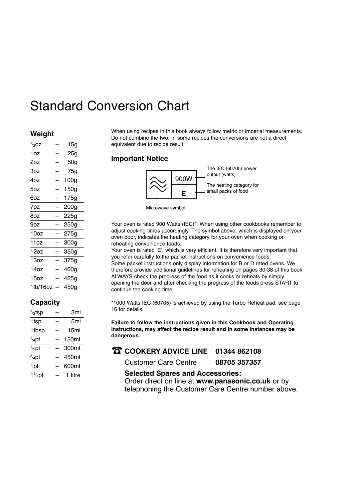# Standard Conversion Chart

### **Weight**

| 1/20Z                             | 15g  |
|-----------------------------------|------|
| 1oz                               | 25g  |
| 2oz                               | 50g  |
| 3oz                               | 75g  |
| 4oz                               | 100g |
| 5oz                               | 150g |
| 6oz                               | 175g |
| 7oz                               | 200g |
| 8oz                               | 225g |
| 9oz                               | 250g |
| 10oz                              | 275g |
| 11oz                              | 300g |
| 12oz                              | 350g |
| 13oz                              | 375g |
| 14 <sub>oz</sub>                  | 400g |
| 15oz                              | 425g |
| 1 <sub>lb</sub> /16 <sub>oz</sub> | 450g |
|                                   |      |

### **Capacity**

| $1/2$ tsp         | Зml   |
|-------------------|-------|
| 1tsp              | 5ml   |
| 1tbsp             | 15ml  |
| $1/4$ pt          | 150ml |
| $1/2$ pt          | 300ml |
| $3/4$ pt          | 450ml |
| 1pt               | 600ml |
| $1\frac{3}{4}$ nt | litre |

When using recipes in this book always follow metric or imperial measurements. Do not combine the two. In some recipes the conversions are not a direct equivalent due to recipe result.

### **Important Notice**



Your oven is rated 900 Watts (IEC)\*. When using other cookbooks remember to adjust cooking times accordingly. The symbol above, which is displayed on your oven door, indicates the heating category for your oven when cooking or reheating convenience foods.

Your oven is rated 'E', which is very efficient. It is therefore very important that you refer carefully to the packet instructions on convenience foods. Some packet instructions only display information for B or D rated ovens. We therefore provide additional guidelines for reheating on pages 30-38 of this book. ALWAYS check the progress of the food as it cooks or reheats by simply opening the door and after checking the progress of the foods press START to continue the cooking time.

\*1000 Watts IEC (60705) is achieved by using the Turbo Reheat pad, see page 16 for details.

**Failure to follow the instructions given in this Cookbook and Operating Instructions, may affect the recipe result and in some instances may be dangerous.**

☎ **COOKERY ADVICE LINE 01344 862108**

Customer Care Centre **08705 357357**

### **Selected Spares and Accessories:** Order direct on line at **www.panasonic.co.uk** or by

telephoning the Customer Care Centre number above.